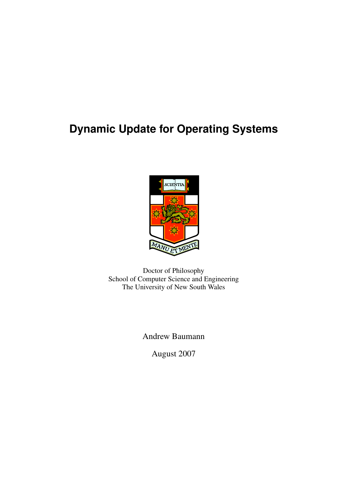# **Dynamic Update for Operating Systems**



Doctor of Philosophy School of Computer Science and Engineering The University of New South Wales

Andrew Baumann

August 2007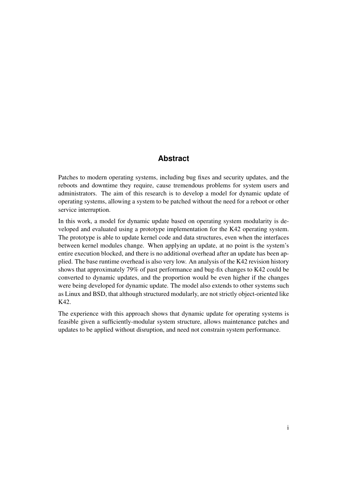## **Abstract**

<span id="page-2-0"></span>Patches to modern operating systems, including bug fixes and security updates, and the reboots and downtime they require, cause tremendous problems for system users and administrators. The aim of this research is to develop a model for dynamic update of operating systems, allowing a system to be patched without the need for a reboot or other service interruption.

In this work, a model for dynamic update based on operating system modularity is developed and evaluated using a prototype implementation for the K42 operating system. The prototype is able to update kernel code and data structures, even when the interfaces between kernel modules change. When applying an update, at no point is the system's entire execution blocked, and there is no additional overhead after an update has been applied. The base runtime overhead is also very low. An analysis of the K42 revision history shows that approximately 79% of past performance and bug-fix changes to K42 could be converted to dynamic updates, and the proportion would be even higher if the changes were being developed for dynamic update. The model also extends to other systems such as Linux and BSD, that although structured modularly, are not strictly object-oriented like K42.

The experience with this approach shows that dynamic update for operating systems is feasible given a sufficiently-modular system structure, allows maintenance patches and updates to be applied without disruption, and need not constrain system performance.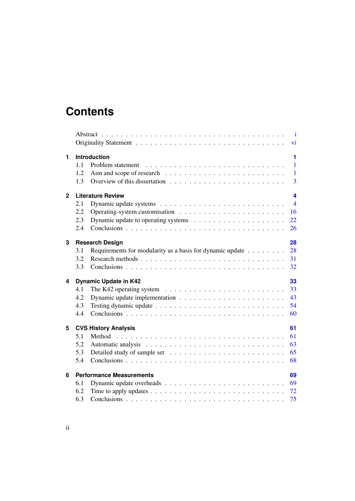## **Contents**

|                |                                       | $\blacksquare$                                                                           |  |  |  |  |  |  |
|----------------|---------------------------------------|------------------------------------------------------------------------------------------|--|--|--|--|--|--|
|                |                                       | $\overline{vi}$                                                                          |  |  |  |  |  |  |
| 1              | Introduction<br>1                     |                                                                                          |  |  |  |  |  |  |
|                | 11                                    | $\mathbf{1}$                                                                             |  |  |  |  |  |  |
|                | 1.2                                   | $\mathbf{1}$                                                                             |  |  |  |  |  |  |
|                | 1.3                                   | $\overline{3}$                                                                           |  |  |  |  |  |  |
| $\overline{2}$ | <b>Literature Review</b><br>4         |                                                                                          |  |  |  |  |  |  |
|                | 2.1                                   | $\overline{4}$                                                                           |  |  |  |  |  |  |
|                | 2.2                                   | 16                                                                                       |  |  |  |  |  |  |
|                | 2.3                                   | 22                                                                                       |  |  |  |  |  |  |
|                | 2.4                                   | 26                                                                                       |  |  |  |  |  |  |
| 3              | 28<br><b>Research Design</b>          |                                                                                          |  |  |  |  |  |  |
|                | 3.1                                   | 28<br>Requirements for modularity as a basis for dynamic update                          |  |  |  |  |  |  |
|                | 3.2                                   | 31                                                                                       |  |  |  |  |  |  |
|                | 3.3                                   | 32                                                                                       |  |  |  |  |  |  |
| 4              | <b>Dynamic Update in K42</b><br>33    |                                                                                          |  |  |  |  |  |  |
|                | 4.1                                   | The K42 operating system $\ldots \ldots \ldots \ldots \ldots \ldots \ldots \ldots$<br>33 |  |  |  |  |  |  |
|                | 4.2                                   | 43                                                                                       |  |  |  |  |  |  |
|                | 4.3                                   | 54                                                                                       |  |  |  |  |  |  |
|                | 4.4                                   | 60                                                                                       |  |  |  |  |  |  |
| 5              | 61<br><b>CVS History Analysis</b>     |                                                                                          |  |  |  |  |  |  |
|                | 5.1                                   | 61                                                                                       |  |  |  |  |  |  |
|                | 5.2                                   | 63                                                                                       |  |  |  |  |  |  |
|                | 5.3                                   | 65                                                                                       |  |  |  |  |  |  |
|                | 5.4                                   | 68                                                                                       |  |  |  |  |  |  |
| 6              | <b>Performance Measurements</b><br>69 |                                                                                          |  |  |  |  |  |  |
|                | 6.1                                   | 69                                                                                       |  |  |  |  |  |  |
|                | 6.2                                   | 72                                                                                       |  |  |  |  |  |  |
|                | 6.3                                   | 75                                                                                       |  |  |  |  |  |  |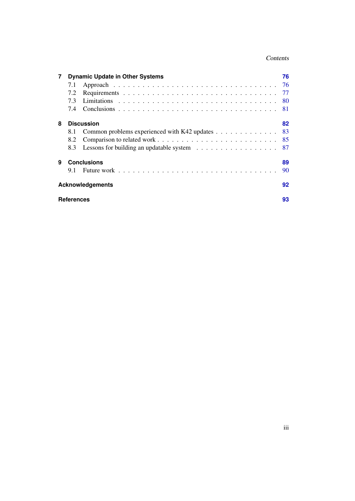### Contents

| $\overline{7}$ |                    | <b>Dynamic Update in Other Systems</b>                                                  | 76  |  |  |  |
|----------------|--------------------|-----------------------------------------------------------------------------------------|-----|--|--|--|
|                | 7.1                |                                                                                         | -76 |  |  |  |
|                | 7.2                |                                                                                         |     |  |  |  |
|                | 7.3                |                                                                                         | -80 |  |  |  |
|                | 7.4                |                                                                                         |     |  |  |  |
| 8              | <b>Discussion</b>  |                                                                                         |     |  |  |  |
|                | 8.1                | Common problems experienced with K42 updates                                            | 83  |  |  |  |
|                | 8.2                |                                                                                         | 85  |  |  |  |
|                | 8.3                | Lessons for building an updatable system $\ldots \ldots \ldots \ldots \ldots \ldots$ 87 |     |  |  |  |
| 9              | <b>Conclusions</b> |                                                                                         |     |  |  |  |
|                | 9.1                |                                                                                         | 90  |  |  |  |
|                |                    | <b>Acknowledgements</b>                                                                 | 92  |  |  |  |
|                | <b>References</b>  |                                                                                         |     |  |  |  |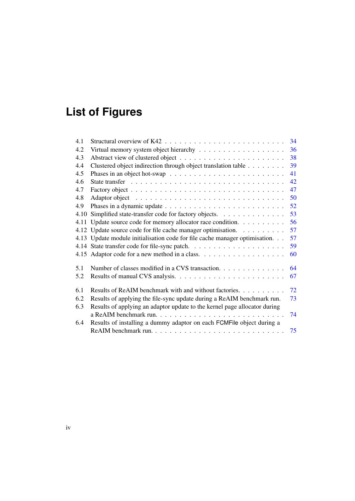# **List of Figures**

| 4.1  |                                                                                        | 34 |
|------|----------------------------------------------------------------------------------------|----|
| 4.2  |                                                                                        | 36 |
| 4.3  |                                                                                        | 38 |
| 4.4  | Clustered object indirection through object translation table                          | 39 |
| 4.5  | Phases in an object hot-swap $\ldots \ldots \ldots \ldots \ldots \ldots \ldots \ldots$ | 41 |
| 4.6  |                                                                                        | 42 |
| 4.7  |                                                                                        | 47 |
| 4.8  |                                                                                        | 50 |
| 4.9  |                                                                                        | 52 |
| 4.10 | Simplified state-transfer code for factory objects.                                    | 53 |
| 4.11 | Update source code for memory allocator race condition.                                | 56 |
|      | 4.12 Update source code for file cache manager optimisation.                           | 57 |
|      | 4.13 Update module initialisation code for file cache manager optimisation.            | 57 |
|      |                                                                                        | 59 |
|      |                                                                                        | 60 |
| 5.1  | Number of classes modified in a CVS transaction.                                       | 64 |
| 5.2  |                                                                                        | 67 |
| 6.1  | Results of ReAIM benchmark with and without factories.                                 | 72 |
| 6.2  | Results of applying the file-sync update during a ReAIM benchmark run.                 | 73 |
| 6.3  | Results of applying an adaptor update to the kernel page allocator during              |    |
|      |                                                                                        | 74 |
| 6.4  | Results of installing a dummy adaptor on each FCMFile object during a                  |    |
|      |                                                                                        | 75 |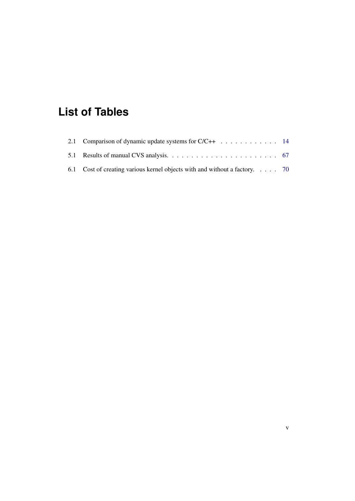# **List of Tables**

| 2.1 Comparison of dynamic update systems for $C/C++$ 14                   |  |
|---------------------------------------------------------------------------|--|
|                                                                           |  |
| 6.1 Cost of creating various kernel objects with and without a factory 70 |  |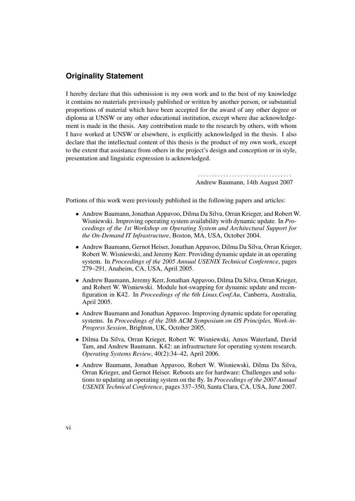## **Originality Statement**

<span id="page-7-0"></span>I hereby declare that this submission is my own work and to the best of my knowledge it contains no materials previously published or written by another person, or substantial proportions of material which have been accepted for the award of any other degree or diploma at UNSW or any other educational institution, except where due acknowledgement is made in the thesis. Any contribution made to the research by others, with whom I have worked at UNSW or elsewhere, is explicitly acknowledged in the thesis. I also declare that the intellectual content of this thesis is the product of my own work, except to the extent that assistance from others in the project's design and conception or in style, presentation and linguistic expression is acknowledged.

> . . . . . . . . . . . . . . . . . . . . . . . . . . . . . . . . . Andrew Baumann, 14th August 2007

Portions of this work were previously published in the following papers and articles:

- Andrew Baumann, Jonathan Appavoo, Dilma Da Silva, Orran Krieger, and Robert W. Wisniewski. Improving operating system availability with dynamic update. In *Proceedings of the 1st Workshop on Operating System and Architectural Support for the On-Demand IT Infrastructure*, Boston, MA, USA, October 2004.
- Andrew Baumann, Gernot Heiser, Jonathan Appavoo, Dilma Da Silva, Orran Krieger, Robert W. Wisniewski, and Jeremy Kerr. Providing dynamic update in an operating system. In *Proceedings of the 2005 Annual USENIX Technical Conference*, pages 279–291, Anaheim, CA, USA, April 2005.
- Andrew Baumann, Jeremy Kerr, Jonathan Appavoo, Dilma Da Silva, Orran Krieger, and Robert W. Wisniewski. Module hot-swapping for dynamic update and reconfiguration in K42. In *Proceedings of the 6th Linux.Conf.Au*, Canberra, Australia, April 2005.
- Andrew Baumann and Jonathan Appavoo. Improving dynamic update for operating systems. In *Proceedings of the 20th ACM Symposium on OS Principles, Work-in-Progress Session*, Brighton, UK, October 2005.
- Dilma Da Silva, Orran Krieger, Robert W. Wisniewski, Amos Waterland, David Tam, and Andrew Baumann. K42: an infrastructure for operating system research. *Operating Systems Review*, 40(2):34–42, April 2006.
- Andrew Baumann, Jonathan Appavoo, Robert W. Wisniewski, Dilma Da Silva, Orran Krieger, and Gernot Heiser. Reboots are for hardware: Challenges and solutions to updating an operating system on the fly. In *Proceedings of the 2007 Annual USENIX Technical Conference*, pages 337–350, Santa Clara, CA, USA, June 2007.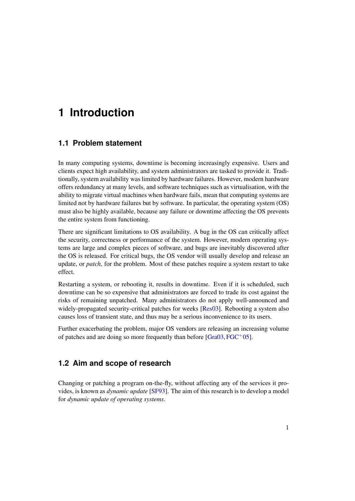## <span id="page-8-0"></span>**1 Introduction**

## <span id="page-8-1"></span>**1.1 Problem statement**

In many computing systems, downtime is becoming increasingly expensive. Users and clients expect high availability, and system administrators are tasked to provide it. Traditionally, system availability was limited by hardware failures. However, modern hardware offers redundancy at many levels, and software techniques such as virtualisation, with the ability to migrate virtual machines when hardware fails, mean that computing systems are limited not by hardware failures but by software. In particular, the operating system (OS) must also be highly available, because any failure or downtime affecting the OS prevents the entire system from functioning.

There are significant limitations to OS availability. A bug in the OS can critically affect the security, correctness or performance of the system. However, modern operating systems are large and complex pieces of software, and bugs are inevitably discovered after the OS is released. For critical bugs, the OS vendor will usually develop and release an update, or *patch*, for the problem. Most of these patches require a system restart to take effect.

Restarting a system, or rebooting it, results in downtime. Even if it is scheduled, such downtime can be so expensive that administrators are forced to trade its cost against the risks of remaining unpatched. Many administrators do not apply well-announced and widely-propagated security-critical patches for weeks [\[Res03\]](#page-109-0). Rebooting a system also causes loss of transient state, and thus may be a serious inconvenience to its users.

Further exacerbating the problem, major OS vendors are releasing an increasing volume of patches and are doing so more frequently than before  $[Gra03,FGC+05]$  $[Gra03,FGC+05]$  $[Gra03,FGC+05]$ .

## <span id="page-8-2"></span>**1.2 Aim and scope of research**

Changing or patching a program on-the-fly, without affecting any of the services it provides, is known as *dynamic update* [\[SF93\]](#page-110-0). The aim of this research is to develop a model for *dynamic update of operating systems*.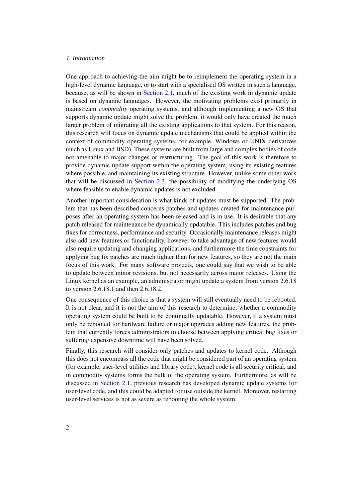#### 1 Introduction

One approach to achieving the aim might be to reimplement the operating system in a high-level dynamic language, or to start with a specialised OS written in such a language, because, as will be shown in [Section 2.1,](#page-11-1) much of the existing work in dynamic update is based on dynamic languages. However, the motivating problems exist primarily in mainstream *commodity* operating systems, and although implementing a new OS that supports dynamic update might solve the problem, it would only have created the much larger problem of migrating all the existing applications to that system. For this reason, this research will focus on dynamic update mechanisms that could be applied within the context of commodity operating systems, for example, Windows or UNIX derivatives (such as Linux and BSD). These systems are built from large and complex bodies of code not amenable to major changes or restructuring. The goal of this work is therefore to provide dynamic update support within the operating system, using its existing features where possible, and maintaining its existing structure. However, unlike some other work that will be discussed in [Section 2.3,](#page-29-0) the possibility of modifying the underlying OS where feasible to enable dynamic updates is not excluded.

Another important consideration is what kinds of updates must be supported. The problem that has been described concerns patches and updates created for maintenance purposes after an operating system has been released and is in use. It is desirable that any patch released for maintenance be dynamically updatable. This includes patches and bug fixes for correctness, performance and security. Occasionally maintenance releases might also add new features or functionality, however to take advantage of new features would also require updating and changing applications, and furthermore the time constraints for applying bug fix patches are much tighter than for new features, so they are not the main focus of this work. For many software projects, one could say that we wish to be able to update between minor revisions, but not necessarily across major releases. Using the Linux kernel as an example, an administrator might update a system from version 2.6.18 to version 2.6.18.1 and then 2.6.18.2.

One consequence of this choice is that a system will still eventually need to be rebooted. It is not clear, and it is not the aim of this research to determine, whether a commodity operating system could be built to be continually updatable. However, if a system must only be rebooted for hardware failure or major upgrades adding new features, the problem that currently forces administrators to choose between applying critical bug fixes or suffering expensive downtime will have been solved.

Finally, this research will consider only patches and updates to kernel code. Although this does not encompass all the code that might be considered part of an operating system (for example, user-level utilities and library code), kernel code is all security critical, and in commodity systems forms the bulk of the operating system. Furthermore, as will be discussed in [Section 2.1,](#page-11-1) previous research has developed dynamic update systems for user-level code, and this could be adapted for use outside the kernel. Moreover, restarting user-level services is not as severe as rebooting the whole system.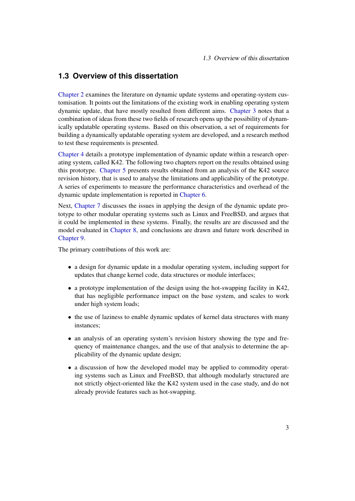## <span id="page-10-0"></span>**1.3 Overview of this dissertation**

[Chapter 2](#page-11-0) examines the literature on dynamic update systems and operating-system customisation. It points out the limitations of the existing work in enabling operating system dynamic update, that have mostly resulted from different aims. [Chapter 3](#page-35-0) notes that a combination of ideas from these two fields of research opens up the possibility of dynamically updatable operating systems. Based on this observation, a set of requirements for building a dynamically updatable operating system are developed, and a research method to test these requirements is presented.

[Chapter 4](#page-40-0) details a prototype implementation of dynamic update within a research operating system, called K42. The following two chapters report on the results obtained using this prototype. [Chapter 5](#page-68-0) presents results obtained from an analysis of the K42 source revision history, that is used to analyse the limitations and applicability of the prototype. A series of experiments to measure the performance characteristics and overhead of the dynamic update implementation is reported in [Chapter 6.](#page-76-0)

Next, [Chapter 7](#page-83-0) discusses the issues in applying the design of the dynamic update prototype to other modular operating systems such as Linux and FreeBSD, and argues that it could be implemented in these systems. Finally, the results are are discussed and the model evaluated in [Chapter 8,](#page-89-0) and conclusions are drawn and future work described in [Chapter 9.](#page-96-0)

The primary contributions of this work are:

- a design for dynamic update in a modular operating system, including support for updates that change kernel code, data structures or module interfaces;
- a prototype implementation of the design using the hot-swapping facility in K42, that has negligible performance impact on the base system, and scales to work under high system loads;
- the use of laziness to enable dynamic updates of kernel data structures with many instances;
- an analysis of an operating system's revision history showing the type and frequency of maintenance changes, and the use of that analysis to determine the applicability of the dynamic update design;
- a discussion of how the developed model may be applied to commodity operating systems such as Linux and FreeBSD, that although modularly structured are not strictly object-oriented like the K42 system used in the case study, and do not already provide features such as hot-swapping.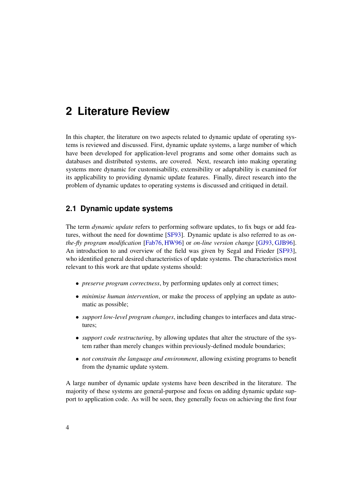<span id="page-11-0"></span>In this chapter, the literature on two aspects related to dynamic update of operating systems is reviewed and discussed. First, dynamic update systems, a large number of which have been developed for application-level programs and some other domains such as databases and distributed systems, are covered. Next, research into making operating systems more dynamic for customisability, extensibility or adaptability is examined for its applicability to providing dynamic update features. Finally, direct research into the problem of dynamic updates to operating systems is discussed and critiqued in detail.

## <span id="page-11-1"></span>**2.1 Dynamic update systems**

The term *dynamic update* refers to performing software updates, to fix bugs or add features, without the need for downtime [\[SF93\]](#page-110-0). Dynamic update is also referred to as *onthe-fly program modification* [\[Fab76,](#page-104-1) [HW96\]](#page-106-0) or *on-line version change* [\[GJ93,](#page-104-2) [GJB96\]](#page-104-3). An introduction to and overview of the field was given by Segal and Frieder [\[SF93\]](#page-110-0), who identified general desired characteristics of update systems. The characteristics most relevant to this work are that update systems should:

- *preserve program correctness*, by performing updates only at correct times;
- *minimise human intervention*, or make the process of applying an update as automatic as possible;
- *support low-level program changes*, including changes to interfaces and data structures;
- *support code restructuring*, by allowing updates that alter the structure of the system rather than merely changes within previously-defined module boundaries;
- *not constrain the language and environment*, allowing existing programs to benefit from the dynamic update system.

A large number of dynamic update systems have been described in the literature. The majority of these systems are general-purpose and focus on adding dynamic update support to application code. As will be seen, they generally focus on achieving the first four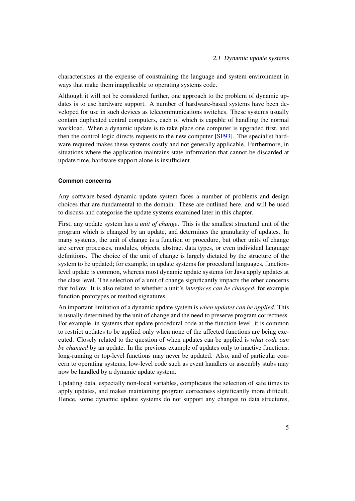characteristics at the expense of constraining the language and system environment in ways that make them inapplicable to operating systems code.

Although it will not be considered further, one approach to the problem of dynamic updates is to use hardware support. A number of hardware-based systems have been developed for use in such devices as telecommunications switches. These systems usually contain duplicated central computers, each of which is capable of handling the normal workload. When a dynamic update is to take place one computer is upgraded first, and then the control logic directs requests to the new computer [\[SF93\]](#page-110-0). The specialist hardware required makes these systems costly and not generally applicable. Furthermore, in situations where the application maintains state information that cannot be discarded at update time, hardware support alone is insufficient.

#### **Common concerns**

Any software-based dynamic update system faces a number of problems and design choices that are fundamental to the domain. These are outlined here, and will be used to discuss and categorise the update systems examined later in this chapter.

First, any update system has a *unit of change*. This is the smallest structural unit of the program which is changed by an update, and determines the granularity of updates. In many systems, the unit of change is a function or procedure, but other units of change are server processes, modules, objects, abstract data types, or even individual language definitions. The choice of the unit of change is largely dictated by the structure of the system to be updated; for example, in update systems for procedural languages, functionlevel update is common, whereas most dynamic update systems for Java apply updates at the class level. The selection of a unit of change significantly impacts the other concerns that follow. It is also related to whether a unit's *interfaces can be changed*, for example function prototypes or method signatures.

An important limitation of a dynamic update system is *when updates can be applied*. This is usually determined by the unit of change and the need to preserve program correctness. For example, in systems that update procedural code at the function level, it is common to restrict updates to be applied only when none of the affected functions are being executed. Closely related to the question of when updates can be applied is *what code can be changed* by an update. In the previous example of updates only to inactive functions, long-running or top-level functions may never be updated. Also, and of particular concern to operating systems, low-level code such as event handlers or assembly stubs may now be handled by a dynamic update system.

Updating data, especially non-local variables, complicates the selection of safe times to apply updates, and makes maintaining program correctness significantly more difficult. Hence, some dynamic update systems do not support any changes to data structures,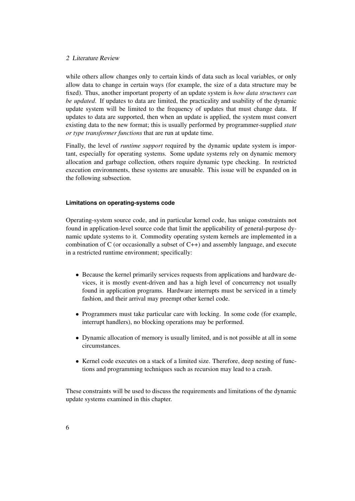while others allow changes only to certain kinds of data such as local variables, or only allow data to change in certain ways (for example, the size of a data structure may be fixed). Thus, another important property of an update system is *how data structures can be updated*. If updates to data are limited, the practicality and usability of the dynamic update system will be limited to the frequency of updates that must change data. If updates to data are supported, then when an update is applied, the system must convert existing data to the new format; this is usually performed by programmer-supplied *state or type transformer functions* that are run at update time.

Finally, the level of *runtime support* required by the dynamic update system is important, especially for operating systems. Some update systems rely on dynamic memory allocation and garbage collection, others require dynamic type checking. In restricted execution environments, these systems are unusable. This issue will be expanded on in the following subsection.

#### **Limitations on operating-systems code**

Operating-system source code, and in particular kernel code, has unique constraints not found in application-level source code that limit the applicability of general-purpose dynamic update systems to it. Commodity operating system kernels are implemented in a combination of C (or occasionally a subset of  $C_{++}$ ) and assembly language, and execute in a restricted runtime environment; specifically:

- Because the kernel primarily services requests from applications and hardware devices, it is mostly event-driven and has a high level of concurrency not usually found in application programs. Hardware interrupts must be serviced in a timely fashion, and their arrival may preempt other kernel code.
- Programmers must take particular care with locking. In some code (for example, interrupt handlers), no blocking operations may be performed.
- Dynamic allocation of memory is usually limited, and is not possible at all in some circumstances.
- Kernel code executes on a stack of a limited size. Therefore, deep nesting of functions and programming techniques such as recursion may lead to a crash.

These constraints will be used to discuss the requirements and limitations of the dynamic update systems examined in this chapter.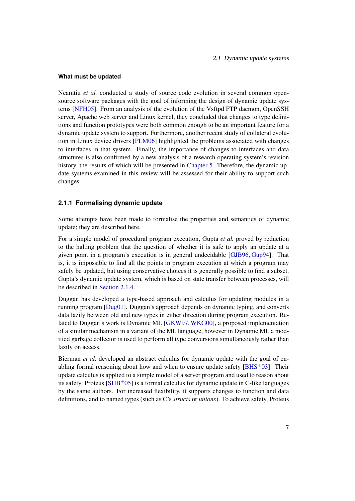#### **What must be updated**

Neamtiu *et al.* conducted a study of source code evolution in several common opensource software packages with the goal of informing the design of dynamic update systems [\[NFH05\]](#page-108-0). From an analysis of the evolution of the Vsftpd FTP daemon, OpenSSH server, Apache web server and Linux kernel, they concluded that changes to type definitions and function prototypes were both common enough to be an important feature for a dynamic update system to support. Furthermore, another recent study of collateral evolution in Linux device drivers [\[PLM06\]](#page-109-1) highlighted the problems associated with changes to interfaces in that system. Finally, the importance of changes to interfaces and data structures is also confirmed by a new analysis of a research operating system's revision history, the results of which will be presented in [Chapter 5.](#page-68-0) Therefore, the dynamic update systems examined in this review will be assessed for their ability to support such changes.

#### <span id="page-14-0"></span>**2.1.1 Formalising dynamic update**

Some attempts have been made to formalise the properties and semantics of dynamic update; they are described here.

For a simple model of procedural program execution, Gupta *et al.* proved by reduction to the halting problem that the question of whether it is safe to apply an update at a given point in a program's execution is in general undecidable [\[GJB96,](#page-104-3) [Gup94\]](#page-105-1). That is, it is impossible to find all the points in program execution at which a program may safely be updated, but using conservative choices it is generally possible to find a subset. Gupta's dynamic update system, which is based on state transfer between processes, will be described in [Section 2.1.4.](#page-18-0)

Duggan has developed a type-based approach and calculus for updating modules in a running program [\[Dug01\]](#page-104-4). Duggan's approach depends on dynamic typing, and converts data lazily between old and new types in either direction during program execution. Related to Duggan's work is Dynamic ML [\[GKW97,](#page-105-2)[WKG00\]](#page-111-0), a proposed implementation of a similar mechanism in a variant of the ML language, however in Dynamic ML a modified garbage collector is used to perform all type conversions simultaneously rather than lazily on access.

Bierman *et al.* developed an abstract calculus for dynamic update with the goal of enabling formal reasoning about how and when to ensure update safety  $[BHS^+03]$  $[BHS^+03]$ . Their update calculus is applied to a simple model of a server program and used to reason about its safety. Proteus  $[SHB<sup>+</sup>05]$  $[SHB<sup>+</sup>05]$  is a formal calculus for dynamic update in C-like languages by the same authors. For increased flexibility, it supports changes to function and data definitions, and to named types (such as C's *structs* or *unions*). To achieve safety, Proteus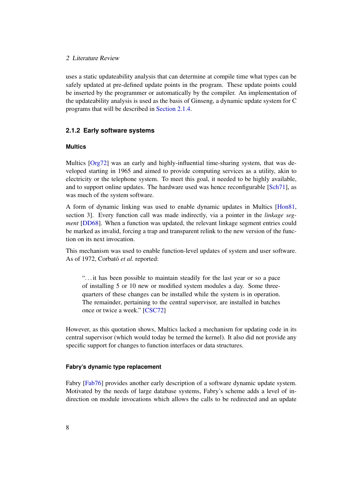uses a static updateability analysis that can determine at compile time what types can be safely updated at pre-defined update points in the program. These update points could be inserted by the programmer or automatically by the compiler. An implementation of the updateability analysis is used as the basis of Ginseng, a dynamic update system for C programs that will be described in [Section 2.1.4.](#page-20-0)

#### **2.1.2 Early software systems**

#### **Multics**

Multics [\[Org72\]](#page-108-1) was an early and highly-influential time-sharing system, that was developed starting in 1965 and aimed to provide computing services as a utility, akin to electricity or the telephone system. To meet this goal, it needed to be highly available, and to support online updates. The hardware used was hence reconfigurable [\[Sch71\]](#page-110-2), as was much of the system software.

A form of dynamic linking was used to enable dynamic updates in Multics [\[Hon81,](#page-106-1) section 3]. Every function call was made indirectly, via a pointer in the *linkage segment* [\[DD68\]](#page-103-0). When a function was updated, the relevant linkage segment entries could be marked as invalid, forcing a trap and transparent relink to the new version of the function on its next invocation.

This mechanism was used to enable function-level updates of system and user software. As of 1972, Corbató *et al.* reported:

". . . it has been possible to maintain steadily for the last year or so a pace of installing 5 or 10 new or modified system modules a day. Some threequarters of these changes can be installed while the system is in operation. The remainder, pertaining to the central supervisor, are installed in batches once or twice a week." [\[CSC72\]](#page-103-1)

However, as this quotation shows, Multics lacked a mechanism for updating code in its central supervisor (which would today be termed the kernel). It also did not provide any specific support for changes to function interfaces or data structures.

#### **Fabry's dynamic type replacement**

Fabry [\[Fab76\]](#page-104-1) provides another early description of a software dynamic update system. Motivated by the needs of large database systems, Fabry's scheme adds a level of indirection on module invocations which allows the calls to be redirected and an update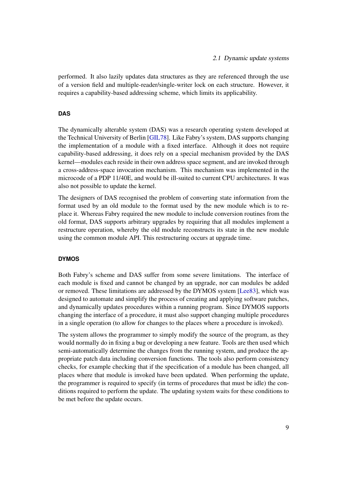performed. It also lazily updates data structures as they are referenced through the use of a version field and multiple-reader/single-writer lock on each structure. However, it requires a capability-based addressing scheme, which limits its applicability.

#### **DAS**

The dynamically alterable system (DAS) was a research operating system developed at the Technical University of Berlin [\[GIL78\]](#page-104-5). Like Fabry's system, DAS supports changing the implementation of a module with a fixed interface. Although it does not require capability-based addressing, it does rely on a special mechanism provided by the DAS kernel—modules each reside in their own address space segment, and are invoked through a cross-address-space invocation mechanism. This mechanism was implemented in the microcode of a PDP 11/40E, and would be ill-suited to current CPU architectures. It was also not possible to update the kernel.

The designers of DAS recognised the problem of converting state information from the format used by an old module to the format used by the new module which is to replace it. Whereas Fabry required the new module to include conversion routines from the old format, DAS supports arbitrary upgrades by requiring that all modules implement a restructure operation, whereby the old module reconstructs its state in the new module using the common module API. This restructuring occurs at upgrade time.

#### **DYMOS**

<span id="page-16-0"></span>Both Fabry's scheme and DAS suffer from some severe limitations. The interface of each module is fixed and cannot be changed by an upgrade, nor can modules be added or removed. These limitations are addressed by the DYMOS system [\[Lee83\]](#page-107-0), which was designed to automate and simplify the process of creating and applying software patches, and dynamically updates procedures within a running program. Since DYMOS supports changing the interface of a procedure, it must also support changing multiple procedures in a single operation (to allow for changes to the places where a procedure is invoked).

The system allows the programmer to simply modify the source of the program, as they would normally do in fixing a bug or developing a new feature. Tools are then used which semi-automatically determine the changes from the running system, and produce the appropriate patch data including conversion functions. The tools also perform consistency checks, for example checking that if the specification of a module has been changed, all places where that module is invoked have been updated. When performing the update, the programmer is required to specify (in terms of procedures that must be idle) the conditions required to perform the update. The updating system waits for these conditions to be met before the update occurs.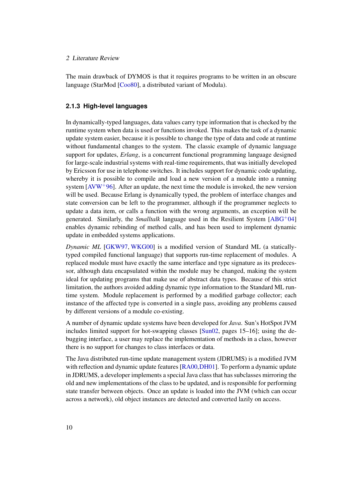The main drawback of DYMOS is that it requires programs to be written in an obscure language (StarMod [\[Coo80\]](#page-103-2), a distributed variant of Modula).

#### **2.1.3 High-level languages**

In dynamically-typed languages, data values carry type information that is checked by the runtime system when data is used or functions invoked. This makes the task of a dynamic update system easier, because it is possible to change the type of data and code at runtime without fundamental changes to the system. The classic example of dynamic language support for updates, *Erlang*, is a concurrent functional programming language designed for large-scale industrial systems with real-time requirements, that was initially developed by Ericsson for use in telephone switches. It includes support for dynamic code updating, whereby it is possible to compile and load a new version of a module into a running system [\[AVW](#page-101-0)<sup>+</sup>96]. After an update, the next time the module is invoked, the new version will be used. Because Erlang is dynamically typed, the problem of interface changes and state conversion can be left to the programmer, although if the programmer neglects to update a data item, or calls a function with the wrong arguments, an exception will be generated. Similarly, the *Smalltalk* language used in the Resilient System  $[ABC^+04]$ enables dynamic rebinding of method calls, and has been used to implement dynamic update in embedded systems applications.

*Dynamic ML* [\[GKW97,](#page-105-2) [WKG00\]](#page-111-0) is a modified version of Standard ML (a staticallytyped compiled functional language) that supports run-time replacement of modules. A replaced module must have exactly the same interface and type signature as its predecessor, although data encapsulated within the module may be changed, making the system ideal for updating programs that make use of abstract data types. Because of this strict limitation, the authors avoided adding dynamic type information to the Standard ML runtime system. Module replacement is performed by a modified garbage collector; each instance of the affected type is converted in a single pass, avoiding any problems caused by different versions of a module co-existing.

A number of dynamic update systems have been developed for *Java*. Sun's HotSpot JVM includes limited support for hot-swapping classes [\[Sun02,](#page-110-3) pages 15–16]; using the debugging interface, a user may replace the implementation of methods in a class, however there is no support for changes to class interfaces or data.

The Java distributed run-time update management system (JDRUMS) is a modified JVM with reflection and dynamic update features [\[RA00](#page-109-2)[,DH01\]](#page-103-3). To perform a dynamic update in JDRUMS, a developer implements a special Java class that has subclasses mirroring the old and new implementations of the class to be updated, and is responsible for performing state transfer between objects. Once an update is loaded into the JVM (which can occur across a network), old object instances are detected and converted lazily on access.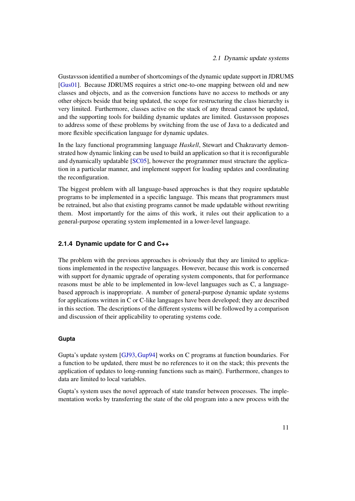Gustavsson identified a number of shortcomings of the dynamic update support in JDRUMS [\[Gus01\]](#page-105-3). Because JDRUMS requires a strict one-to-one mapping between old and new classes and objects, and as the conversion functions have no access to methods or any other objects beside that being updated, the scope for restructuring the class hierarchy is very limited. Furthermore, classes active on the stack of any thread cannot be updated, and the supporting tools for building dynamic updates are limited. Gustavsson proposes to address some of these problems by switching from the use of Java to a dedicated and more flexible specification language for dynamic updates.

In the lazy functional programming language *Haskell*, Stewart and Chakravarty demonstrated how dynamic linking can be used to build an application so that it is reconfigurable and dynamically updatable [\[SC05\]](#page-110-4), however the programmer must structure the application in a particular manner, and implement support for loading updates and coordinating the reconfiguration.

The biggest problem with all language-based approaches is that they require updatable programs to be implemented in a specific language. This means that programmers must be retrained, but also that existing programs cannot be made updatable without rewriting them. Most importantly for the aims of this work, it rules out their application to a general-purpose operating system implemented in a lower-level language.

#### **2.1.4 Dynamic update for C and C++**

The problem with the previous approaches is obviously that they are limited to applications implemented in the respective languages. However, because this work is concerned with support for dynamic upgrade of operating system components, that for performance reasons must be able to be implemented in low-level languages such as C, a languagebased approach is inappropriate. A number of general-purpose dynamic update systems for applications written in C or C-like languages have been developed; they are described in this section. The descriptions of the different systems will be followed by a comparison and discussion of their applicability to operating systems code.

#### **Gupta**

<span id="page-18-0"></span>Gupta's update system [\[GJ93,](#page-104-2)[Gup94\]](#page-105-1) works on C programs at function boundaries. For a function to be updated, there must be no references to it on the stack; this prevents the application of updates to long-running functions such as main(). Furthermore, changes to data are limited to local variables.

Gupta's system uses the novel approach of state transfer between processes. The implementation works by transferring the state of the old program into a new process with the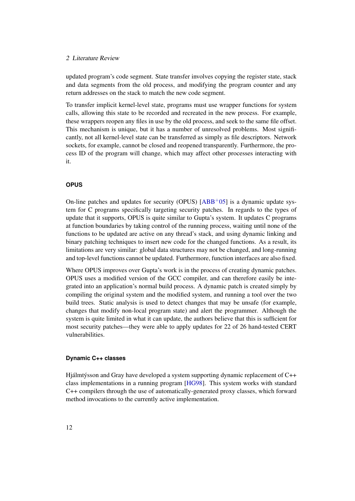updated program's code segment. State transfer involves copying the register state, stack and data segments from the old process, and modifying the program counter and any return addresses on the stack to match the new code segment.

To transfer implicit kernel-level state, programs must use wrapper functions for system calls, allowing this state to be recorded and recreated in the new process. For example, these wrappers reopen any files in use by the old process, and seek to the same file offset. This mechanism is unique, but it has a number of unresolved problems. Most significantly, not all kernel-level state can be transferred as simply as file descriptors. Network sockets, for example, cannot be closed and reopened transparently. Furthermore, the process ID of the program will change, which may affect other processes interacting with it.

#### **OPUS**

<span id="page-19-0"></span>On-line patches and updates for security (OPUS)  $[ABB<sup>+</sup>05]$  $[ABB<sup>+</sup>05]$  is a dynamic update system for C programs specifically targeting security patches. In regards to the types of update that it supports, OPUS is quite similar to Gupta's system. It updates C programs at function boundaries by taking control of the running process, waiting until none of the functions to be updated are active on any thread's stack, and using dynamic linking and binary patching techniques to insert new code for the changed functions. As a result, its limitations are very similar: global data structures may not be changed, and long-running and top-level functions cannot be updated. Furthermore, function interfaces are also fixed.

Where OPUS improves over Gupta's work is in the process of creating dynamic patches. OPUS uses a modified version of the GCC compiler, and can therefore easily be integrated into an application's normal build process. A dynamic patch is created simply by compiling the original system and the modified system, and running a tool over the two build trees. Static analysis is used to detect changes that may be unsafe (for example, changes that modify non-local program state) and alert the programmer. Although the system is quite limited in what it can update, the authors believe that this is sufficient for most security patches—they were able to apply updates for 22 of 26 hand-tested CERT vulnerabilities.

#### **Dynamic C++ classes**

Hjálmtýsson and Gray have developed a system supporting dynamic replacement of C++ class implementations in a running program [\[HG98\]](#page-106-2). This system works with standard C++ compilers through the use of automatically-generated proxy classes, which forward method invocations to the currently active implementation.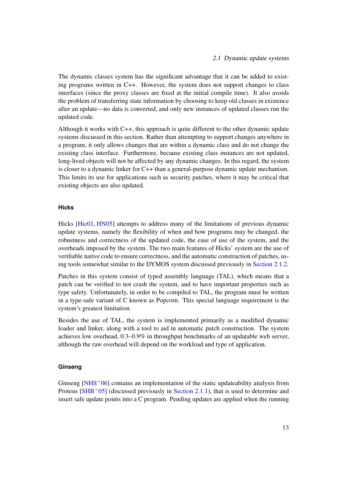The dynamic classes system has the significant advantage that it can be added to existing programs written in C++. However, the system does not support changes to class interfaces (since the proxy classes are fixed at the initial compile time). It also avoids the problem of transferring state information by choosing to keep old classes in existence after an update—no data is converted, and only new instances of updated classes run the updated code.

Although it works with C++, this approach is quite different to the other dynamic update systems discussed in this section. Rather than attempting to support changes anywhere in a program, it only allows changes that are within a dynamic class and do not change the existing class interface. Furthermore, because existing class instances are not updated, long-lived objects will not be affected by any dynamic changes. In this regard, the system is closer to a dynamic linker for C++ than a general-purpose dynamic update mechanism. This limits its use for applications such as security patches, where it may be critical that existing objects are also updated.

#### **Hicks**

Hicks [\[Hic01,](#page-106-3) [HN05\]](#page-106-4) attempts to address many of the limitations of previous dynamic update systems, namely the flexibility of when and how programs may be changed, the robustness and correctness of the updated code, the ease of use of the system, and the overheads imposed by the system. The two main features of Hicks' system are the use of verifiable native code to ensure correctness, and the automatic construction of patches, using tools somewhat similar to the DYMOS system discussed previously in [Section 2.1.2.](#page-16-0)

Patches in this system consist of typed assembly language (TAL), which means that a patch can be verified to not crash the system, and to have important properties such as type safety. Unfortunately, in order to be compiled to TAL, the program must be written in a type-safe variant of C known as Popcorn. This special language requirement is the system's greatest limitation.

Besides the use of TAL, the system is implemented primarily as a modified dynamic loader and linker, along with a tool to aid in automatic patch construction. The system achieves low overhead, 0.3–0.9% in throughput benchmarks of an updatable web server, although the raw overhead will depend on the workload and type of application.

#### **Ginseng**

<span id="page-20-0"></span>Ginseng  $[NHS<sup>+</sup>06]$  $[NHS<sup>+</sup>06]$  contains an implementation of the static updateability analysis from Proteus  $[SHB<sup>+</sup>05]$  $[SHB<sup>+</sup>05]$  (discussed previously in [Section 2.1.1\)](#page-14-0), that is used to determine and insert safe update points into a C program. Pending updates are applied when the running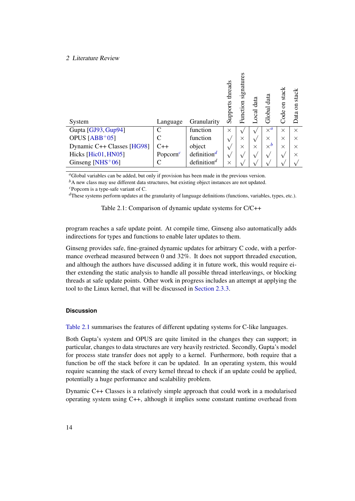|                               |             |                                      | threads<br>Supports | signatures<br>Function | data<br><b>Ocal</b> | Global data | stack<br>$\overline{5}$<br>Code | stack<br>$\overline{\rm s}$<br>ata |
|-------------------------------|-------------|--------------------------------------|---------------------|------------------------|---------------------|-------------|---------------------------------|------------------------------------|
| System                        | Language    | Granularity                          |                     |                        |                     |             |                                 |                                    |
| Gupta [GJ93, Gup94]           | C           | function                             | $\times$            |                        |                     | $\times^a$  | $\times$                        | $\times$                           |
| OPUS $[ABB^+05]$              | C           | function                             | $\sqrt{ }$          | $\times$               | $\mathsf v$         | X           | $\times$                        | X                                  |
| Dynamic C++ Classes [HG98]    | $C++$       | object                               |                     | $\times$               | $\times$            | $\times^b$  | $\times$                        | $\times$                           |
| Hicks [Hic01, HN05]           | Popcorn $c$ | definition <sup>d</sup>              | $\mathsf{v}$        |                        |                     |             |                                 | $\times$                           |
| Ginseng [NHS <sup>+</sup> 06] |             | definition <sup><math>d</math></sup> | $\times$            |                        |                     |             |                                 |                                    |

<span id="page-21-1"></span>*<sup>a</sup>*Global variables can be added, but only if provision has been made in the previous version.

<span id="page-21-2"></span><sup>*b*</sup>A new class may use different data structures, but existing object instances are not updated.

<span id="page-21-3"></span>*<sup>c</sup>*Popcorn is a type-safe variant of C.

<span id="page-21-4"></span>*<sup>d</sup>*These systems perform updates at the granularity of language definitions (functions, variables, types, etc.).

<span id="page-21-0"></span>Table 2.1: Comparison of dynamic update systems for C/C++

program reaches a safe update point. At compile time, Ginseng also automatically adds indirections for types and functions to enable later updates to them.

Ginseng provides safe, fine-grained dynamic updates for arbitrary C code, with a performance overhead measured between 0 and 32%. It does not support threaded execution, and although the authors have discussed adding it in future work, this would require either extending the static analysis to handle all possible thread interleavings, or blocking threads at safe update points. Other work in progress includes an attempt at applying the tool to the Linux kernel, that will be discussed in [Section 2.3.3.](#page-32-0)

#### **Discussion**

[Table 2.1](#page-21-0) summarises the features of different updating systems for C-like languages.

Both Gupta's system and OPUS are quite limited in the changes they can support; in particular, changes to data structures are very heavily restricted. Secondly, Gupta's model for process state transfer does not apply to a kernel. Furthermore, both require that a function be off the stack before it can be updated. In an operating system, this would require scanning the stack of every kernel thread to check if an update could be applied, potentially a huge performance and scalability problem.

Dynamic C++ Classes is a relatively simple approach that could work in a modularised operating system using C++, although it implies some constant runtime overhead from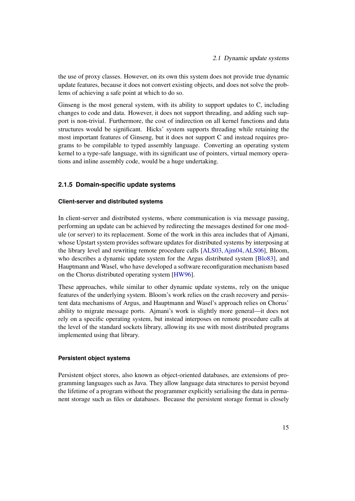the use of proxy classes. However, on its own this system does not provide true dynamic update features, because it does not convert existing objects, and does not solve the problems of achieving a safe point at which to do so.

Ginseng is the most general system, with its ability to support updates to C, including changes to code and data. However, it does not support threading, and adding such support is non-trivial. Furthermore, the cost of indirection on all kernel functions and data structures would be significant. Hicks' system supports threading while retaining the most important features of Ginseng, but it does not support C and instead requires programs to be compilable to typed assembly language. Converting an operating system kernel to a type-safe language, with its significant use of pointers, virtual memory operations and inline assembly code, would be a huge undertaking.

#### **2.1.5 Domain-specific update systems**

#### **Client-server and distributed systems**

In client-server and distributed systems, where communication is via message passing, performing an update can be achieved by redirecting the messages destined for one module (or server) to its replacement. Some of the work in this area includes that of Ajmani, whose Upstart system provides software updates for distributed systems by interposing at the library level and rewriting remote procedure calls [\[ALS03,](#page-101-1) [Ajm04,](#page-101-2) [ALS06\]](#page-101-3), Bloom, who describes a dynamic update system for the Argus distributed system [\[Blo83\]](#page-102-1), and Hauptmann and Wasel, who have developed a software reconfiguration mechanism based on the Chorus distributed operating system [\[HW96\]](#page-106-0).

These approaches, while similar to other dynamic update systems, rely on the unique features of the underlying system. Bloom's work relies on the crash recovery and persistent data mechanisms of Argus, and Hauptmann and Wasel's approach relies on Chorus' ability to migrate message ports. Ajmani's work is slightly more general—it does not rely on a specific operating system, but instead interposes on remote procedure calls at the level of the standard sockets library, allowing its use with most distributed programs implemented using that library.

#### **Persistent object systems**

Persistent object stores, also known as object-oriented databases, are extensions of programming languages such as Java. They allow language data structures to persist beyond the lifetime of a program without the programmer explicitly serialising the data in permanent storage such as files or databases. Because the persistent storage format is closely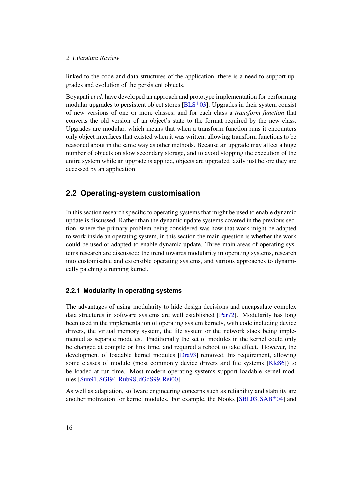linked to the code and data structures of the application, there is a need to support upgrades and evolution of the persistent objects.

Boyapati *et al.* have developed an approach and prototype implementation for performing modular upgrades to persistent object stores  $[BLS<sup>+</sup>03]$  $[BLS<sup>+</sup>03]$ . Upgrades in their system consist of new versions of one or more classes, and for each class a *transform function* that converts the old version of an object's state to the format required by the new class. Upgrades are modular, which means that when a transform function runs it encounters only object interfaces that existed when it was written, allowing transform functions to be reasoned about in the same way as other methods. Because an upgrade may affect a huge number of objects on slow secondary storage, and to avoid stopping the execution of the entire system while an upgrade is applied, objects are upgraded lazily just before they are accessed by an application.

## <span id="page-23-0"></span>**2.2 Operating-system customisation**

In this section research specific to operating systems that might be used to enable dynamic update is discussed. Rather than the dynamic update systems covered in the previous section, where the primary problem being considered was how that work might be adapted to work inside an operating system, in this section the main question is whether the work could be used or adapted to enable dynamic update. Three main areas of operating systems research are discussed: the trend towards modularity in operating systems, research into customisable and extensible operating systems, and various approaches to dynamically patching a running kernel.

#### **2.2.1 Modularity in operating systems**

The advantages of using modularity to hide design decisions and encapsulate complex data structures in software systems are well established [\[Par72\]](#page-109-3). Modularity has long been used in the implementation of operating system kernels, with code including device drivers, the virtual memory system, the file system or the network stack being implemented as separate modules. Traditionally the set of modules in the kernel could only be changed at compile or link time, and required a reboot to take effect. However, the development of loadable kernel modules [\[Dra93\]](#page-103-4) removed this requirement, allowing some classes of module (most commonly device drivers and file systems [\[Kle86\]](#page-107-1)) to be loaded at run time. Most modern operating systems support loadable kernel modules [\[Sun91,](#page-110-5)[SGI94,](#page-110-6)[Rub98,](#page-109-4) [dGdS99,](#page-103-5)[Rei00\]](#page-109-5).

As well as adaptation, software engineering concerns such as reliability and stability are another motivation for kernel modules. For example, the Nooks  $[SBL03, SAB<sup>+</sup>04]$  $[SBL03, SAB<sup>+</sup>04]$  $[SBL03, SAB<sup>+</sup>04]$  $[SBL03, SAB<sup>+</sup>04]$  and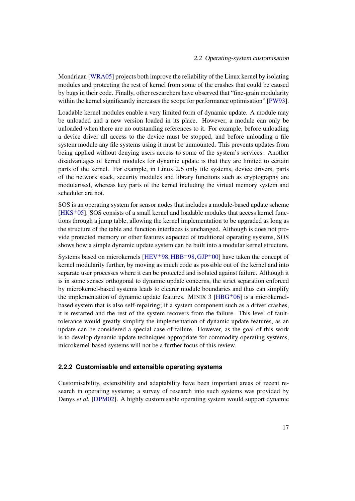Mondriaan [\[WRA05\]](#page-111-1) projects both improve the reliability of the Linux kernel by isolating modules and protecting the rest of kernel from some of the crashes that could be caused by bugs in their code. Finally, other researchers have observed that "fine-grain modularity within the kernel significantly increases the scope for performance optimisation" [\[PW93\]](#page-109-7).

Loadable kernel modules enable a very limited form of dynamic update. A module may be unloaded and a new version loaded in its place. However, a module can only be unloaded when there are no outstanding references to it. For example, before unloading a device driver all access to the device must be stopped, and before unloading a file system module any file systems using it must be unmounted. This prevents updates from being applied without denying users access to some of the system's services. Another disadvantages of kernel modules for dynamic update is that they are limited to certain parts of the kernel. For example, in Linux 2.6 only file systems, device drivers, parts of the network stack, security modules and library functions such as cryptography are modularised, whereas key parts of the kernel including the virtual memory system and scheduler are not.

SOS is an operating system for sensor nodes that includes a module-based update scheme  $[HKS<sup>+</sup>05]$  $[HKS<sup>+</sup>05]$ . SOS consists of a small kernel and loadable modules that access kernel functions through a jump table, allowing the kernel implementation to be upgraded as long as the structure of the table and function interfaces is unchanged. Although is does not provide protected memory or other features expected of traditional operating systems, SOS shows how a simple dynamic update system can be built into a modular kernel structure.

Systems based on microkernels  $[HEV^+98, HBB^+98, GJP^+00]$  $[HEV^+98, HBB^+98, GJP^+00]$  $[HEV^+98, HBB^+98, GJP^+00]$  $[HEV^+98, HBB^+98, GJP^+00]$  $[HEV^+98, HBB^+98, GJP^+00]$  $[HEV^+98, HBB^+98, GJP^+00]$  have taken the concept of kernel modularity further, by moving as much code as possible out of the kernel and into separate user processes where it can be protected and isolated against failure. Although it is in some senses orthogonal to dynamic update concerns, the strict separation enforced by microkernel-based systems leads to clearer module boundaries and thus can simplify the implementation of dynamic update features. MINIX  $3$  [\[HBG](#page-106-7)<sup>+</sup>06] is a microkernelbased system that is also self-repairing; if a system component such as a driver crashes, it is restarted and the rest of the system recovers from the failure. This level of faulttolerance would greatly simplify the implementation of dynamic update features, as an update can be considered a special case of failure. However, as the goal of this work is to develop dynamic-update techniques appropriate for commodity operating systems, microkernel-based systems will not be a further focus of this review.

#### **2.2.2 Customisable and extensible operating systems**

Customisability, extensibility and adaptability have been important areas of recent research in operating systems; a survey of research into such systems was provided by Denys *et al.* [\[DPM02\]](#page-103-6). A highly customisable operating system would support dynamic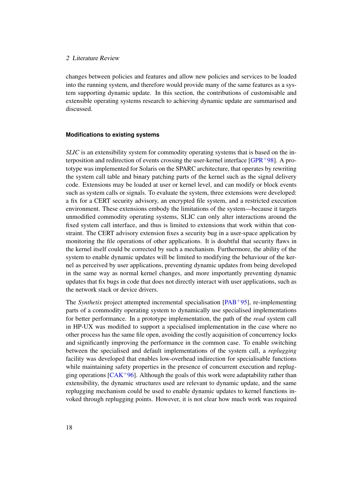changes between policies and features and allow new policies and services to be loaded into the running system, and therefore would provide many of the same features as a system supporting dynamic update. In this section, the contributions of customisable and extensible operating systems research to achieving dynamic update are summarised and discussed.

#### **Modifications to existing systems**

*SLIC* is an extensibility system for commodity operating systems that is based on the interposition and redirection of events crossing the user-kernel interface  $[GPR+98]$  $[GPR+98]$ . A prototype was implemented for Solaris on the SPARC architecture, that operates by rewriting the system call table and binary patching parts of the kernel such as the signal delivery code. Extensions may be loaded at user or kernel level, and can modify or block events such as system calls or signals. To evaluate the system, three extensions were developed: a fix for a CERT security advisory, an encrypted file system, and a restricted execution environment. These extensions embody the limitations of the system—because it targets unmodified commodity operating systems, SLIC can only alter interactions around the fixed system call interface, and thus is limited to extensions that work within that constraint. The CERT advisory extension fixes a security bug in a user-space application by monitoring the file operations of other applications. It is doubtful that security flaws in the kernel itself could be corrected by such a mechanism. Furthermore, the ability of the system to enable dynamic updates will be limited to modifying the behaviour of the kernel as perceived by user applications, preventing dynamic updates from being developed in the same way as normal kernel changes, and more importantly preventing dynamic updates that fix bugs in code that does not directly interact with user applications, such as the network stack or device drivers.

The *Synthetix* project attempted incremental specialisation [\[PAB](#page-108-3)<sup>+95</sup>], re-implementing parts of a commodity operating system to dynamically use specialised implementations for better performance. In a prototype implementation, the path of the *read* system call in HP-UX was modified to support a specialised implementation in the case where no other process has the same file open, avoiding the costly acquisition of concurrency locks and significantly improving the performance in the common case. To enable switching between the specialised and default implementations of the system call, a *replugging* facility was developed that enables low-overhead indirection for specialisable functions while maintaining safety properties in the presence of concurrent execution and replugging operations  $ICAK<sup>+</sup>96$ . Although the goals of this work were adaptability rather than extensibility, the dynamic structures used are relevant to dynamic update, and the same replugging mechanism could be used to enable dynamic updates to kernel functions invoked through replugging points. However, it is not clear how much work was required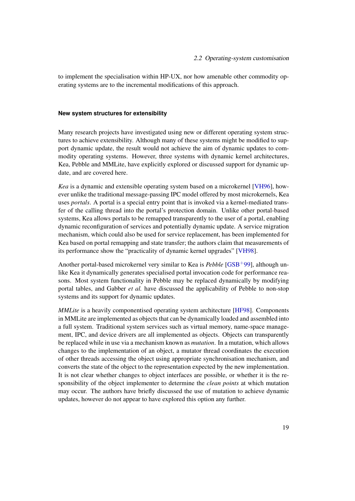to implement the specialisation within HP-UX, nor how amenable other commodity operating systems are to the incremental modifications of this approach.

#### **New system structures for extensibility**

Many research projects have investigated using new or different operating system structures to achieve extensibility. Although many of these systems might be modified to support dynamic update, the result would not achieve the aim of dynamic updates to commodity operating systems. However, three systems with dynamic kernel architectures, Kea, Pebble and MMLite, have explicitly explored or discussed support for dynamic update, and are covered here.

*Kea* is a dynamic and extensible operating system based on a microkernel [\[VH96\]](#page-111-2), however unlike the traditional message-passing IPC model offered by most microkernels, Kea uses *portals*. A portal is a special entry point that is invoked via a kernel-mediated transfer of the calling thread into the portal's protection domain. Unlike other portal-based systems, Kea allows portals to be remapped transparently to the user of a portal, enabling dynamic reconfiguration of services and potentially dynamic update. A service migration mechanism, which could also be used for service replacement, has been implemented for Kea based on portal remapping and state transfer; the authors claim that measurements of its performance show the "practicality of dynamic kernel upgrades" [\[VH98\]](#page-111-3).

Another portal-based microkernel very similar to Kea is *Pebble* [\[GSB](#page-105-6)<sup>+99</sup>], although unlike Kea it dynamically generates specialised portal invocation code for performance reasons. Most system functionality in Pebble may be replaced dynamically by modifying portal tables, and Gabber *et al.* have discussed the applicability of Pebble to non-stop systems and its support for dynamic updates.

*MMLite* is a heavily componentised operating system architecture [\[HF98\]](#page-106-8). Components in MMLite are implemented as objects that can be dynamically loaded and assembled into a full system. Traditional system services such as virtual memory, name-space management, IPC, and device drivers are all implemented as objects. Objects can transparently be replaced while in use via a mechanism known as *mutation*. In a mutation, which allows changes to the implementation of an object, a mutator thread coordinates the execution of other threads accessing the object using appropriate synchronisation mechanism, and converts the state of the object to the representation expected by the new implementation. It is not clear whether changes to object interfaces are possible, or whether it is the responsibility of the object implementer to determine the *clean points* at which mutation may occur. The authors have briefly discussed the use of mutation to achieve dynamic updates, however do not appear to have explored this option any further.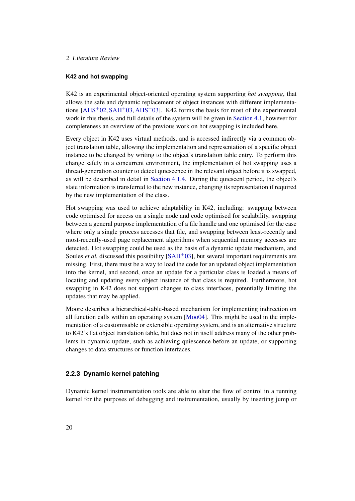#### **K42 and hot swapping**

K42 is an experimental object-oriented operating system supporting *hot swapping*, that allows the safe and dynamic replacement of object instances with different implementations  $[AHS<sup>+</sup>02, SAH<sup>+</sup>03, AHS<sup>+</sup>03]$  $[AHS<sup>+</sup>02, SAH<sup>+</sup>03, AHS<sup>+</sup>03]$  $[AHS<sup>+</sup>02, SAH<sup>+</sup>03, AHS<sup>+</sup>03]$  $[AHS<sup>+</sup>02, SAH<sup>+</sup>03, AHS<sup>+</sup>03]$  $[AHS<sup>+</sup>02, SAH<sup>+</sup>03, AHS<sup>+</sup>03]$  $[AHS<sup>+</sup>02, SAH<sup>+</sup>03, AHS<sup>+</sup>03]$ . K42 forms the basis for most of the experimental work in this thesis, and full details of the system will be given in [Section 4.1,](#page-40-1) however for completeness an overview of the previous work on hot swapping is included here.

Every object in K42 uses virtual methods, and is accessed indirectly via a common object translation table, allowing the implementation and representation of a specific object instance to be changed by writing to the object's translation table entry. To perform this change safely in a concurrent environment, the implementation of hot swapping uses a thread-generation counter to detect quiescence in the relevant object before it is swapped, as will be described in detail in [Section 4.1.4.](#page-45-1) During the quiescent period, the object's state information is transferred to the new instance, changing its representation if required by the new implementation of the class.

Hot swapping was used to achieve adaptability in K42, including: swapping between code optimised for access on a single node and code optimised for scalability, swapping between a general purpose implementation of a file handle and one optimised for the case where only a single process accesses that file, and swapping between least-recently and most-recently-used page replacement algorithms when sequential memory accesses are detected. Hot swapping could be used as the basis of a dynamic update mechanism, and Soules *et al.* discussed this possibility [\[SAH](#page-109-8)<sup>+</sup>03], but several important requirements are missing. First, there must be a way to load the code for an updated object implementation into the kernel, and second, once an update for a particular class is loaded a means of locating and updating every object instance of that class is required. Furthermore, hot swapping in K42 does not support changes to class interfaces, potentially limiting the updates that may be applied.

Moore describes a hierarchical-table-based mechanism for implementing indirection on all function calls within an operating system [\[Moo04\]](#page-108-4). This might be used in the implementation of a customisable or extensible operating system, and is an alternative structure to K42's flat object translation table, but does not in itself address many of the other problems in dynamic update, such as achieving quiescence before an update, or supporting changes to data structures or function interfaces.

#### <span id="page-27-0"></span>**2.2.3 Dynamic kernel patching**

Dynamic kernel instrumentation tools are able to alter the flow of control in a running kernel for the purposes of debugging and instrumentation, usually by inserting jump or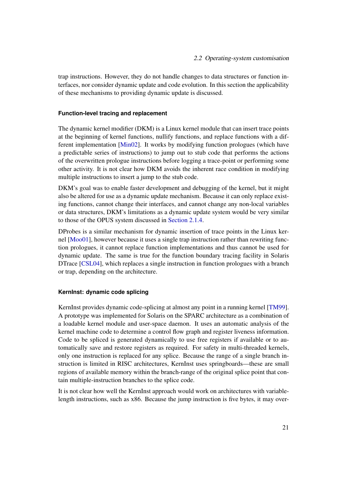trap instructions. However, they do not handle changes to data structures or function interfaces, nor consider dynamic update and code evolution. In this section the applicability of these mechanisms to providing dynamic update is discussed.

#### **Function-level tracing and replacement**

The dynamic kernel modifier (DKM) is a Linux kernel module that can insert trace points at the beginning of kernel functions, nullify functions, and replace functions with a different implementation [\[Min02\]](#page-107-2). It works by modifying function prologues (which have a predictable series of instructions) to jump out to stub code that performs the actions of the overwritten prologue instructions before logging a trace-point or performing some other activity. It is not clear how DKM avoids the inherent race condition in modifying multiple instructions to insert a jump to the stub code.

DKM's goal was to enable faster development and debugging of the kernel, but it might also be altered for use as a dynamic update mechanism. Because it can only replace existing functions, cannot change their interfaces, and cannot change any non-local variables or data structures, DKM's limitations as a dynamic update system would be very similar to those of the OPUS system discussed in [Section 2.1.4.](#page-19-0)

DProbes is a similar mechanism for dynamic insertion of trace points in the Linux kernel [\[Moo01\]](#page-107-3), however because it uses a single trap instruction rather than rewriting function prologues, it cannot replace function implementations and thus cannot be used for dynamic update. The same is true for the function boundary tracing facility in Solaris DTrace [\[CSL04\]](#page-103-7), which replaces a single instruction in function prologues with a branch or trap, depending on the architecture.

#### **KernInst: dynamic code splicing**

KernInst provides dynamic code-splicing at almost any point in a running kernel [\[TM99\]](#page-110-8). A prototype was implemented for Solaris on the SPARC architecture as a combination of a loadable kernel module and user-space daemon. It uses an automatic analysis of the kernel machine code to determine a control flow graph and register liveness information. Code to be spliced is generated dynamically to use free registers if available or to automatically save and restore registers as required. For safety in multi-threaded kernels, only one instruction is replaced for any splice. Because the range of a single branch instruction is limited in RISC architectures, KernInst uses springboards—these are small regions of available memory within the branch-range of the original splice point that contain multiple-instruction branches to the splice code.

It is not clear how well the KernInst approach would work on architectures with variablelength instructions, such as x86. Because the jump instruction is five bytes, it may over-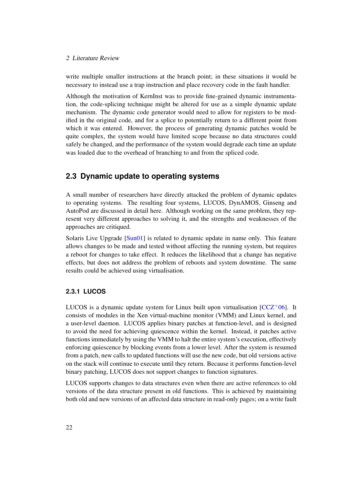write multiple smaller instructions at the branch point; in these situations it would be necessary to instead use a trap instruction and place recovery code in the fault handler.

Although the motivation of KernInst was to provide fine-grained dynamic instrumentation, the code-splicing technique might be altered for use as a simple dynamic update mechanism. The dynamic code generator would need to allow for registers to be modified in the original code, and for a splice to potentially return to a different point from which it was entered. However, the process of generating dynamic patches would be quite complex, the system would have limited scope because no data structures could safely be changed, and the performance of the system would degrade each time an update was loaded due to the overhead of branching to and from the spliced code.

## <span id="page-29-0"></span>**2.3 Dynamic update to operating systems**

A small number of researchers have directly attacked the problem of dynamic updates to operating systems. The resulting four systems, LUCOS, DynAMOS, Ginseng and AutoPod are discussed in detail here. Although working on the same problem, they represent very different approaches to solving it, and the strengths and weaknesses of the approaches are critiqued.

Solaris Live Upgrade [\[Sun01\]](#page-110-9) is related to dynamic update in name only. This feature allows changes to be made and tested without affecting the running system, but requires a reboot for changes to take effect. It reduces the likelihood that a change has negative effects, but does not address the problem of reboots and system downtime. The same results could be achieved using virtualisation.

### **2.3.1 LUCOS**

LUCOS is a dynamic update system for Linux built upon virtualisation  $[CCZ^+06]$  $[CCZ^+06]$ . It consists of modules in the Xen virtual-machine monitor (VMM) and Linux kernel, and a user-level daemon. LUCOS applies binary patches at function-level, and is designed to avoid the need for achieving quiescence within the kernel. Instead, it patches active functions immediately by using the VMM to halt the entire system's execution, effectively enforcing quiescence by blocking events from a lower level. After the system is resumed from a patch, new calls to updated functions will use the new code, but old versions active on the stack will continue to execute until they return. Because it performs function-level binary patching, LUCOS does not support changes to function signatures.

LUCOS supports changes to data structures even when there are active references to old versions of the data structure present in old functions. This is achieved by maintaining both old and new versions of an affected data structure in read-only pages; on a write fault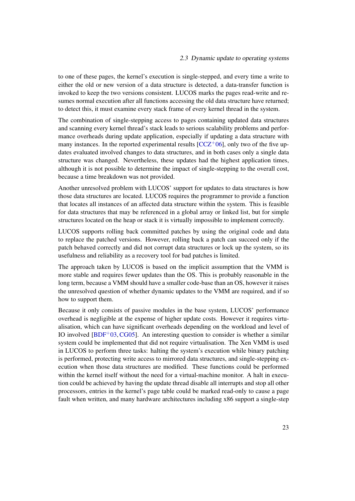to one of these pages, the kernel's execution is single-stepped, and every time a write to either the old or new version of a data structure is detected, a data-transfer function is invoked to keep the two versions consistent. LUCOS marks the pages read-write and resumes normal execution after all functions accessing the old data structure have returned; to detect this, it must examine every stack frame of every kernel thread in the system.

The combination of single-stepping access to pages containing updated data structures and scanning every kernel thread's stack leads to serious scalability problems and performance overheads during update application, especially if updating a data structure with many instances. In the reported experimental results  $[CCZ^+06]$  $[CCZ^+06]$ , only two of the five updates evaluated involved changes to data structures, and in both cases only a single data structure was changed. Nevertheless, these updates had the highest application times, although it is not possible to determine the impact of single-stepping to the overall cost, because a time breakdown was not provided.

Another unresolved problem with LUCOS' support for updates to data structures is how those data structures are located. LUCOS requires the programmer to provide a function that locates all instances of an affected data structure within the system. This is feasible for data structures that may be referenced in a global array or linked list, but for simple structures located on the heap or stack it is virtually impossible to implement correctly.

LUCOS supports rolling back committed patches by using the original code and data to replace the patched versions. However, rolling back a patch can succeed only if the patch behaved correctly and did not corrupt data structures or lock up the system, so its usefulness and reliability as a recovery tool for bad patches is limited.

The approach taken by LUCOS is based on the implicit assumption that the VMM is more stable and requires fewer updates than the OS. This is probably reasonable in the long term, because a VMM should have a smaller code-base than an OS, however it raises the unresolved question of whether dynamic updates to the VMM are required, and if so how to support them.

Because it only consists of passive modules in the base system, LUCOS' performance overhead is negligible at the expense of higher update costs. However it requires virtualisation, which can have significant overheads depending on the workload and level of IO involved  $[BDF<sup>+</sup>03, CG05]$  $[BDF<sup>+</sup>03, CG05]$  $[BDF<sup>+</sup>03, CG05]$ . An interesting question to consider is whether a similar system could be implemented that did not require virtualisation. The Xen VMM is used in LUCOS to perform three tasks: halting the system's execution while binary patching is performed, protecting write access to mirrored data structures, and single-stepping execution when those data structures are modified. These functions could be performed within the kernel itself without the need for a virtual-machine monitor. A halt in execution could be achieved by having the update thread disable all interrupts and stop all other processors, entries in the kernel's page table could be marked read-only to cause a page fault when written, and many hardware architectures including x86 support a single-step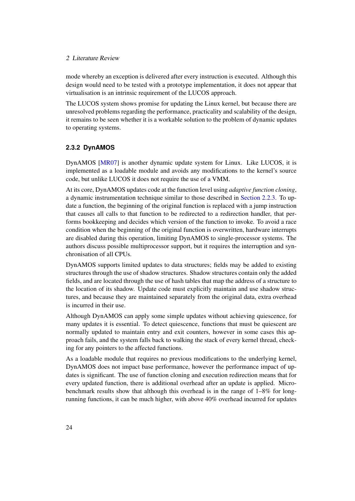mode whereby an exception is delivered after every instruction is executed. Although this design would need to be tested with a prototype implementation, it does not appear that virtualisation is an intrinsic requirement of the LUCOS approach.

The LUCOS system shows promise for updating the Linux kernel, but because there are unresolved problems regarding the performance, practicality and scalability of the design, it remains to be seen whether it is a workable solution to the problem of dynamic updates to operating systems.

#### **2.3.2 DynAMOS**

DynAMOS [\[MR07\]](#page-108-5) is another dynamic update system for Linux. Like LUCOS, it is implemented as a loadable module and avoids any modifications to the kernel's source code, but unlike LUCOS it does not require the use of a VMM.

At its core, DynAMOS updates code at the function level using *adaptive function cloning*, a dynamic instrumentation technique similar to those described in [Section 2.2.3.](#page-27-0) To update a function, the beginning of the original function is replaced with a jump instruction that causes all calls to that function to be redirected to a redirection handler, that performs bookkeeping and decides which version of the function to invoke. To avoid a race condition when the beginning of the original function is overwritten, hardware interrupts are disabled during this operation, limiting DynAMOS to single-processor systems. The authors discuss possible multiprocessor support, but it requires the interruption and synchronisation of all CPUs.

DynAMOS supports limited updates to data structures; fields may be added to existing structures through the use of shadow structures. Shadow structures contain only the added fields, and are located through the use of hash tables that map the address of a structure to the location of its shadow. Update code must explicitly maintain and use shadow structures, and because they are maintained separately from the original data, extra overhead is incurred in their use.

Although DynAMOS can apply some simple updates without achieving quiescence, for many updates it is essential. To detect quiescence, functions that must be quiescent are normally updated to maintain entry and exit counters, however in some cases this approach fails, and the system falls back to walking the stack of every kernel thread, checking for any pointers to the affected functions.

As a loadable module that requires no previous modifications to the underlying kernel, DynAMOS does not impact base performance, however the performance impact of updates is significant. The use of function cloning and execution redirection means that for every updated function, there is additional overhead after an update is applied. Microbenchmark results show that although this overhead is in the range of 1–8% for longrunning functions, it can be much higher, with above 40% overhead incurred for updates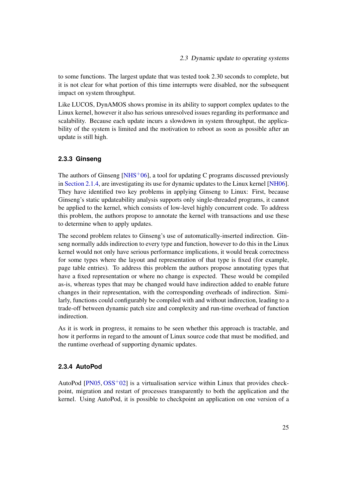to some functions. The largest update that was tested took 2.30 seconds to complete, but it is not clear for what portion of this time interrupts were disabled, nor the subsequent impact on system throughput.

Like LUCOS, DynAMOS shows promise in its ability to support complex updates to the Linux kernel, however it also has serious unresolved issues regarding its performance and scalability. Because each update incurs a slowdown in system throughput, the applicability of the system is limited and the motivation to reboot as soon as possible after an update is still high.

#### <span id="page-32-0"></span>**2.3.3 Ginseng**

The authors of Ginseng  $[NHS^+06]$  $[NHS^+06]$ , a tool for updating C programs discussed previously in [Section 2.1.4,](#page-20-0) are investigating its use for dynamic updates to the Linux kernel [\[NH06\]](#page-108-6). They have identified two key problems in applying Ginseng to Linux: First, because Ginseng's static updateability analysis supports only single-threaded programs, it cannot be applied to the kernel, which consists of low-level highly concurrent code. To address this problem, the authors propose to annotate the kernel with transactions and use these to determine when to apply updates.

The second problem relates to Ginseng's use of automatically-inserted indirection. Ginseng normally adds indirection to every type and function, however to do this in the Linux kernel would not only have serious performance implications, it would break correctness for some types where the layout and representation of that type is fixed (for example, page table entries). To address this problem the authors propose annotating types that have a fixed representation or where no change is expected. These would be compiled as-is, whereas types that may be changed would have indirection added to enable future changes in their representation, with the corresponding overheads of indirection. Similarly, functions could configurably be compiled with and without indirection, leading to a trade-off between dynamic patch size and complexity and run-time overhead of function indirection.

As it is work in progress, it remains to be seen whether this approach is tractable, and how it performs in regard to the amount of Linux source code that must be modified, and the runtime overhead of supporting dynamic updates.

#### **2.3.4 AutoPod**

AutoPod  $[PN05, OSS<sup>+</sup>02]$  $[PN05, OSS<sup>+</sup>02]$  $[PN05, OSS<sup>+</sup>02]$  $[PN05, OSS<sup>+</sup>02]$  is a virtualisation service within Linux that provides checkpoint, migration and restart of processes transparently to both the application and the kernel. Using AutoPod, it is possible to checkpoint an application on one version of a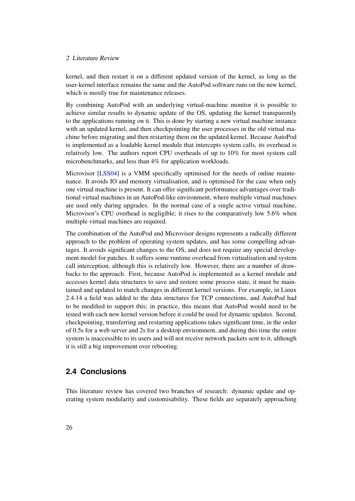kernel, and then restart it on a different updated version of the kernel, as long as the user-kernel interface remains the same and the AutoPod software runs on the new kernel, which is mostly true for maintenance releases.

By combining AutoPod with an underlying virtual-machine monitor it is possible to achieve similar results to dynamic update of the OS, updating the kernel transparently to the applications running on it. This is done by starting a new virtual machine instance with an updated kernel, and then checkpointing the user processes in the old virtual machine before migrating and then restarting them on the updated kernel. Because AutoPod is implemented as a loadable kernel module that intercepts system calls, its overhead is relatively low. The authors report CPU overheads of up to 10% for most system call microbenchmarks, and less than 4% for application workloads.

Microvisor [\[LSS04\]](#page-107-4) is a VMM specifically optimised for the needs of online maintenance. It avoids IO and memory virtualisation, and is optimised for the case when only one virtual machine is present. It can offer significant performance advantages over traditional virtual machines in an AutoPod-like environment, where multiple virtual machines are used only during upgrades. In the normal case of a single active virtual machine, Microvisor's CPU overhead is negligible; it rises to the comparatively low 5.6% when multiple virtual machines are required.

The combination of the AutoPod and Microvisor designs represents a radically different approach to the problem of operating system updates, and has some compelling advantages. It avoids significant changes to the OS, and does not require any special development model for patches. It suffers some runtime overhead from virtualisation and system call interception, although this is relatively low. However, there are a number of drawbacks to the approach. First, because AutoPod is implemented as a kernel module and accesses kernel data structures to save and restore some process state, it must be maintained and updated to match changes in different kernel versions. For example, in Linux 2.4.14 a field was added to the data structures for TCP connections, and AutoPod had to be modified to support this; in practice, this means that AutoPod would need to be tested with each new kernel version before it could be used for dynamic updates. Second, checkpointing, transferring and restarting applications takes significant time, in the order of 0.5s for a web server and 2s for a desktop environment, and during this time the entire system is inaccessible to its users and will not receive network packets sent to it, although it is still a big improvement over rebooting.

### <span id="page-33-0"></span>**2.4 Conclusions**

This literature review has covered two branches of research: dynamic update and operating system modularity and customisability. These fields are separately approaching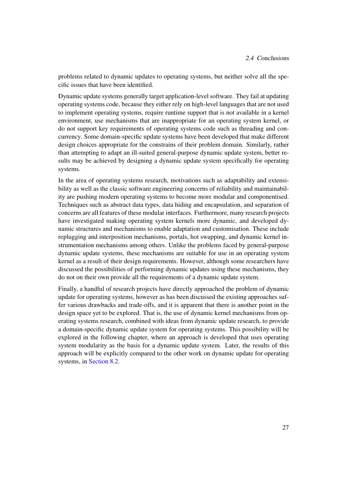problems related to dynamic updates to operating systems, but neither solve all the specific issues that have been identified.

Dynamic update systems generally target application-level software. They fail at updating operating systems code, because they either rely on high-level languages that are not used to implement operating systems, require runtime support that is not available in a kernel environment, use mechanisms that are inappropriate for an operating system kernel, or do not support key requirements of operating systems code such as threading and concurrency. Some domain-specific update systems have been developed that make different design choices appropriate for the constrains of their problem domain. Similarly, rather than attempting to adapt an ill-suited general-purpose dynamic update system, better results may be achieved by designing a dynamic update system specifically for operating systems.

In the area of operating systems research, motivations such as adaptability and extensibility as well as the classic software engineering concerns of reliability and maintainability are pushing modern operating systems to become more modular and componentised. Techniques such as abstract data types, data hiding and encapsulation, and separation of concerns are all features of these modular interfaces. Furthermore, many research projects have investigated making operating system kernels more dynamic, and developed dynamic structures and mechanisms to enable adaptation and customisation. These include replugging and interposition mechanisms, portals, hot swapping, and dynamic kernel instrumentation mechanisms among others. Unlike the problems faced by general-purpose dynamic update systems, these mechanisms are suitable for use in an operating system kernel as a result of their design requirements. However, although some researchers have discussed the possibilities of performing dynamic updates using these mechanisms, they do not on their own provide all the requirements of a dynamic update system.

Finally, a handful of research projects have directly approached the problem of dynamic update for operating systems, however as has been discussed the existing approaches suffer various drawbacks and trade-offs, and it is apparent that there is another point in the design space yet to be explored. That is, the use of dynamic kernel mechanisms from operating systems research, combined with ideas from dynamic update research, to provide a domain-specific dynamic update system for operating systems. This possibility will be explored in the following chapter, where an approach is developed that uses operating system modularity as the basis for a dynamic update system. Later, the results of this approach will be explicitly compared to the other work on dynamic update for operating systems, in [Section 8.2.](#page-92-0)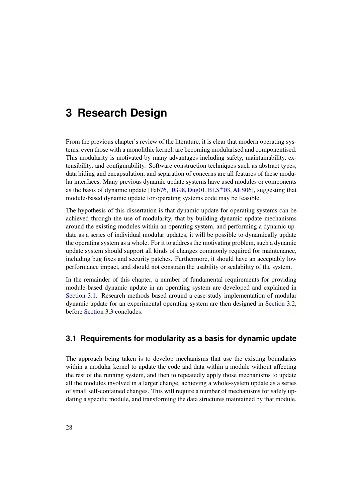## <span id="page-35-0"></span>**3 Research Design**

From the previous chapter's review of the literature, it is clear that modern operating systems, even those with a monolithic kernel, are becoming modularised and componentised. This modularity is motivated by many advantages including safety, maintainability, extensibility, and configurability. Software construction techniques such as abstract types, data hiding and encapsulation, and separation of concerns are all features of these modular interfaces. Many previous dynamic update systems have used modules or components as the basis of dynamic update  $[Fab76, HG98, Dug01, BLS<sup>+</sup>03, ALS06]$  $[Fab76, HG98, Dug01, BLS<sup>+</sup>03, ALS06]$  $[Fab76, HG98, Dug01, BLS<sup>+</sup>03, ALS06]$  $[Fab76, HG98, Dug01, BLS<sup>+</sup>03, ALS06]$  $[Fab76, HG98, Dug01, BLS<sup>+</sup>03, ALS06]$  $[Fab76, HG98, Dug01, BLS<sup>+</sup>03, ALS06]$  $[Fab76, HG98, Dug01, BLS<sup>+</sup>03, ALS06]$  $[Fab76, HG98, Dug01, BLS<sup>+</sup>03, ALS06]$  $[Fab76, HG98, Dug01, BLS<sup>+</sup>03, ALS06]$ , suggesting that module-based dynamic update for operating systems code may be feasible.

The hypothesis of this dissertation is that dynamic update for operating systems can be achieved through the use of modularity, that by building dynamic update mechanisms around the existing modules within an operating system, and performing a dynamic update as a series of individual modular updates, it will be possible to dynamically update the operating system as a whole. For it to address the motivating problem, such a dynamic update system should support all kinds of changes commonly required for maintenance, including bug fixes and security patches. Furthermore, it should have an acceptably low performance impact, and should not constrain the usability or scalability of the system.

In the remainder of this chapter, a number of fundamental requirements for providing module-based dynamic update in an operating system are developed and explained in [Section 3.1.](#page-35-1) Research methods based around a case-study implementation of modular dynamic update for an experimental operating system are then designed in [Section 3.2,](#page-38-0) before [Section 3.3](#page-39-0) concludes.

## <span id="page-35-1"></span>**3.1 Requirements for modularity as a basis for dynamic update**

The approach being taken is to develop mechanisms that use the existing boundaries within a modular kernel to update the code and data within a module without affecting the rest of the running system, and then to repeatedly apply those mechanisms to update all the modules involved in a larger change, achieving a whole-system update as a series of small self-contained changes. This will require a number of mechanisms for safely updating a specific module, and transforming the data structures maintained by that module.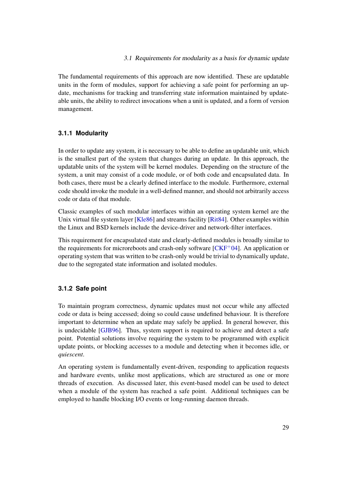The fundamental requirements of this approach are now identified. These are updatable units in the form of modules, support for achieving a safe point for performing an update, mechanisms for tracking and transferring state information maintained by updateable units, the ability to redirect invocations when a unit is updated, and a form of version management.

# **3.1.1 Modularity**

In order to update any system, it is necessary to be able to define an updatable unit, which is the smallest part of the system that changes during an update. In this approach, the updatable units of the system will be kernel modules. Depending on the structure of the system, a unit may consist of a code module, or of both code and encapsulated data. In both cases, there must be a clearly defined interface to the module. Furthermore, external code should invoke the module in a well-defined manner, and should not arbitrarily access code or data of that module.

Classic examples of such modular interfaces within an operating system kernel are the Unix virtual file system layer [\[Kle86\]](#page-107-0) and streams facility [\[Rit84\]](#page-109-0). Other examples within the Linux and BSD kernels include the device-driver and network-filter interfaces.

This requirement for encapsulated state and clearly-defined modules is broadly similar to the requirements for microreboots and crash-only software  $[CKF<sup>+</sup>04]$  $[CKF<sup>+</sup>04]$ . An application or operating system that was written to be crash-only would be trivial to dynamically update, due to the segregated state information and isolated modules.

## **3.1.2 Safe point**

To maintain program correctness, dynamic updates must not occur while any affected code or data is being accessed; doing so could cause undefined behaviour. It is therefore important to determine when an update may safely be applied. In general however, this is undecidable [\[GJB96\]](#page-104-0). Thus, system support is required to achieve and detect a safe point. Potential solutions involve requiring the system to be programmed with explicit update points, or blocking accesses to a module and detecting when it becomes idle, or *quiescent*.

An operating system is fundamentally event-driven, responding to application requests and hardware events, unlike most applications, which are structured as one or more threads of execution. As discussed later, this event-based model can be used to detect when a module of the system has reached a safe point. Additional techniques can be employed to handle blocking I/O events or long-running daemon threads.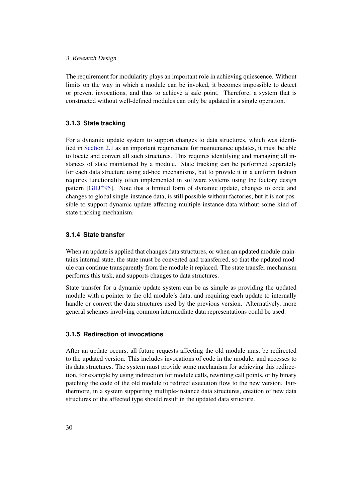#### 3 Research Design

The requirement for modularity plays an important role in achieving quiescence. Without limits on the way in which a module can be invoked, it becomes impossible to detect or prevent invocations, and thus to achieve a safe point. Therefore, a system that is constructed without well-defined modules can only be updated in a single operation.

#### **3.1.3 State tracking**

For a dynamic update system to support changes to data structures, which was identified in [Section 2.1](#page-14-0) as an important requirement for maintenance updates, it must be able to locate and convert all such structures. This requires identifying and managing all instances of state maintained by a module. State tracking can be performed separately for each data structure using ad-hoc mechanisms, but to provide it in a uniform fashion requires functionality often implemented in software systems using the factory design pattern [\[GHJ](#page-104-1)+95]. Note that a limited form of dynamic update, changes to code and changes to global single-instance data, is still possible without factories, but it is not possible to support dynamic update affecting multiple-instance data without some kind of state tracking mechanism.

## **3.1.4 State transfer**

When an update is applied that changes data structures, or when an updated module maintains internal state, the state must be converted and transferred, so that the updated module can continue transparently from the module it replaced. The state transfer mechanism performs this task, and supports changes to data structures.

State transfer for a dynamic update system can be as simple as providing the updated module with a pointer to the old module's data, and requiring each update to internally handle or convert the data structures used by the previous version. Alternatively, more general schemes involving common intermediate data representations could be used.

## **3.1.5 Redirection of invocations**

After an update occurs, all future requests affecting the old module must be redirected to the updated version. This includes invocations of code in the module, and accesses to its data structures. The system must provide some mechanism for achieving this redirection, for example by using indirection for module calls, rewriting call points, or by binary patching the code of the old module to redirect execution flow to the new version. Furthermore, in a system supporting multiple-instance data structures, creation of new data structures of the affected type should result in the updated data structure.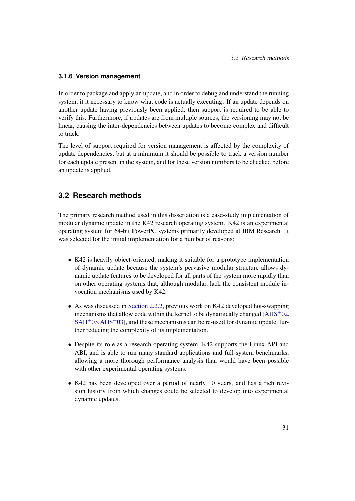# **3.1.6 Version management**

In order to package and apply an update, and in order to debug and understand the running system, it it necessary to know what code is actually executing. If an update depends on another update having previously been applied, then support is required to be able to verify this. Furthermore, if updates are from multiple sources, the versioning may not be linear, causing the inter-dependencies between updates to become complex and difficult to track.

The level of support required for version management is affected by the complexity of update dependencies, but at a minimum it should be possible to track a version number for each update present in the system, and for these version numbers to be checked before an update is applied.

# <span id="page-38-0"></span>**3.2 Research methods**

The primary research method used in this dissertation is a case-study implementation of modular dynamic update in the K42 research operating system. K42 is an experimental operating system for 64-bit PowerPC systems primarily developed at IBM Research. It was selected for the initial implementation for a number of reasons:

- K42 is heavily object-oriented, making it suitable for a prototype implementation of dynamic update because the system's pervasive modular structure allows dynamic update features to be developed for all parts of the system more rapidly than on other operating systems that, although modular, lack the consistent module invocation mechanisms used by K42.
- As was discussed in [Section 2.2.2,](#page-27-0) previous work on K42 developed hot-swapping mechanisms that allow code within the kernel to be dynamically changed  $[AHS^+02]$  $[AHS^+02]$ ,  $SAH<sup>+</sup>03, AHS<sup>+</sup>03$  $SAH<sup>+</sup>03, AHS<sup>+</sup>03$ ], and these mechanisms can be re-used for dynamic update, further reducing the complexity of its implementation.
- Despite its role as a research operating system, K42 supports the Linux API and ABI, and is able to run many standard applications and full-system benchmarks, allowing a more thorough performance analysis than would have been possible with other experimental operating systems.
- K42 has been developed over a period of nearly 10 years, and has a rich revision history from which changes could be selected to develop into experimental dynamic updates.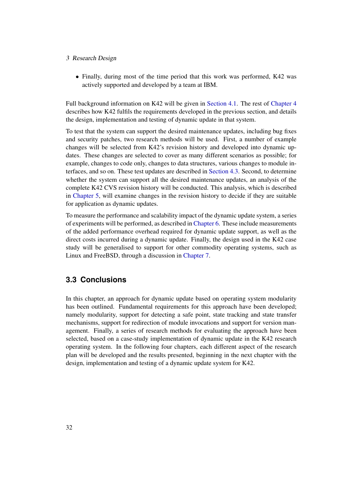#### 3 Research Design

• Finally, during most of the time period that this work was performed, K42 was actively supported and developed by a team at IBM.

Full background information on K42 will be given in [Section 4.1.](#page-40-0) The rest of [Chapter 4](#page-40-1) describes how K42 fulfils the requirements developed in the previous section, and details the design, implementation and testing of dynamic update in that system.

To test that the system can support the desired maintenance updates, including bug fixes and security patches, two research methods will be used. First, a number of example changes will be selected from K42's revision history and developed into dynamic updates. These changes are selected to cover as many different scenarios as possible; for example, changes to code only, changes to data structures, various changes to module interfaces, and so on. These test updates are described in [Section 4.3.](#page-61-0) Second, to determine whether the system can support all the desired maintenance updates, an analysis of the complete K42 CVS revision history will be conducted. This analysis, which is described in [Chapter 5,](#page-68-0) will examine changes in the revision history to decide if they are suitable for application as dynamic updates.

To measure the performance and scalability impact of the dynamic update system, a series of experiments will be performed, as described in [Chapter 6.](#page-76-0) These include measurements of the added performance overhead required for dynamic update support, as well as the direct costs incurred during a dynamic update. Finally, the design used in the K42 case study will be generalised to support for other commodity operating systems, such as Linux and FreeBSD, through a discussion in [Chapter 7.](#page-83-0)

# **3.3 Conclusions**

In this chapter, an approach for dynamic update based on operating system modularity has been outlined. Fundamental requirements for this approach have been developed; namely modularity, support for detecting a safe point, state tracking and state transfer mechanisms, support for redirection of module invocations and support for version management. Finally, a series of research methods for evaluating the approach have been selected, based on a case-study implementation of dynamic update in the K42 research operating system. In the following four chapters, each different aspect of the research plan will be developed and the results presented, beginning in the next chapter with the design, implementation and testing of a dynamic update system for K42.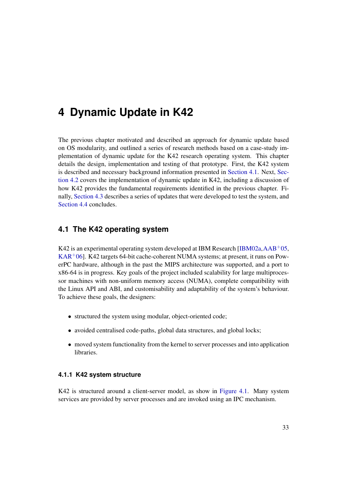<span id="page-40-1"></span>The previous chapter motivated and described an approach for dynamic update based on OS modularity, and outlined a series of research methods based on a case-study implementation of dynamic update for the K42 research operating system. This chapter details the design, implementation and testing of that prototype. First, the K42 system is described and necessary background information presented in [Section 4.1.](#page-40-0) Next, [Sec](#page-50-0)[tion 4.2](#page-50-0) covers the implementation of dynamic update in K42, including a discussion of how K42 provides the fundamental requirements identified in the previous chapter. Finally, [Section 4.3](#page-61-0) describes a series of updates that were developed to test the system, and [Section 4.4](#page-67-0) concludes.

# <span id="page-40-0"></span>**4.1 The K42 operating system**

K42 is an experimental operating system developed at IBM Research  $[IBM02a, AAB^+05,$  $[IBM02a, AAB^+05,$  $[IBM02a, AAB^+05,$  $[IBM02a, AAB^+05,$  $KAR<sup>+</sup>06$  $KAR<sup>+</sup>06$ ]. K42 targets 64-bit cache-coherent NUMA systems; at present, it runs on PowerPC hardware, although in the past the MIPS architecture was supported, and a port to x86-64 is in progress. Key goals of the project included scalability for large multiprocessor machines with non-uniform memory access (NUMA), complete compatibility with the Linux API and ABI, and customisability and adaptability of the system's behaviour. To achieve these goals, the designers:

- structured the system using modular, object-oriented code;
- avoided centralised code-paths, global data structures, and global locks;
- moved system functionality from the kernel to server processes and into application libraries.

# <span id="page-40-2"></span>**4.1.1 K42 system structure**

K42 is structured around a client-server model, as show in [Figure 4.1.](#page-41-0) Many system services are provided by server processes and are invoked using an IPC mechanism.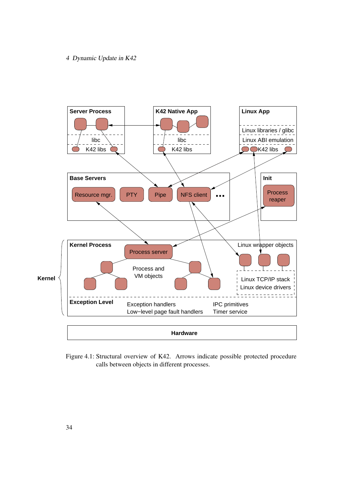

<span id="page-41-0"></span>Figure 4.1: Structural overview of K42. Arrows indicate possible protected procedure calls between objects in different processes.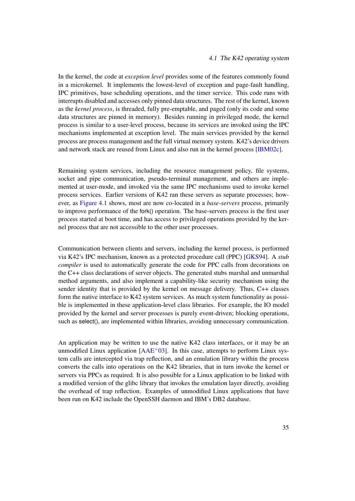#### 4.1 The K42 operating system

In the kernel, the code at *exception level* provides some of the features commonly found in a microkernel. It implements the lowest-level of exception and page-fault handling, IPC primitives, base scheduling operations, and the timer service. This code runs with interrupts disabled and accesses only pinned data structures. The rest of the kernel, known as the *kernel process*, is threaded, fully pre-emptable, and paged (only its code and some data structures are pinned in memory). Besides running in privileged mode, the kernel process is similar to a user-level process, because its services are invoked using the IPC mechanisms implemented at exception level. The main services provided by the kernel process are process management and the full virtual memory system. K42's device drivers and network stack are reused from Linux and also run in the kernel process [\[IBM02c\]](#page-107-2).

Remaining system services, including the resource management policy, file systems, socket and pipe communication, pseudo-terminal management, and others are implemented at user-mode, and invoked via the same IPC mechanisms used to invoke kernel process services. Earlier versions of K42 ran these servers as separate processes; however, as [Figure 4.1](#page-41-0) shows, most are now co-located in a *base-servers* process, primarily to improve performance of the fork() operation. The base-servers process is the first user process started at boot time, and has access to privileged operations provided by the kernel process that are not accessible to the other user processes.

Communication between clients and servers, including the kernel process, is performed via K42's IPC mechanism, known as a protected procedure call (PPC) [\[GKS94\]](#page-105-0). A *stub compiler* is used to automatically generate the code for PPC calls from decorations on the C++ class declarations of server objects. The generated stubs marshal and unmarshal method arguments, and also implement a capability-like security mechanism using the sender identity that is provided by the kernel on message delivery. Thus, C++ classes form the native interface to K42 system services. As much system functionality as possible is implemented in these application-level class libraries. For example, the IO model provided by the kernel and server processes is purely event-driven; blocking operations, such as select(), are implemented within libraries, avoiding unnecessary communication.

An application may be written to use the native K42 class interfaces, or it may be an unmodified Linux application  $[AAE^+03]$  $[AAE^+03]$ . In this case, attempts to perform Linux system calls are intercepted via trap reflection, and an emulation library within the process converts the calls into operations on the K42 libraries, that in turn invoke the kernel or servers via PPCs as required. It is also possible for a Linux application to be linked with a modified version of the glibc library that invokes the emulation layer directly, avoiding the overhead of trap reflection. Examples of unmodified Linux applications that have been run on K42 include the OpenSSH daemon and IBM's DB2 database.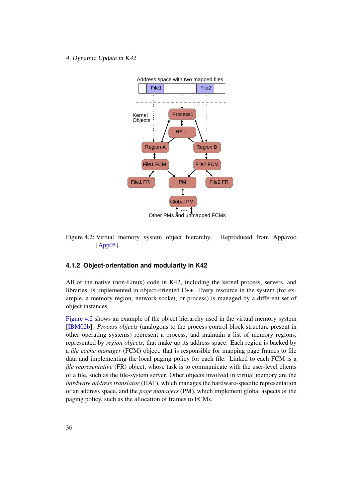

<span id="page-43-0"></span>Figure 4.2: Virtual memory system object hierarchy. Reproduced from Appavoo [\[App05\]](#page-101-1).

# **4.1.2 Object-orientation and modularity in K42**

All of the native (non-Linux) code in K42, including the kernel process, servers, and libraries, is implemented in object-oriented C++. Every resource in the system (for example, a memory region, network socket, or process) is managed by a different set of object instances.

[Figure 4.2](#page-43-0) shows an example of the object hierarchy used in the virtual memory system [\[IBM02b\]](#page-107-3). *Process objects* (analogous to the process control block structure present in other operating systems) represent a process, and maintain a list of memory regions, represented by *region objects*, that make up its address space. Each region is backed by a *file cache manager* (FCM) object, that is responsible for mapping page frames to file data and implementing the local paging policy for each file. Linked to each FCM is a *file representative* (FR) object, whose task is to communicate with the user-level clients of a file, such as the file-system server. Other objects involved in virtual memory are the *hardware address translator* (HAT), which manages the hardware-specific representation of an address space, and the *page managers* (PM), which implement global aspects of the paging policy, such as the allocation of frames to FCMs.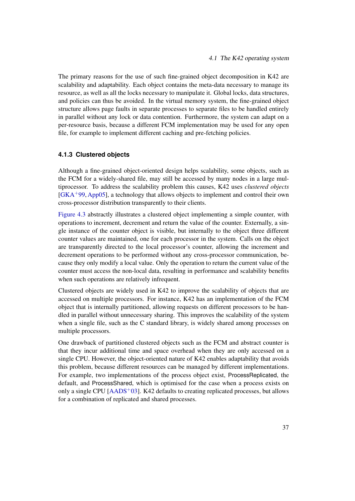The primary reasons for the use of such fine-grained object decomposition in K42 are scalability and adaptability. Each object contains the meta-data necessary to manage its resource, as well as all the locks necessary to manipulate it. Global locks, data structures, and policies can thus be avoided. In the virtual memory system, the fine-grained object structure allows page faults in separate processes to separate files to be handled entirely in parallel without any lock or data contention. Furthermore, the system can adapt on a per-resource basis, because a different FCM implementation may be used for any open file, for example to implement different caching and pre-fetching policies.

## **4.1.3 Clustered objects**

Although a fine-grained object-oriented design helps scalability, some objects, such as the FCM for a widely-shared file, may still be accessed by many nodes in a large multiprocessor. To address the scalability problem this causes, K42 uses *clustered objects* [\[GKA](#page-105-1)+99,[App05\]](#page-101-1), a technology that allows objects to implement and control their own cross-processor distribution transparently to their clients.

[Figure 4.3](#page-45-0) abstractly illustrates a clustered object implementing a simple counter, with operations to increment, decrement and return the value of the counter. Externally, a single instance of the counter object is visible, but internally to the object three different counter values are maintained, one for each processor in the system. Calls on the object are transparently directed to the local processor's counter, allowing the increment and decrement operations to be performed without any cross-processor communication, because they only modify a local value. Only the operation to return the current value of the counter must access the non-local data, resulting in performance and scalability benefits when such operations are relatively infrequent.

Clustered objects are widely used in K42 to improve the scalability of objects that are accessed on multiple processors. For instance, K42 has an implementation of the FCM object that is internally partitioned, allowing requests on different processors to be handled in parallel without unnecessary sharing. This improves the scalability of the system when a single file, such as the C standard library, is widely shared among processes on multiple processors.

One drawback of partitioned clustered objects such as the FCM and abstract counter is that they incur additional time and space overhead when they are only accessed on a single CPU. However, the object-oriented nature of K42 enables adaptability that avoids this problem, because different resources can be managed by different implementations. For example, two implementations of the process object exist, ProcessReplicated, the default, and ProcessShared, which is optimised for the case when a process exists on only a single CPU  $[AADS<sup>+</sup>03]$  $[AADS<sup>+</sup>03]$ . K42 defaults to creating replicated processes, but allows for a combination of replicated and shared processes.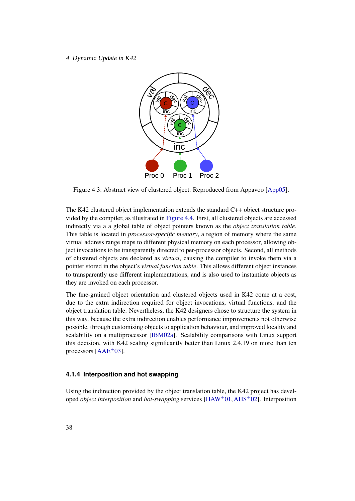

<span id="page-45-0"></span>Figure 4.3: Abstract view of clustered object. Reproduced from Appavoo [\[App05\]](#page-101-1).

The K42 clustered object implementation extends the standard C++ object structure provided by the compiler, as illustrated in [Figure 4.4.](#page-46-0) First, all clustered objects are accessed indirectly via a a global table of object pointers known as the *object translation table*. This table is located in *processor-specific memory*, a region of memory where the same virtual address range maps to different physical memory on each processor, allowing object invocations to be transparently directed to per-processor objects. Second, all methods of clustered objects are declared as *virtual*, causing the compiler to invoke them via a pointer stored in the object's *virtual function table*. This allows different object instances to transparently use different implementations, and is also used to instantiate objects as they are invoked on each processor.

The fine-grained object orientation and clustered objects used in K42 come at a cost, due to the extra indirection required for object invocations, virtual functions, and the object translation table. Nevertheless, the K42 designers chose to structure the system in this way, because the extra indirection enables performance improvements not otherwise possible, through customising objects to application behaviour, and improved locality and scalability on a multiprocessor [\[IBM02a\]](#page-106-0). Scalability comparisons with Linux support this decision, with K42 scaling significantly better than Linux 2.4.19 on more than ten processors  $[AAE^+03]$  $[AAE^+03]$ .

# **4.1.4 Interposition and hot swapping**

Using the indirection provided by the object translation table, the K42 project has developed *object interposition* and *hot-swapping* services [\[HAW](#page-105-2)+01,[AHS](#page-100-0)+02]. Interposition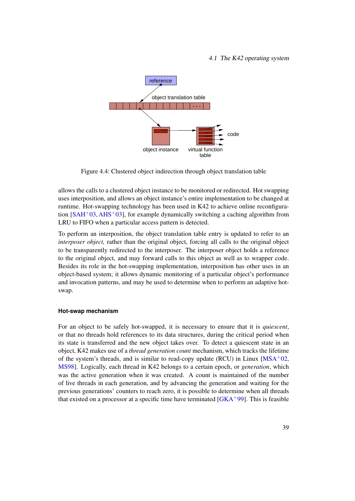#### 4.1 The K42 operating system



<span id="page-46-0"></span>Figure 4.4: Clustered object indirection through object translation table

allows the calls to a clustered object instance to be monitored or redirected. Hot swapping uses interposition, and allows an object instance's entire implementation to be changed at runtime. Hot-swapping technology has been used in K42 to achieve online reconfiguration  $[SAH^+03, AHS^+03]$  $[SAH^+03, AHS^+03]$  $[SAH^+03, AHS^+03]$  $[SAH^+03, AHS^+03]$ , for example dynamically switching a caching algorithm from LRU to FIFO when a particular access pattern is detected.

To perform an interposition, the object translation table entry is updated to refer to an *interposer object,* rather than the original object, forcing all calls to the original object to be transparently redirected to the interposer. The interposer object holds a reference to the original object, and may forward calls to this object as well as to wrapper code. Besides its role in the hot-swapping implementation, interposition has other uses in an object-based system; it allows dynamic monitoring of a particular object's performance and invocation patterns, and may be used to determine when to perform an adaptive hotswap.

#### **Hot-swap mechanism**

For an object to be safely hot-swapped, it is necessary to ensure that it is *quiescent*, or that no threads hold references to its data structures, during the critical period when its state is transferred and the new object takes over. To detect a quiescent state in an object, K42 makes use of a *thread generation count* mechanism, which tracks the lifetime of the system's threads, and is similar to read-copy update (RCU) in Linux  $[MSA<sup>+</sup>02$  $[MSA<sup>+</sup>02$ , [MS98\]](#page-108-1). Logically, each thread in K42 belongs to a certain epoch, or *generation*, which was the active generation when it was created. A count is maintained of the number of live threads in each generation, and by advancing the generation and waiting for the previous generations' counters to reach zero, it is possible to determine when all threads that existed on a processor at a specific time have terminated  $[GKA^+99]$  $[GKA^+99]$ . This is feasible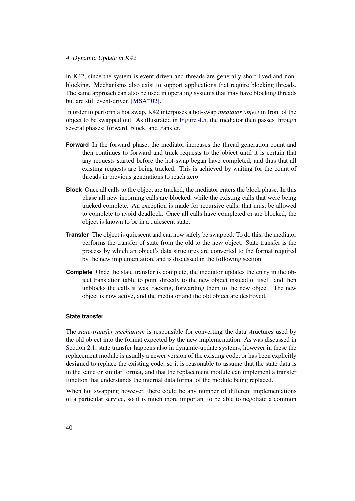in K42, since the system is event-driven and threads are generally short-lived and nonblocking. Mechanisms also exist to support applications that require blocking threads. The same approach can also be used in operating systems that may have blocking threads but are still event-driven  $[MSA<sup>+</sup>02]$  $[MSA<sup>+</sup>02]$ .

In order to perform a hot swap, K42 interposes a hot-swap *mediator object* in front of the object to be swapped out. As illustrated in [Figure 4.5,](#page-48-0) the mediator then passes through several phases: forward, block, and transfer.

- **Forward** In the forward phase, the mediator increases the thread generation count and then continues to forward and track requests to the object until it is certain that any requests started before the hot-swap began have completed, and thus that all existing requests are being tracked. This is achieved by waiting for the count of threads in previous generations to reach zero.
- **Block** Once all calls to the object are tracked, the mediator enters the block phase. In this phase all new incoming calls are blocked, while the existing calls that were being tracked complete. An exception is made for recursive calls, that must be allowed to complete to avoid deadlock. Once all calls have completed or are blocked, the object is known to be in a quiescent state.
- **Transfer** The object is quiescent and can now safely be swapped. To do this, the mediator performs the transfer of state from the old to the new object. State transfer is the process by which an object's data structures are converted to the format required by the new implementation, and is discussed in the following section.
- **Complete** Once the state transfer is complete, the mediator updates the entry in the object translation table to point directly to the new object instead of itself, and then unblocks the calls it was tracking, forwarding them to the new object. The new object is now active, and the mediator and the old object are destroyed.

## **State transfer**

<span id="page-47-0"></span>The *state-transfer mechanism* is responsible for converting the data structures used by the old object into the format expected by the new implementation. As was discussed in [Section 2.1,](#page-11-0) state transfer happens also in dynamic-update systems, however in these the replacement module is usually a newer version of the existing code, or has been explicitly designed to replace the existing code, so it is reasonable to assume that the state data is in the same or similar format, and that the replacement module can implement a transfer function that understands the internal data format of the module being replaced.

When hot swapping however, there could be any number of different implementations of a particular service, so it is much more important to be able to negotiate a common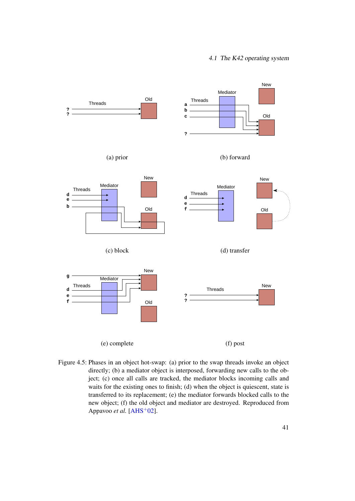#### 4.1 The K42 operating system



<span id="page-48-0"></span>Figure 4.5: Phases in an object hot-swap: (a) prior to the swap threads invoke an object directly; (b) a mediator object is interposed, forwarding new calls to the object; (c) once all calls are tracked, the mediator blocks incoming calls and waits for the existing ones to finish; (d) when the object is quiescent, state is transferred to its replacement; (e) the mediator forwards blocked calls to the new object; (f) the old object and mediator are destroyed. Reproduced from Appavoo *et al.* [\[AHS](#page-100-0)<sup>+</sup>02].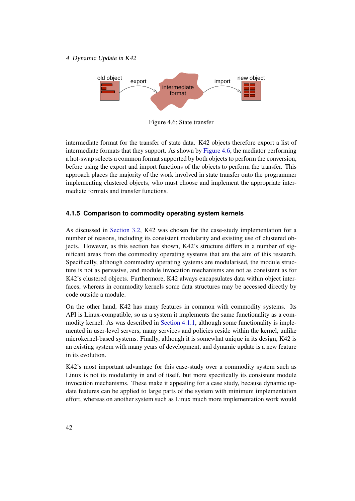

<span id="page-49-0"></span>Figure 4.6: State transfer

intermediate format for the transfer of state data. K42 objects therefore export a list of intermediate formats that they support. As shown by [Figure 4.6,](#page-49-0) the mediator performing a hot-swap selects a common format supported by both objects to perform the conversion, before using the export and import functions of the objects to perform the transfer. This approach places the majority of the work involved in state transfer onto the programmer implementing clustered objects, who must choose and implement the appropriate intermediate formats and transfer functions.

#### **4.1.5 Comparison to commodity operating system kernels**

As discussed in [Section 3.2,](#page-38-0) K42 was chosen for the case-study implementation for a number of reasons, including its consistent modularity and existing use of clustered objects. However, as this section has shown, K42's structure differs in a number of significant areas from the commodity operating systems that are the aim of this research. Specifically, although commodity operating systems are modularised, the module structure is not as pervasive, and module invocation mechanisms are not as consistent as for K42's clustered objects. Furthermore, K42 always encapsulates data within object interfaces, whereas in commodity kernels some data structures may be accessed directly by code outside a module.

On the other hand, K42 has many features in common with commodity systems. Its API is Linux-compatible, so as a system it implements the same functionality as a commodity kernel. As was described in [Section 4.1.1,](#page-40-2) although some functionality is implemented in user-level servers, many services and policies reside within the kernel, unlike microkernel-based systems. Finally, although it is somewhat unique in its design, K42 is an existing system with many years of development, and dynamic update is a new feature in its evolution.

K42's most important advantage for this case-study over a commodity system such as Linux is not its modularity in and of itself, but more specifically its consistent module invocation mechanisms. These make it appealing for a case study, because dynamic update features can be applied to large parts of the system with minimum implementation effort, whereas on another system such as Linux much more implementation work would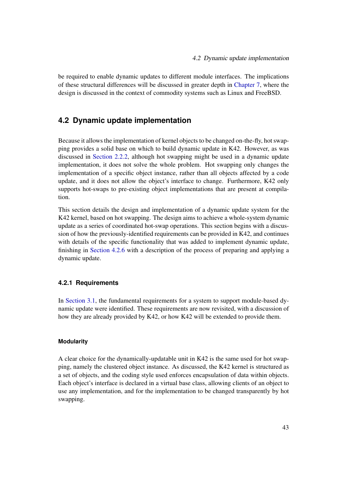be required to enable dynamic updates to different module interfaces. The implications of these structural differences will be discussed in greater depth in [Chapter 7,](#page-83-0) where the design is discussed in the context of commodity systems such as Linux and FreeBSD.

# <span id="page-50-0"></span>**4.2 Dynamic update implementation**

Because it allows the implementation of kernel objects to be changed on-the-fly, hot swapping provides a solid base on which to build dynamic update in K42. However, as was discussed in [Section 2.2.2,](#page-27-0) although hot swapping might be used in a dynamic update implementation, it does not solve the whole problem. Hot swapping only changes the implementation of a specific object instance, rather than all objects affected by a code update, and it does not allow the object's interface to change. Furthermore, K42 only supports hot-swaps to pre-existing object implementations that are present at compilation.

This section details the design and implementation of a dynamic update system for the K42 kernel, based on hot swapping. The design aims to achieve a whole-system dynamic update as a series of coordinated hot-swap operations. This section begins with a discussion of how the previously-identified requirements can be provided in K42, and continues with details of the specific functionality that was added to implement dynamic update, finishing in [Section 4.2.6](#page-58-0) with a description of the process of preparing and applying a dynamic update.

# **4.2.1 Requirements**

In [Section 3.1,](#page-35-0) the fundamental requirements for a system to support module-based dynamic update were identified. These requirements are now revisited, with a discussion of how they are already provided by K42, or how K42 will be extended to provide them.

#### **Modularity**

A clear choice for the dynamically-updatable unit in K42 is the same used for hot swapping, namely the clustered object instance. As discussed, the K42 kernel is structured as a set of objects, and the coding style used enforces encapsulation of data within objects. Each object's interface is declared in a virtual base class, allowing clients of an object to use any implementation, and for the implementation to be changed transparently by hot swapping.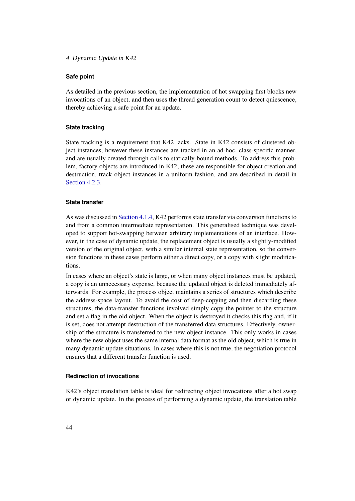#### **Safe point**

As detailed in the previous section, the implementation of hot swapping first blocks new invocations of an object, and then uses the thread generation count to detect quiescence, thereby achieving a safe point for an update.

#### **State tracking**

State tracking is a requirement that K42 lacks. State in K42 consists of clustered object instances, however these instances are tracked in an ad-hoc, class-specific manner, and are usually created through calls to statically-bound methods. To address this problem, factory objects are introduced in K42; these are responsible for object creation and destruction, track object instances in a uniform fashion, and are described in detail in [Section 4.2.3.](#page-53-0)

#### **State transfer**

As was discussed in [Section 4.1.4,](#page-47-0) K42 performs state transfer via conversion functions to and from a common intermediate representation. This generalised technique was developed to support hot-swapping between arbitrary implementations of an interface. However, in the case of dynamic update, the replacement object is usually a slightly-modified version of the original object, with a similar internal state representation, so the conversion functions in these cases perform either a direct copy, or a copy with slight modifications.

In cases where an object's state is large, or when many object instances must be updated, a copy is an unnecessary expense, because the updated object is deleted immediately afterwards. For example, the process object maintains a series of structures which describe the address-space layout. To avoid the cost of deep-copying and then discarding these structures, the data-transfer functions involved simply copy the pointer to the structure and set a flag in the old object. When the object is destroyed it checks this flag and, if it is set, does not attempt destruction of the transferred data structures. Effectively, ownership of the structure is transferred to the new object instance. This only works in cases where the new object uses the same internal data format as the old object, which is true in many dynamic update situations. In cases where this is not true, the negotiation protocol ensures that a different transfer function is used.

### **Redirection of invocations**

K42's object translation table is ideal for redirecting object invocations after a hot swap or dynamic update. In the process of performing a dynamic update, the translation table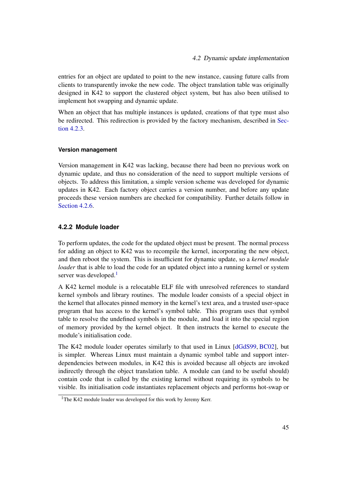entries for an object are updated to point to the new instance, causing future calls from clients to transparently invoke the new code. The object translation table was originally designed in K42 to support the clustered object system, but has also been utilised to implement hot swapping and dynamic update.

When an object that has multiple instances is updated, creations of that type must also be redirected. This redirection is provided by the factory mechanism, described in [Sec](#page-53-0)tion  $4.2.3$ .

#### **Version management**

Version management in K42 was lacking, because there had been no previous work on dynamic update, and thus no consideration of the need to support multiple versions of objects. To address this limitation, a simple version scheme was developed for dynamic updates in K42. Each factory object carries a version number, and before any update proceeds these version numbers are checked for compatibility. Further details follow in [Section 4.2.6.](#page-58-0)

#### **4.2.2 Module loader**

To perform updates, the code for the updated object must be present. The normal process for adding an object to K42 was to recompile the kernel, incorporating the new object, and then reboot the system. This is insufficient for dynamic update, so a *kernel module loader* that is able to load the code for an updated object into a running kernel or system server was developed.<sup>[1](#page-52-0)</sup>

A K42 kernel module is a relocatable ELF file with unresolved references to standard kernel symbols and library routines. The module loader consists of a special object in the kernel that allocates pinned memory in the kernel's text area, and a trusted user-space program that has access to the kernel's symbol table. This program uses that symbol table to resolve the undefined symbols in the module, and load it into the special region of memory provided by the kernel object. It then instructs the kernel to execute the module's initialisation code.

The K42 module loader operates similarly to that used in Linux [\[dGdS99,](#page-103-1) [BC02\]](#page-101-2), but is simpler. Whereas Linux must maintain a dynamic symbol table and support interdependencies between modules, in K42 this is avoided because all objects are invoked indirectly through the object translation table. A module can (and to be useful should) contain code that is called by the existing kernel without requiring its symbols to be visible. Its initialisation code instantiates replacement objects and performs hot-swap or

<span id="page-52-0"></span><sup>&</sup>lt;sup>1</sup>The K42 module loader was developed for this work by Jeremy Kerr.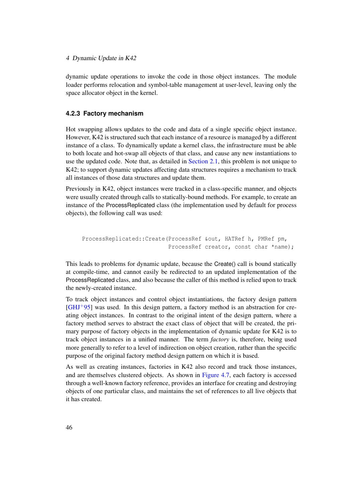dynamic update operations to invoke the code in those object instances. The module loader performs relocation and symbol-table management at user-level, leaving only the space allocator object in the kernel.

#### <span id="page-53-0"></span>**4.2.3 Factory mechanism**

Hot swapping allows updates to the code and data of a single specific object instance. However, K42 is structured such that each instance of a resource is managed by a different instance of a class. To dynamically update a kernel class, the infrastructure must be able to both locate and hot-swap all objects of that class, and cause any new instantiations to use the updated code. Note that, as detailed in [Section 2.1,](#page-11-0) this problem is not unique to K42; to support dynamic updates affecting data structures requires a mechanism to track all instances of those data structures and update them.

Previously in K42, object instances were tracked in a class-specific manner, and objects were usually created through calls to statically-bound methods. For example, to create an instance of the ProcessReplicated class (the implementation used by default for process objects), the following call was used:

```
ProcessReplicated::Create(ProcessRef &out, HATRef h, PMRef pm,
                          ProcessRef creator, const char *name);
```
This leads to problems for dynamic update, because the Create() call is bound statically at compile-time, and cannot easily be redirected to an updated implementation of the ProcessReplicated class, and also because the caller of this method is relied upon to track the newly-created instance.

To track object instances and control object instantiations, the factory design pattern [\[GHJ](#page-104-1)+95] was used. In this design pattern, a factory method is an abstraction for creating object instances. In contrast to the original intent of the design pattern, where a factory method serves to abstract the exact class of object that will be created, the primary purpose of factory objects in the implementation of dynamic update for K42 is to track object instances in a unified manner. The term *factory* is, therefore, being used more generally to refer to a level of indirection on object creation, rather than the specific purpose of the original factory method design pattern on which it is based.

As well as creating instances, factories in K42 also record and track those instances, and are themselves clustered objects. As shown in [Figure 4.7,](#page-54-0) each factory is accessed through a well-known factory reference, provides an interface for creating and destroying objects of one particular class, and maintains the set of references to all live objects that it has created.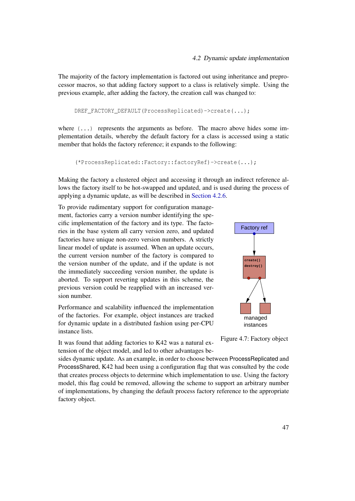The majority of the factory implementation is factored out using inheritance and preprocessor macros, so that adding factory support to a class is relatively simple. Using the previous example, after adding the factory, the creation call was changed to:

DREF\_FACTORY\_DEFAULT(ProcessReplicated)->create(...);

where  $( \ldots )$  represents the arguments as before. The macro above hides some implementation details, whereby the default factory for a class is accessed using a static member that holds the factory reference; it expands to the following:

```
(*ProcessReplicated::Factory::factoryRef)->create(...);
```
Making the factory a clustered object and accessing it through an indirect reference allows the factory itself to be hot-swapped and updated, and is used during the process of applying a dynamic update, as will be described in [Section 4.2.6.](#page-58-0)

To provide rudimentary support for configuration management, factories carry a version number identifying the specific implementation of the factory and its type. The factories in the base system all carry version zero, and updated factories have unique non-zero version numbers. A strictly linear model of update is assumed. When an update occurs, the current version number of the factory is compared to the version number of the update, and if the update is not the immediately succeeding version number, the update is aborted. To support reverting updates in this scheme, the previous version could be reapplied with an increased version number.



It was found that adding factories to K42 was a natural extension of the object model, and led to other advantages be-



<span id="page-54-0"></span>Figure 4.7: Factory object

sides dynamic update. As an example, in order to choose between ProcessReplicated and ProcessShared, K42 had been using a configuration flag that was consulted by the code that creates process objects to determine which implementation to use. Using the factory model, this flag could be removed, allowing the scheme to support an arbitrary number of implementations, by changing the default process factory reference to the appropriate factory object.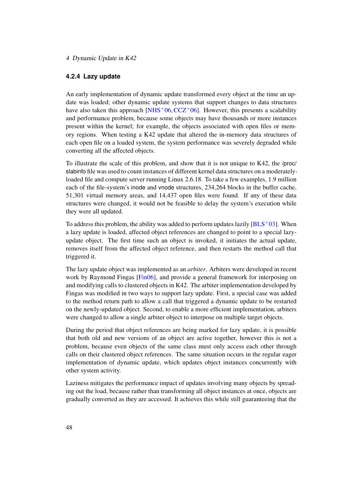#### **4.2.4 Lazy update**

An early implementation of dynamic update transformed every object at the time an update was loaded; other dynamic update systems that support changes to data structures have also taken this approach  $[NHS^+06, CCZ^+06]$  $[NHS^+06, CCZ^+06]$  $[NHS^+06, CCZ^+06]$  $[NHS^+06, CCZ^+06]$ . However, this presents a scalability and performance problem, because some objects may have thousands or more instances present within the kernel; for example, the objects associated with open files or memory regions. When testing a K42 update that altered the in-memory data structures of each open file on a loaded system, the system performance was severely degraded while converting all the affected objects.

To illustrate the scale of this problem, and show that it is not unique to K42, the /proc/ slabinfo file was used to count instances of different kernel data structures on a moderatelyloaded file and compute server running Linux 2.6.18. To take a few examples, 1.9 million each of the file-system's inode and vnode structures, 234,264 blocks in the buffer cache, 51,301 virtual memory areas, and 14,437 open files were found. If any of these data structures were changed, it would not be feasible to delay the system's execution while they were all updated.

To address this problem, the ability was added to perform updates lazily  $[BLS^+03]$  $[BLS^+03]$ . When a lazy update is loaded, affected object references are changed to point to a special lazyupdate object. The first time such an object is invoked, it initiates the actual update, removes itself from the affected object reference, and then restarts the method call that triggered it.

The lazy update object was implemented as an *arbiter*. Arbiters were developed in recent work by Raymond Fingas [\[Fin06\]](#page-104-2), and provide a general framework for interposing on and modifying calls to clustered objects in K42. The arbiter implementation developed by Fingas was modified in two ways to support lazy update. First, a special case was added to the method return path to allow a call that triggered a dynamic update to be restarted on the newly-updated object. Second, to enable a more efficient implementation, arbiters were changed to allow a single arbiter object to interpose on multiple target objects.

During the period that object references are being marked for lazy update, it is possible that both old and new versions of an object are active together, however this is not a problem, because even objects of the same class must only access each other through calls on their clustered object references. The same situation occurs in the regular eager implementation of dynamic update, which updates object instances concurrently with other system activity.

Laziness mitigates the performance impact of updates involving many objects by spreading out the load, because rather than transforming all object instances at once, objects are gradually converted as they are accessed. It achieves this while still guaranteeing that the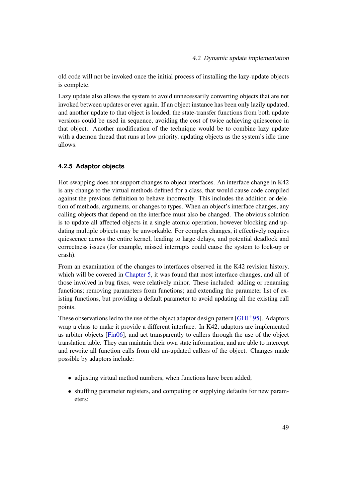old code will not be invoked once the initial process of installing the lazy-update objects is complete.

Lazy update also allows the system to avoid unnecessarily converting objects that are not invoked between updates or ever again. If an object instance has been only lazily updated, and another update to that object is loaded, the state-transfer functions from both update versions could be used in sequence, avoiding the cost of twice achieving quiescence in that object. Another modification of the technique would be to combine lazy update with a daemon thread that runs at low priority, updating objects as the system's idle time allows.

# **4.2.5 Adaptor objects**

Hot-swapping does not support changes to object interfaces. An interface change in K42 is any change to the virtual methods defined for a class, that would cause code compiled against the previous definition to behave incorrectly. This includes the addition or deletion of methods, arguments, or changes to types. When an object's interface changes, any calling objects that depend on the interface must also be changed. The obvious solution is to update all affected objects in a single atomic operation, however blocking and updating multiple objects may be unworkable. For complex changes, it effectively requires quiescence across the entire kernel, leading to large delays, and potential deadlock and correctness issues (for example, missed interrupts could cause the system to lock-up or crash).

From an examination of the changes to interfaces observed in the K42 revision history, which will be covered in [Chapter 5,](#page-68-0) it was found that most interface changes, and all of those involved in bug fixes, were relatively minor. These included: adding or renaming functions; removing parameters from functions; and extending the parameter list of existing functions, but providing a default parameter to avoid updating all the existing call points.

These observations led to the use of the object adaptor design pattern  $\lbrack GHJ^{+}95\rbrack$ . Adaptors wrap a class to make it provide a different interface. In K42, adaptors are implemented as arbiter objects [\[Fin06\]](#page-104-2), and act transparently to callers through the use of the object translation table. They can maintain their own state information, and are able to intercept and rewrite all function calls from old un-updated callers of the object. Changes made possible by adaptors include:

- adjusting virtual method numbers, when functions have been added;
- shuffling parameter registers, and computing or supplying defaults for new parameters;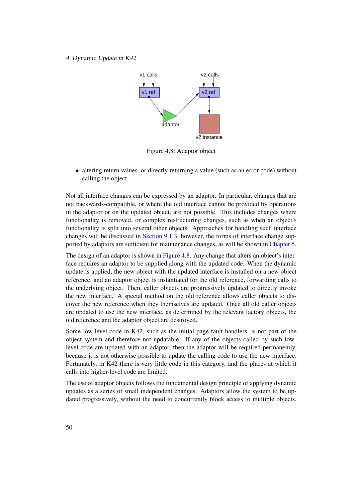

<span id="page-57-0"></span>Figure 4.8: Adaptor object

• altering return values, or directly returning a value (such as an error code) without calling the object.

Not all interface changes can be expressed by an adaptor. In particular, changes that are not backwards-compatible, or where the old interface cannot be provided by operations in the adaptor or on the updated object, are not possible. This includes changes where functionality is removed, or complex restructuring changes, such as when an object's functionality is split into several other objects. Approaches for handling such interface changes will be discussed in [Section 9.1.3,](#page-97-0) however, the forms of interface change supported by adaptors are sufficient for maintenance changes, as will be shown in [Chapter 5.](#page-68-0)

The design of an adaptor is shown in [Figure 4.8.](#page-57-0) Any change that alters an object's interface requires an adaptor to be supplied along with the updated code. When the dynamic update is applied, the new object with the updated interface is installed on a new object reference, and an adaptor object is instantiated for the old reference, forwarding calls to the underlying object. Then, caller objects are progressively updated to directly invoke the new interface. A special method on the old reference allows caller objects to discover the new reference when they themselves are updated. Once all old caller objects are updated to use the new interface, as determined by the relevant factory objects, the old reference and the adaptor object are destroyed.

Some low-level code in K42, such as the initial page-fault handlers, is not part of the object system and therefore not updatable. If any of the objects called by such lowlevel code are updated with an adaptor, then the adaptor will be required permanently, because it is not otherwise possible to update the calling code to use the new interface. Fortunately, in K42 there is very little code in this category, and the places at which it calls into higher-level code are limited.

The use of adaptor objects follows the fundamental design principle of applying dynamic updates as a series of small independent changes. Adaptors allow the system to be updated progressively, without the need to concurrently block access to multiple objects.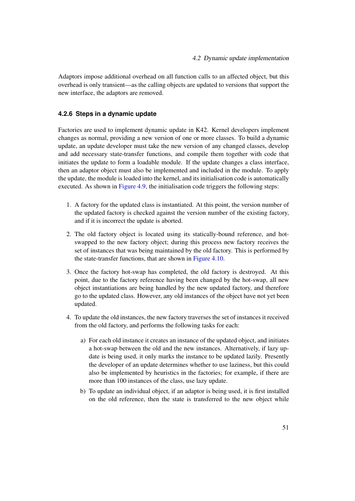Adaptors impose additional overhead on all function calls to an affected object, but this overhead is only transient—as the calling objects are updated to versions that support the new interface, the adaptors are removed.

# <span id="page-58-0"></span>**4.2.6 Steps in a dynamic update**

Factories are used to implement dynamic update in K42. Kernel developers implement changes as normal, providing a new version of one or more classes. To build a dynamic update, an update developer must take the new version of any changed classes, develop and add necessary state-transfer functions, and compile them together with code that initiates the update to form a loadable module. If the update changes a class interface, then an adaptor object must also be implemented and included in the module. To apply the update, the module is loaded into the kernel, and its initialisation code is automatically executed. As shown in [Figure 4.9,](#page-59-0) the initialisation code triggers the following steps:

- 1. A factory for the updated class is instantiated. At this point, the version number of the updated factory is checked against the version number of the existing factory, and if it is incorrect the update is aborted.
- 2. The old factory object is located using its statically-bound reference, and hotswapped to the new factory object; during this process new factory receives the set of instances that was being maintained by the old factory. This is performed by the state-transfer functions, that are shown in [Figure 4.10.](#page-60-0)
- 3. Once the factory hot-swap has completed, the old factory is destroyed. At this point, due to the factory reference having been changed by the hot-swap, all new object instantiations are being handled by the new updated factory, and therefore go to the updated class. However, any old instances of the object have not yet been updated.
- 4. To update the old instances, the new factory traverses the set of instances it received from the old factory, and performs the following tasks for each:
	- a) For each old instance it creates an instance of the updated object, and initiates a hot-swap between the old and the new instances. Alternatively, if lazy update is being used, it only marks the instance to be updated lazily. Presently the developer of an update determines whether to use laziness, but this could also be implemented by heuristics in the factories; for example, if there are more than 100 instances of the class, use lazy update.
	- b) To update an individual object, if an adaptor is being used, it is first installed on the old reference, then the state is transferred to the new object while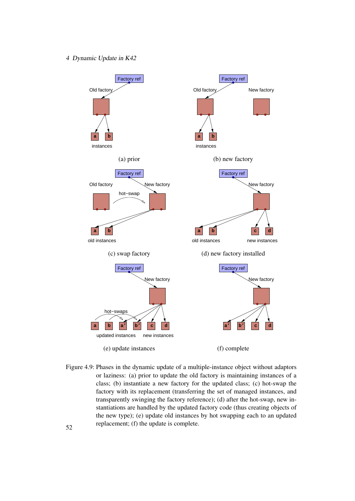

<span id="page-59-0"></span>Figure 4.9: Phases in the dynamic update of a multiple-instance object without adaptors or laziness: (a) prior to update the old factory is maintaining instances of a class; (b) instantiate a new factory for the updated class; (c) hot-swap the factory with its replacement (transferring the set of managed instances, and transparently swinging the factory reference); (d) after the hot-swap, new instantiations are handled by the updated factory code (thus creating objects of the new type); (e) update old instances by hot swapping each to an updated for the update is complete.<br>52 replacement; (f) the update is complete.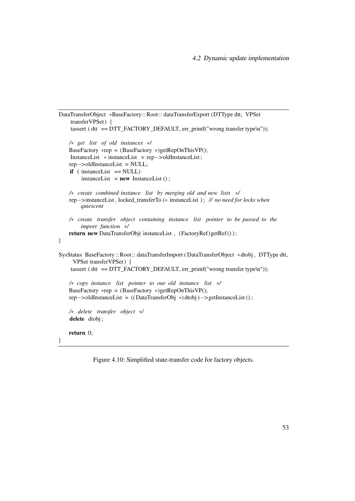```
DataTransferObject ∗BaseFactory::Root:: dataTransferExport (DTType dtt, VPSet
    transferVPSet ) {
    tassert (\text{d}t = DTT_FACTORY_DEFAULT, err_printf("wrong transfer type\n"));
   /∗ get list of old instances ∗/
   BaseFactory *rep = (BaseFactory *)getRepOnThisVP;
    InstanceList ∗ instanceList = rep−>oldInstanceList ;
   rep−>oldInstanceList = NULL;
    if ( instanceList == NULL)
        instanceList = new InstanceList ();
   /∗ create combined instance list by merging old and new lists ∗/
   rep−>instanceList . locked_transferTo (∗ instanceList ) ; // no need for locks when
        quiescent
   /∗ create transfer object containing instance list pointer to be passed to the
        import function ∗/
   return new DataTransferObj( instanceList, (FactoryRef)getRef());
}
SysStatus BaseFactory :: Root:: dataTransferImport ( DataTransferObject ∗dtobj , DTType dtt,
     VPSet transferVPSet ) {
    tassert ( dt = DTT_FACTORY_DEFAULT, err_printf("wrong transfer type\n"));
   /∗ copy instance list pointer to our old instance list ∗/
   BaseFactory *rep = (BaseFactory *)getRepOnThisVP;
   rep−>oldInstanceList = (( DataTransferObj ∗) dtobj )−> getInstanceList () ;
   /∗ delete transfer object ∗/
    delete dtobj;
   return 0;
}
```
<span id="page-60-0"></span>Figure 4.10: Simplified state-transfer code for factory objects.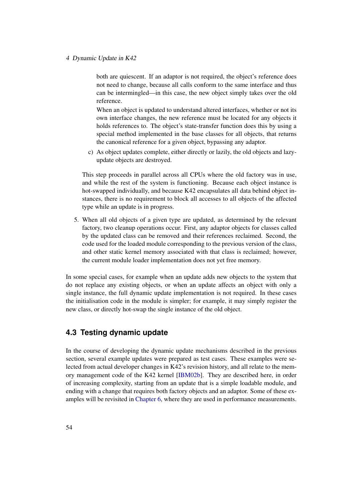both are quiescent. If an adaptor is not required, the object's reference does not need to change, because all calls conform to the same interface and thus can be intermingled—in this case, the new object simply takes over the old reference.

When an object is updated to understand altered interfaces, whether or not its own interface changes, the new reference must be located for any objects it holds references to. The object's state-transfer function does this by using a special method implemented in the base classes for all objects, that returns the canonical reference for a given object, bypassing any adaptor.

c) As object updates complete, either directly or lazily, the old objects and lazyupdate objects are destroyed.

This step proceeds in parallel across all CPUs where the old factory was in use, and while the rest of the system is functioning. Because each object instance is hot-swapped individually, and because K42 encapsulates all data behind object instances, there is no requirement to block all accesses to all objects of the affected type while an update is in progress.

5. When all old objects of a given type are updated, as determined by the relevant factory, two cleanup operations occur. First, any adaptor objects for classes called by the updated class can be removed and their references reclaimed. Second, the code used for the loaded module corresponding to the previous version of the class, and other static kernel memory associated with that class is reclaimed; however, the current module loader implementation does not yet free memory.

In some special cases, for example when an update adds new objects to the system that do not replace any existing objects, or when an update affects an object with only a single instance, the full dynamic update implementation is not required. In these cases the initialisation code in the module is simpler; for example, it may simply register the new class, or directly hot-swap the single instance of the old object.

# <span id="page-61-0"></span>**4.3 Testing dynamic update**

In the course of developing the dynamic update mechanisms described in the previous section, several example updates were prepared as test cases. These examples were selected from actual developer changes in K42's revision history, and all relate to the memory management code of the K42 kernel [\[IBM02b\]](#page-107-3). They are described here, in order of increasing complexity, starting from an update that is a simple loadable module, and ending with a change that requires both factory objects and an adaptor. Some of these examples will be revisited in [Chapter 6,](#page-76-0) where they are used in performance measurements.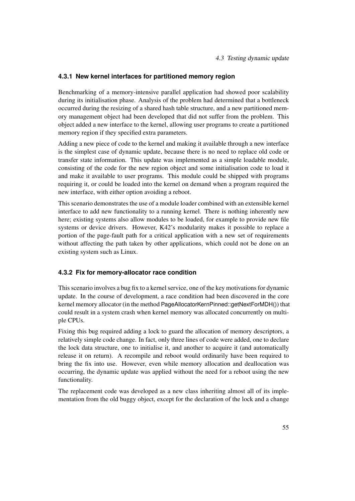4.3 Testing dynamic update

# **4.3.1 New kernel interfaces for partitioned memory region**

Benchmarking of a memory-intensive parallel application had showed poor scalability during its initialisation phase. Analysis of the problem had determined that a bottleneck occurred during the resizing of a shared hash table structure, and a new partitioned memory management object had been developed that did not suffer from the problem. This object added a new interface to the kernel, allowing user programs to create a partitioned memory region if they specified extra parameters.

Adding a new piece of code to the kernel and making it available through a new interface is the simplest case of dynamic update, because there is no need to replace old code or transfer state information. This update was implemented as a simple loadable module, consisting of the code for the new region object and some initialisation code to load it and make it available to user programs. This module could be shipped with programs requiring it, or could be loaded into the kernel on demand when a program required the new interface, with either option avoiding a reboot.

This scenario demonstrates the use of a module loader combined with an extensible kernel interface to add new functionality to a running kernel. There is nothing inherently new here; existing systems also allow modules to be loaded, for example to provide new file systems or device drivers. However, K42's modularity makes it possible to replace a portion of the page-fault path for a critical application with a new set of requirements without affecting the path taken by other applications, which could not be done on an existing system such as Linux.

# **4.3.2 Fix for memory-allocator race condition**

This scenario involves a bug fix to a kernel service, one of the key motivations for dynamic update. In the course of development, a race condition had been discovered in the core kernel memory allocator (in the method PageAllocatorKernPinned::getNextForMDH()) that could result in a system crash when kernel memory was allocated concurrently on multiple CPUs.

Fixing this bug required adding a lock to guard the allocation of memory descriptors, a relatively simple code change. In fact, only three lines of code were added, one to declare the lock data structure, one to initialise it, and another to acquire it (and automatically release it on return). A recompile and reboot would ordinarily have been required to bring the fix into use. However, even while memory allocation and deallocation was occurring, the dynamic update was applied without the need for a reboot using the new functionality.

The replacement code was developed as a new class inheriting almost all of its implementation from the old buggy object, except for the declaration of the lock and a change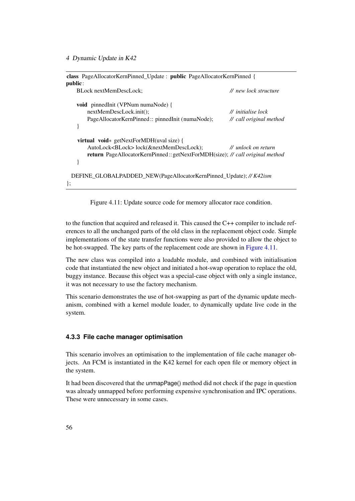| class PageAllocatorKernPinned_Update : public PageAllocatorKernPinned {<br>public:   |                         |
|--------------------------------------------------------------------------------------|-------------------------|
| BLock nextMemDescLock;                                                               | // new lock structure   |
| void pinnedInit (VPNum numaNode) {                                                   |                         |
| nextMemDescLock.init();                                                              | // initialise lock      |
| PageAllocatorKernPinned:: pinnedInit (numaNode);                                     | // call original method |
|                                                                                      |                         |
| <b>virtual</b> void* getNextForMDH(uval size) {                                      |                         |
| AutoLock <block>lock(&amp;nextMemDescLock);</block>                                  | // unlock on return     |
| <b>return</b> PageAllocatorKernPinned:: getNextForMDH(size); // call original method |                         |
|                                                                                      |                         |
| DEFINE_GLOBALPADDED_NEW(PageAllocatorKernPinned_Update); // K42ism                   |                         |
| $\}$ ;                                                                               |                         |

<span id="page-63-0"></span>Figure 4.11: Update source code for memory allocator race condition.

to the function that acquired and released it. This caused the C++ compiler to include references to all the unchanged parts of the old class in the replacement object code. Simple implementations of the state transfer functions were also provided to allow the object to be hot-swapped. The key parts of the replacement code are shown in [Figure 4.11.](#page-63-0)

The new class was compiled into a loadable module, and combined with initialisation code that instantiated the new object and initiated a hot-swap operation to replace the old, buggy instance. Because this object was a special-case object with only a single instance, it was not necessary to use the factory mechanism.

This scenario demonstrates the use of hot-swapping as part of the dynamic update mechanism, combined with a kernel module loader, to dynamically update live code in the system.

# **4.3.3 File cache manager optimisation**

This scenario involves an optimisation to the implementation of file cache manager objects. An FCM is instantiated in the K42 kernel for each open file or memory object in the system.

It had been discovered that the unmapPage() method did not check if the page in question was already unmapped before performing expensive synchronisation and IPC operations. These were unnecessary in some cases.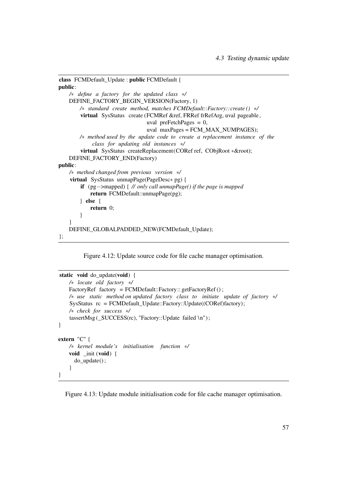```
class FCMDefault_Update : public FCMDefault {
public:
   /∗ define a factory for the updated class ∗/
   DEFINE_FACTORY_BEGIN_VERSION(Factory, 1)
       /∗ standard create method, matches FCMDefault::Factory::create () ∗/
        virtual SysStatus create (FCMRef &ref, FRRef frRefArg, uval pageable,
                                uval preFetchPages = 0,
                                uval maxPages = FCM_MAX_NUMPAGES);
       /∗ method used by the update code to create a replacement instance of the
            class for updating old instances ∗/
        virtual SysStatus createReplacement(CORef ref, CObjRoot ∗&root);
   DEFINE_FACTORY_END(Factory)
public:
   /∗ method changed from previous version ∗/
    virtual SysStatus unmapPage(PageDesc∗ pg) {
        if (pg−>mapped) { // only call unmapPage() if the page is mapped
           return FCMDefault::unmapPage(pg);
       } else {
           return 0;
       }
    }
   DEFINE_GLOBALPADDED_NEW(FCMDefault_Update);
};
```
<span id="page-64-0"></span>Figure 4.12: Update source code for file cache manager optimisation.

```
static void do_update(void) {
   /∗ locate old factory ∗/
   FactoryRef factory = FCMDefault::Factory:: getFactoryRef();
   /∗ use static method on updated factory class to initiate update of factory ∗/
    SysStatus rc = FCMDefault_Update::Factory::Update((CORef)factory);
   /∗ check for success ∗/
    tassertMsg (_SUCCESS(rc), "Factory::Update failed \n") ;
}
extern "C" {
   /∗ kernel module's initialisation function ∗/
   void _init (void) {
      do_update() ;
    }
}
```
<span id="page-64-1"></span>Figure 4.13: Update module initialisation code for file cache manager optimisation.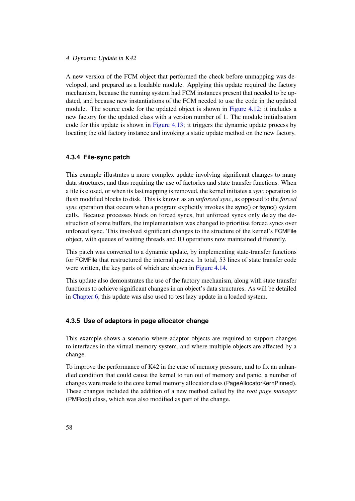A new version of the FCM object that performed the check before unmapping was developed, and prepared as a loadable module. Applying this update required the factory mechanism, because the running system had FCM instances present that needed to be updated, and because new instantiations of the FCM needed to use the code in the updated module. The source code for the updated object is shown in [Figure 4.12;](#page-64-0) it includes a new factory for the updated class with a version number of 1. The module initialisation code for this update is shown in [Figure 4.13;](#page-64-1) it triggers the dynamic update process by locating the old factory instance and invoking a static update method on the new factory.

### **4.3.4 File-sync patch**

This example illustrates a more complex update involving significant changes to many data structures, and thus requiring the use of factories and state transfer functions. When a file is closed, or when its last mapping is removed, the kernel initiates a *sync* operation to flush modified blocks to disk. This is known as an *unforced sync*, as opposed to the *forced sync* operation that occurs when a program explicitly invokes the sync() or fsync() system calls. Because processes block on forced syncs, but unforced syncs only delay the destruction of some buffers, the implementation was changed to prioritise forced syncs over unforced sync. This involved significant changes to the structure of the kernel's FCMFile object, with queues of waiting threads and IO operations now maintained differently.

This patch was converted to a dynamic update, by implementing state-transfer functions for FCMFile that restructured the internal queues. In total, 53 lines of state transfer code were written, the key parts of which are shown in [Figure 4.14.](#page-66-0)

This update also demonstrates the use of the factory mechanism, along with state transfer functions to achieve significant changes in an object's data structures. As will be detailed in [Chapter 6,](#page-76-0) this update was also used to test lazy update in a loaded system.

#### **4.3.5 Use of adaptors in page allocator change**

This example shows a scenario where adaptor objects are required to support changes to interfaces in the virtual memory system, and where multiple objects are affected by a change.

To improve the performance of K42 in the case of memory pressure, and to fix an unhandled condition that could cause the kernel to run out of memory and panic, a number of changes were made to the core kernel memory allocator class (PageAllocatorKernPinned). These changes included the addition of a new method called by the *root page manager* (PMRoot) class, which was also modified as part of the change.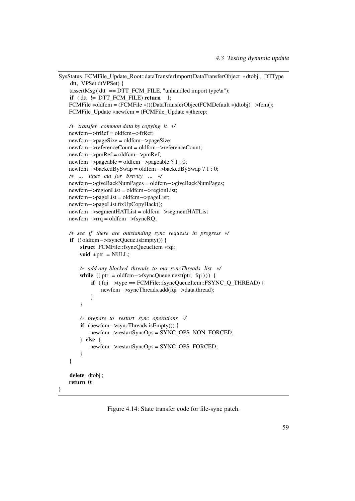```
SysStatus FCMFile_Update_Root::dataTransferImport(DataTransferObject ∗dtobj , DTType
    dtt, VPSet dtVPSet) {
    tassertMsg (\text{d}t = DTT FCM FILE, "unhandled import type\text{d}n");
    if ( dtt != DTT_FCM_FILE) return -1;
   FCMFile ∗oldfcm = (FCMFile ∗)((DataTransferObjectFCMDefault ∗)dtobj)−>fcm();
   FCMFile Update ∗newfcm = (FCMFile Update ∗)therep;
   /∗ transfer common data by copying it ∗/
   newfcm−>frRef = oldfcm−>frRef;
   newfcm−>pageSize = oldfcm−>pageSize;
   newfcm−>referenceCount = oldfcm−>referenceCount;
   newfcm−>pmRef = oldfcm−>pmRef;
   newfcm−>pageable = oldfcm−>pageable ? 1 : 0;
   newfcm−>backedBySwap = oldfcm−>backedBySwap ? 1 : 0;
   /∗ ... lines cut for brevity ... ∗/
   newfcm−>giveBackNumPages = oldfcm−>giveBackNumPages;
   newfcm−>regionList = oldfcm−>regionList;
   newfcm−>pageList = oldfcm−>pageList;
   newfcm−>pageList.fixUpCopyHack();
   newfcm−>segmentHATList = oldfcm−>segmentHATList
   newfcm−>rrq = oldfcm−>fsyncRQ;
   /∗ see if there are outstanding sync requests in progress ∗/
    if (! oldfcm−>fsyncQueue.isEmpty()) {
        struct FCMFile::fsyncQueueItem ∗fqi;
       void *ptr = NULL;/∗ add any blocked threads to our syncThreads list ∗/
       while ((\text{ptr} = \text{oldfcm} \rightarrow \text{fsyncQueue}.\text{next}(\text{ptr}, \text{fqi})))if ( fqi−>type == FCMFile::fsyncQueueItem::FSYNC_Q_THREAD) {
                newfcm−>syncThreads.add(fqi−>data.thread);
            }
       }
       /∗ prepare to restart sync operations ∗/
        if (newfcm−>syncThreads.isEmpty()) {
            newfcm−>restartSyncOps = SYNC_OPS_NON_FORCED;
        } else {
            newfcm−>restartSyncOps = SYNC_OPS_FORCED;
        }
   }
    delete dtobj;
   return 0;
```
<span id="page-66-0"></span>Figure 4.14: State transfer code for file-sync patch.

}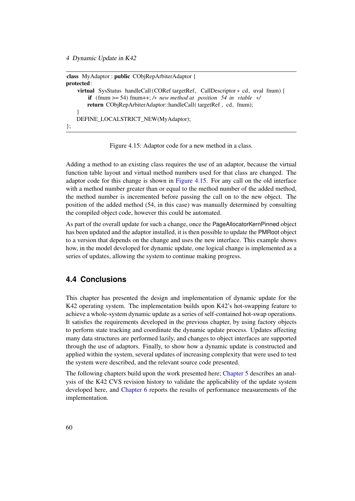```
class MyAdaptor : public CObjRepArbiterAdaptor {
protected:
    virtual SysStatus handleCall (CORef targetRef, CallDescriptor ∗ cd, uval fnum) {
        if (fnum >= 54) fnum++; /∗ new method at position 54 in vtable ∗/
       return CObjRepArbiterAdaptor::handleCall( targetRef , cd, fnum);
    }
   DEFINE_LOCALSTRICT_NEW(MyAdaptor);
};
```
<span id="page-67-1"></span>Figure 4.15: Adaptor code for a new method in a class.

Adding a method to an existing class requires the use of an adaptor, because the virtual function table layout and virtual method numbers used for that class are changed. The adaptor code for this change is shown in [Figure 4.15.](#page-67-1) For any call on the old interface with a method number greater than or equal to the method number of the added method, the method number is incremented before passing the call on to the new object. The position of the added method (54, in this case) was manually determined by consulting the compiled object code, however this could be automated.

As part of the overall update for such a change, once the PageAllocatorKernPinned object has been updated and the adaptor installed, it is then possible to update the PMRoot object to a version that depends on the change and uses the new interface. This example shows how, in the model developed for dynamic update, one logical change is implemented as a series of updates, allowing the system to continue making progress.

# <span id="page-67-0"></span>**4.4 Conclusions**

This chapter has presented the design and implementation of dynamic update for the K42 operating system. The implementation builds upon K42's hot-swapping feature to achieve a whole-system dynamic update as a series of self-contained hot-swap operations. It satisfies the requirements developed in the previous chapter, by using factory objects to perform state tracking and coordinate the dynamic update process. Updates affecting many data structures are performed lazily, and changes to object interfaces are supported through the use of adaptors. Finally, to show how a dynamic update is constructed and applied within the system, several updates of increasing complexity that were used to test the system were described, and the relevant source code presented.

The following chapters build upon the work presented here; [Chapter 5](#page-68-0) describes an analysis of the K42 CVS revision history to validate the applicability of the update system developed here, and [Chapter 6](#page-76-0) reports the results of performance measurements of the implementation.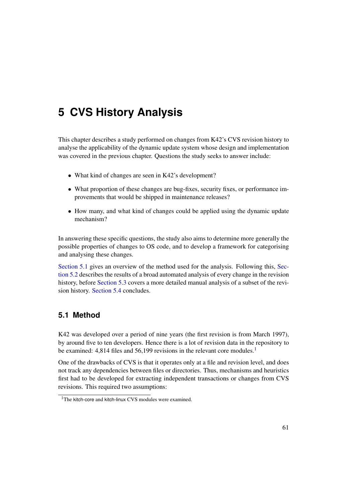# <span id="page-68-0"></span>**5 CVS History Analysis**

This chapter describes a study performed on changes from K42's CVS revision history to analyse the applicability of the dynamic update system whose design and implementation was covered in the previous chapter. Questions the study seeks to answer include:

- What kind of changes are seen in K42's development?
- What proportion of these changes are bug-fixes, security fixes, or performance improvements that would be shipped in maintenance releases?
- How many, and what kind of changes could be applied using the dynamic update mechanism?

In answering these specific questions, the study also aims to determine more generally the possible properties of changes to OS code, and to develop a framework for categorising and analysing these changes.

[Section 5.1](#page-68-1) gives an overview of the method used for the analysis. Following this, [Sec](#page-70-0)[tion 5.2](#page-70-0) describes the results of a broad automated analysis of every change in the revision history, before [Section 5.3](#page-72-0) covers a more detailed manual analysis of a subset of the revision history. [Section 5.4](#page-75-0) concludes.

# <span id="page-68-1"></span>**5.1 Method**

K42 was developed over a period of nine years (the first revision is from March 1997), by around five to ten developers. Hence there is a lot of revision data in the repository to be examined: 4,8[1](#page-68-2)4 files and 56,199 revisions in the relevant core modules.<sup>1</sup>

One of the drawbacks of CVS is that it operates only at a file and revision level, and does not track any dependencies between files or directories. Thus, mechanisms and heuristics first had to be developed for extracting independent transactions or changes from CVS revisions. This required two assumptions:

<span id="page-68-2"></span><sup>&</sup>lt;sup>1</sup>The kitch-core and kitch-linux CVS modules were examined.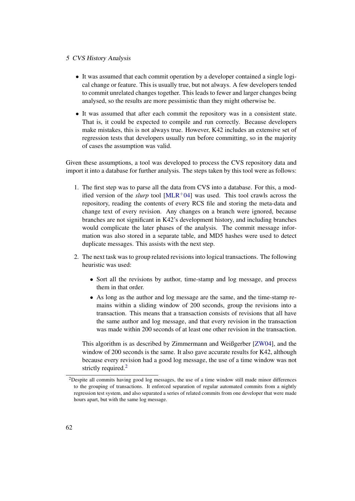#### 5 CVS History Analysis

- It was assumed that each commit operation by a developer contained a single logical change or feature. This is usually true, but not always. A few developers tended to commit unrelated changes together. This leads to fewer and larger changes being analysed, so the results are more pessimistic than they might otherwise be.
- It was assumed that after each commit the repository was in a consistent state. That is, it could be expected to compile and run correctly. Because developers make mistakes, this is not always true. However, K42 includes an extensive set of regression tests that developers usually run before committing, so in the majority of cases the assumption was valid.

Given these assumptions, a tool was developed to process the CVS repository data and import it into a database for further analysis. The steps taken by this tool were as follows:

- 1. The first step was to parse all the data from CVS into a database. For this, a modified version of the *slurp* tool  $[MLR+04]$  $[MLR+04]$  was used. This tool crawls across the repository, reading the contents of every RCS file and storing the meta-data and change text of every revision. Any changes on a branch were ignored, because branches are not significant in K42's development history, and including branches would complicate the later phases of the analysis. The commit message information was also stored in a separate table, and MD5 hashes were used to detect duplicate messages. This assists with the next step.
- 2. The next task was to group related revisions into logical transactions. The following heuristic was used:
	- Sort all the revisions by author, time-stamp and log message, and process them in that order.
	- As long as the author and log message are the same, and the time-stamp remains within a sliding window of 200 seconds, group the revisions into a transaction. This means that a transaction consists of revisions that all have the same author and log message, and that every revision in the transaction was made within 200 seconds of at least one other revision in the transaction.

This algorithm is as described by Zimmermann and Weißgerber [\[ZW04\]](#page-111-0), and the window of 200 seconds is the same. It also gave accurate results for K42, although because every revision had a good log message, the use of a time window was not strictly required.<sup>[2](#page-69-0)</sup>

<span id="page-69-0"></span><sup>&</sup>lt;sup>2</sup>Despite all commits having good log messages, the use of a time window still made minor differences to the grouping of transactions. It enforced separation of regular automated commits from a nightly regression test system, and also separated a series of related commits from one developer that were made hours apart, but with the same log message.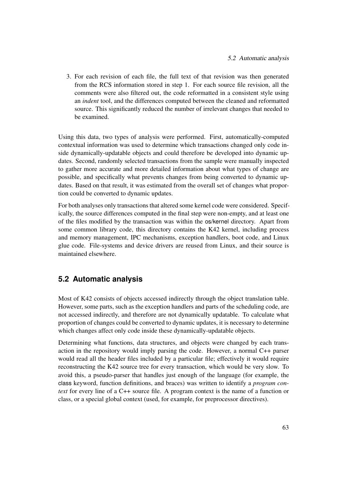3. For each revision of each file, the full text of that revision was then generated from the RCS information stored in step 1. For each source file revision, all the comments were also filtered out, the code reformatted in a consistent style using an *indent* tool, and the differences computed between the cleaned and reformatted source. This significantly reduced the number of irrelevant changes that needed to be examined.

Using this data, two types of analysis were performed. First, automatically-computed contextual information was used to determine which transactions changed only code inside dynamically-updatable objects and could therefore be developed into dynamic updates. Second, randomly selected transactions from the sample were manually inspected to gather more accurate and more detailed information about what types of change are possible, and specifically what prevents changes from being converted to dynamic updates. Based on that result, it was estimated from the overall set of changes what proportion could be converted to dynamic updates.

For both analyses only transactions that altered some kernel code were considered. Specifically, the source differences computed in the final step were non-empty, and at least one of the files modified by the transaction was within the os/kernel directory. Apart from some common library code, this directory contains the K42 kernel, including process and memory management, IPC mechanisms, exception handlers, boot code, and Linux glue code. File-systems and device drivers are reused from Linux, and their source is maintained elsewhere.

# <span id="page-70-0"></span>**5.2 Automatic analysis**

Most of K42 consists of objects accessed indirectly through the object translation table. However, some parts, such as the exception handlers and parts of the scheduling code, are not accessed indirectly, and therefore are not dynamically updatable. To calculate what proportion of changes could be converted to dynamic updates, it is necessary to determine which changes affect only code inside these dynamically-updatable objects.

Determining what functions, data structures, and objects were changed by each transaction in the repository would imply parsing the code. However, a normal C++ parser would read all the header files included by a particular file; effectively it would require reconstructing the K42 source tree for every transaction, which would be very slow. To avoid this, a pseudo-parser that handles just enough of the language (for example, the class keyword, function definitions, and braces) was written to identify a *program context* for every line of a C++ source file. A program context is the name of a function or class, or a special global context (used, for example, for preprocessor directives).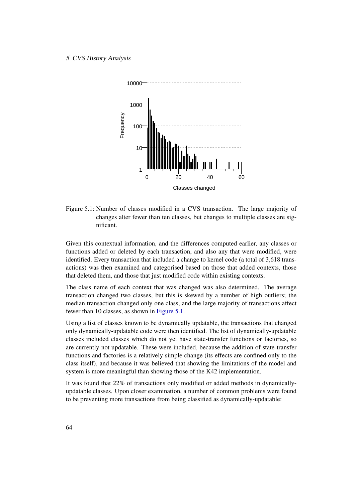#### 5 CVS History Analysis



<span id="page-71-0"></span>Figure 5.1: Number of classes modified in a CVS transaction. The large majority of changes alter fewer than ten classes, but changes to multiple classes are significant.

Given this contextual information, and the differences computed earlier, any classes or functions added or deleted by each transaction, and also any that were modified, were identified. Every transaction that included a change to kernel code (a total of 3,618 transactions) was then examined and categorised based on those that added contexts, those that deleted them, and those that just modified code within existing contexts.

The class name of each context that was changed was also determined. The average transaction changed two classes, but this is skewed by a number of high outliers; the median transaction changed only one class, and the large majority of transactions affect fewer than 10 classes, as shown in [Figure 5.1.](#page-71-0)

Using a list of classes known to be dynamically updatable, the transactions that changed only dynamically-updatable code were then identified. The list of dynamically-updatable classes included classes which do not yet have state-transfer functions or factories, so are currently not updatable. These were included, because the addition of state-transfer functions and factories is a relatively simple change (its effects are confined only to the class itself), and because it was believed that showing the limitations of the model and system is more meaningful than showing those of the K42 implementation.

It was found that 22% of transactions only modified or added methods in dynamicallyupdatable classes. Upon closer examination, a number of common problems were found to be preventing more transactions from being classified as dynamically-updatable: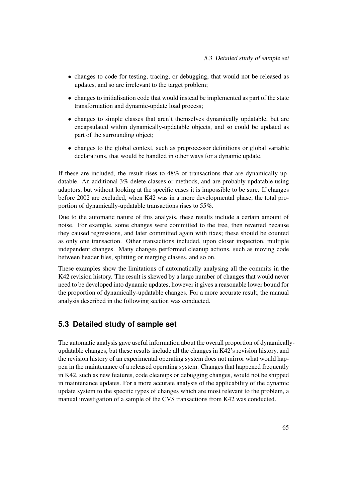- changes to code for testing, tracing, or debugging, that would not be released as updates, and so are irrelevant to the target problem;
- changes to initialisation code that would instead be implemented as part of the state transformation and dynamic-update load process;
- changes to simple classes that aren't themselves dynamically updatable, but are encapsulated within dynamically-updatable objects, and so could be updated as part of the surrounding object;
- changes to the global context, such as preprocessor definitions or global variable declarations, that would be handled in other ways for a dynamic update.

If these are included, the result rises to 48% of transactions that are dynamically updatable. An additional 3% delete classes or methods, and are probably updatable using adaptors, but without looking at the specific cases it is impossible to be sure. If changes before 2002 are excluded, when K42 was in a more developmental phase, the total proportion of dynamically-updatable transactions rises to 55%.

Due to the automatic nature of this analysis, these results include a certain amount of noise. For example, some changes were committed to the tree, then reverted because they caused regressions, and later committed again with fixes; these should be counted as only one transaction. Other transactions included, upon closer inspection, multiple independent changes. Many changes performed cleanup actions, such as moving code between header files, splitting or merging classes, and so on.

These examples show the limitations of automatically analysing all the commits in the K42 revision history. The result is skewed by a large number of changes that would never need to be developed into dynamic updates, however it gives a reasonable lower bound for the proportion of dynamically-updatable changes. For a more accurate result, the manual analysis described in the following section was conducted.

# <span id="page-72-0"></span>**5.3 Detailed study of sample set**

The automatic analysis gave useful information about the overall proportion of dynamicallyupdatable changes, but these results include all the changes in K42's revision history, and the revision history of an experimental operating system does not mirror what would happen in the maintenance of a released operating system. Changes that happened frequently in K42, such as new features, code cleanups or debugging changes, would not be shipped in maintenance updates. For a more accurate analysis of the applicability of the dynamic update system to the specific types of changes which are most relevant to the problem, a manual investigation of a sample of the CVS transactions from K42 was conducted.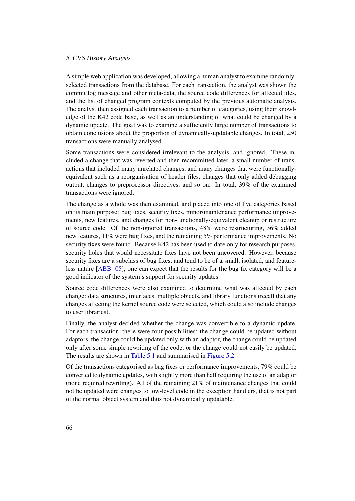### 5 CVS History Analysis

A simple web application was developed, allowing a human analyst to examine randomlyselected transactions from the database. For each transaction, the analyst was shown the commit log message and other meta-data, the source code differences for affected files, and the list of changed program contexts computed by the previous automatic analysis. The analyst then assigned each transaction to a number of categories, using their knowledge of the K42 code base, as well as an understanding of what could be changed by a dynamic update. The goal was to examine a sufficiently large number of transactions to obtain conclusions about the proportion of dynamically-updatable changes. In total, 250 transactions were manually analysed.

Some transactions were considered irrelevant to the analysis, and ignored. These included a change that was reverted and then recommitted later, a small number of transactions that included many unrelated changes, and many changes that were functionallyequivalent such as a reorganisation of header files, changes that only added debugging output, changes to preprocessor directives, and so on. In total, 39% of the examined transactions were ignored.

The change as a whole was then examined, and placed into one of five categories based on its main purpose: bug fixes, security fixes, minor/maintenance performance improvements, new features, and changes for non-functionally-equivalent cleanup or restructure of source code. Of the non-ignored transactions, 48% were restructuring, 36% added new features, 11% were bug fixes, and the remaining 5% performance improvements. No security fixes were found. Because K42 has been used to date only for research purposes, security holes that would necessitate fixes have not been uncovered. However, because security fixes are a subclass of bug fixes, and tend to be of a small, isolated, and featureless nature  $[ABB<sup>+</sup>05]$  $[ABB<sup>+</sup>05]$ , one can expect that the results for the bug fix category will be a good indicator of the system's support for security updates.

Source code differences were also examined to determine what was affected by each change: data structures, interfaces, multiple objects, and library functions (recall that any changes affecting the kernel source code were selected, which could also include changes to user libraries).

Finally, the analyst decided whether the change was convertible to a dynamic update. For each transaction, there were four possibilities: the change could be updated without adaptors, the change could be updated only with an adaptor, the change could be updated only after some simple rewriting of the code, or the change could not easily be updated. The results are shown in [Table 5.1](#page-74-0) and summarised in [Figure 5.2.](#page-74-1)

Of the transactions categorised as bug fixes or performance improvements, 79% could be converted to dynamic updates, with slightly more than half requiring the use of an adaptor (none required rewriting). All of the remaining 21% of maintenance changes that could not be updated were changes to low-level code in the exception handlers, that is not part of the normal object system and thus not dynamically updatable.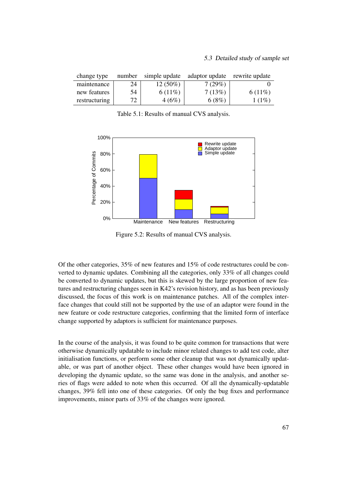### 5.3 Detailed study of sample set

| change type   | number | simple update | adaptor update rewrite update |        |
|---------------|--------|---------------|-------------------------------|--------|
| maintenance   | 24     | $12(50\%)$    | 7(29%)                        |        |
| new features  | 54     | $6(11\%)$     | 7(13%)                        | 6(11%) |
| restructuring | 72     | 4(6%)         | 6(8%)                         | 1(1%)  |

<span id="page-74-0"></span>Table 5.1: Results of manual CVS analysis.



<span id="page-74-1"></span>Figure 5.2: Results of manual CVS analysis.

Of the other categories, 35% of new features and 15% of code restructures could be converted to dynamic updates. Combining all the categories, only 33% of all changes could be converted to dynamic updates, but this is skewed by the large proportion of new features and restructuring changes seen in K42's revision history, and as has been previously discussed, the focus of this work is on maintenance patches. All of the complex interface changes that could still not be supported by the use of an adaptor were found in the new feature or code restructure categories, confirming that the limited form of interface change supported by adaptors is sufficient for maintenance purposes.

In the course of the analysis, it was found to be quite common for transactions that were otherwise dynamically updatable to include minor related changes to add test code, alter initialisation functions, or perform some other cleanup that was not dynamically updatable, or was part of another object. These other changes would have been ignored in developing the dynamic update, so the same was done in the analysis, and another series of flags were added to note when this occurred. Of all the dynamically-updatable changes, 39% fell into one of these categories. Of only the bug fixes and performance improvements, minor parts of 33% of the changes were ignored.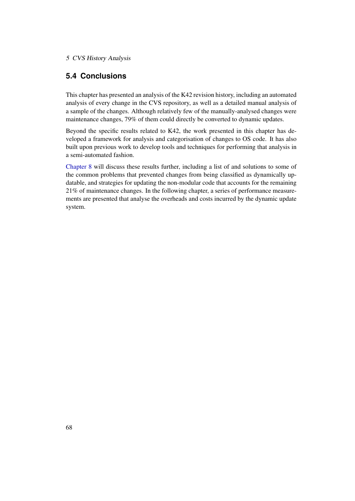## 5 CVS History Analysis

# **5.4 Conclusions**

This chapter has presented an analysis of the K42 revision history, including an automated analysis of every change in the CVS repository, as well as a detailed manual analysis of a sample of the changes. Although relatively few of the manually-analysed changes were maintenance changes, 79% of them could directly be converted to dynamic updates.

Beyond the specific results related to K42, the work presented in this chapter has developed a framework for analysis and categorisation of changes to OS code. It has also built upon previous work to develop tools and techniques for performing that analysis in a semi-automated fashion.

[Chapter 8](#page-89-0) will discuss these results further, including a list of and solutions to some of the common problems that prevented changes from being classified as dynamically updatable, and strategies for updating the non-modular code that accounts for the remaining 21% of maintenance changes. In the following chapter, a series of performance measurements are presented that analyse the overheads and costs incurred by the dynamic update system.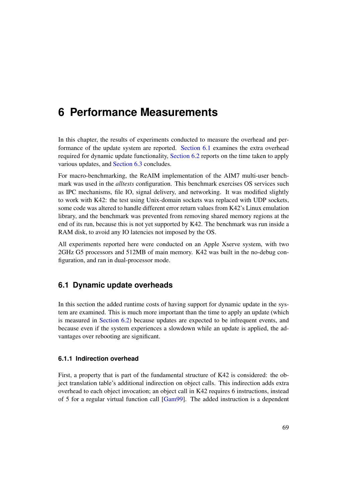# <span id="page-76-1"></span>**6 Performance Measurements**

In this chapter, the results of experiments conducted to measure the overhead and performance of the update system are reported. [Section 6.1](#page-76-0) examines the extra overhead required for dynamic update functionality, [Section 6.2](#page-79-0) reports on the time taken to apply various updates, and [Section 6.3](#page-82-0) concludes.

For macro-benchmarking, the ReAIM implementation of the AIM7 multi-user benchmark was used in the *alltests* configuration. This benchmark exercises OS services such as IPC mechanisms, file IO, signal delivery, and networking. It was modified slightly to work with K42: the test using Unix-domain sockets was replaced with UDP sockets, some code was altered to handle different error return values from K42's Linux emulation library, and the benchmark was prevented from removing shared memory regions at the end of its run, because this is not yet supported by K42. The benchmark was run inside a RAM disk, to avoid any IO latencies not imposed by the OS.

All experiments reported here were conducted on an Apple Xserve system, with two 2GHz G5 processors and 512MB of main memory. K42 was built in the no-debug configuration, and ran in dual-processor mode.

## <span id="page-76-0"></span>**6.1 Dynamic update overheads**

In this section the added runtime costs of having support for dynamic update in the system are examined. This is much more important than the time to apply an update (which is measured in [Section 6.2\)](#page-79-0) because updates are expected to be infrequent events, and because even if the system experiences a slowdown while an update is applied, the advantages over rebooting are significant.

## **6.1.1 Indirection overhead**

First, a property that is part of the fundamental structure of K42 is considered: the object translation table's additional indirection on object calls. This indirection adds extra overhead to each object invocation; an object call in K42 requires 6 instructions, instead of 5 for a regular virtual function call [\[Gam99\]](#page-104-0). The added instruction is a dependent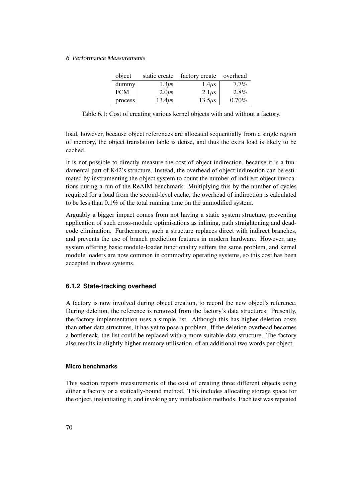### 6 Performance Measurements

| object     | static create | factory create | overhead |
|------------|---------------|----------------|----------|
| dummy      | $1.3\mu s$    | $1.4 \mu s$    | $7.7\%$  |
| <b>FCM</b> | $2.0\mu s$    | $2.1\mu s$     | 2.8%     |
| process    | $13.4\mu s$   | $13.5\mu s$    | $0.70\%$ |

<span id="page-77-0"></span>Table 6.1: Cost of creating various kernel objects with and without a factory.

load, however, because object references are allocated sequentially from a single region of memory, the object translation table is dense, and thus the extra load is likely to be cached.

It is not possible to directly measure the cost of object indirection, because it is a fundamental part of K42's structure. Instead, the overhead of object indirection can be estimated by instrumenting the object system to count the number of indirect object invocations during a run of the ReAIM benchmark. Multiplying this by the number of cycles required for a load from the second-level cache, the overhead of indirection is calculated to be less than 0.1% of the total running time on the unmodified system.

Arguably a bigger impact comes from not having a static system structure, preventing application of such cross-module optimisations as inlining, path straightening and deadcode elimination. Furthermore, such a structure replaces direct with indirect branches, and prevents the use of branch prediction features in modern hardware. However, any system offering basic module-loader functionality suffers the same problem, and kernel module loaders are now common in commodity operating systems, so this cost has been accepted in those systems.

## **6.1.2 State-tracking overhead**

A factory is now involved during object creation, to record the new object's reference. During deletion, the reference is removed from the factory's data structures. Presently, the factory implementation uses a simple list. Although this has higher deletion costs than other data structures, it has yet to pose a problem. If the deletion overhead becomes a bottleneck, the list could be replaced with a more suitable data structure. The factory also results in slightly higher memory utilisation, of an additional two words per object.

### **Micro benchmarks**

This section reports measurements of the cost of creating three different objects using either a factory or a statically-bound method. This includes allocating storage space for the object, instantiating it, and invoking any initialisation methods. Each test was repeated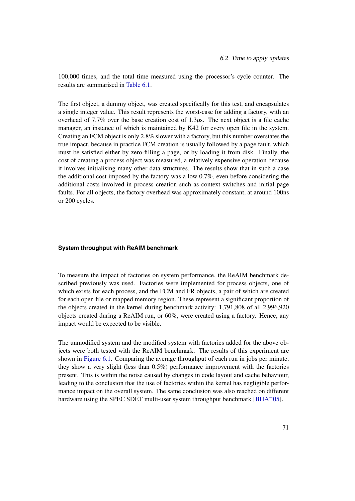100,000 times, and the total time measured using the processor's cycle counter. The results are summarised in [Table 6.1.](#page-77-0)

The first object, a dummy object, was created specifically for this test, and encapsulates a single integer value. This result represents the worst-case for adding a factory, with an overhead of 7.7% over the base creation cost of 1.3*µ*s. The next object is a file cache manager, an instance of which is maintained by K42 for every open file in the system. Creating an FCM object is only 2.8% slower with a factory, but this number overstates the true impact, because in practice FCM creation is usually followed by a page fault, which must be satisfied either by zero-filling a page, or by loading it from disk. Finally, the cost of creating a process object was measured, a relatively expensive operation because it involves initialising many other data structures. The results show that in such a case the additional cost imposed by the factory was a low 0.7%, even before considering the additional costs involved in process creation such as context switches and initial page faults. For all objects, the factory overhead was approximately constant, at around 100ns or 200 cycles.

### **System throughput with ReAIM benchmark**

To measure the impact of factories on system performance, the ReAIM benchmark described previously was used. Factories were implemented for process objects, one of which exists for each process, and the FCM and FR objects, a pair of which are created for each open file or mapped memory region. These represent a significant proportion of the objects created in the kernel during benchmark activity: 1,791,808 of all 2,996,920 objects created during a ReAIM run, or 60%, were created using a factory. Hence, any impact would be expected to be visible.

The unmodified system and the modified system with factories added for the above objects were both tested with the ReAIM benchmark. The results of this experiment are shown in [Figure 6.1.](#page-79-1) Comparing the average throughput of each run in jobs per minute, they show a very slight (less than 0.5%) performance improvement with the factories present. This is within the noise caused by changes in code layout and cache behaviour, leading to the conclusion that the use of factories within the kernel has negligible performance impact on the overall system. The same conclusion was also reached on different hardware using the SPEC SDET multi-user system throughput benchmark  $[BHA^+05]$  $[BHA^+05]$ .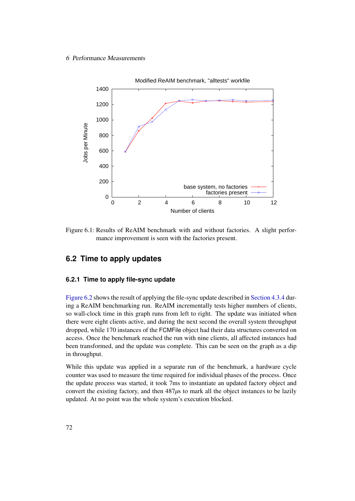### 6 Performance Measurements



<span id="page-79-1"></span>Figure 6.1: Results of ReAIM benchmark with and without factories. A slight performance improvement is seen with the factories present.

## <span id="page-79-0"></span>**6.2 Time to apply updates**

## **6.2.1 Time to apply file-sync update**

[Figure 6.2](#page-80-0) shows the result of applying the file-sync update described in [Section 4.3.4](#page-65-0) during a ReAIM benchmarking run. ReAIM incrementally tests higher numbers of clients, so wall-clock time in this graph runs from left to right. The update was initiated when there were eight clients active, and during the next second the overall system throughput dropped, while 170 instances of the FCMFile object had their data structures converted on access. Once the benchmark reached the run with nine clients, all affected instances had been transformed, and the update was complete. This can be seen on the graph as a dip in throughput.

While this update was applied in a separate run of the benchmark, a hardware cycle counter was used to measure the time required for individual phases of the process. Once the update process was started, it took 7ms to instantiate an updated factory object and convert the existing factory, and then 487*µ*s to mark all the object instances to be lazily updated. At no point was the whole system's execution blocked.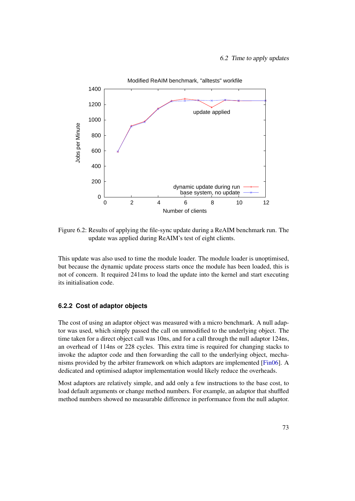

<span id="page-80-0"></span>Figure 6.2: Results of applying the file-sync update during a ReAIM benchmark run. The update was applied during ReAIM's test of eight clients.

This update was also used to time the module loader. The module loader is unoptimised, but because the dynamic update process starts once the module has been loaded, this is not of concern. It required 241ms to load the update into the kernel and start executing its initialisation code.

## **6.2.2 Cost of adaptor objects**

The cost of using an adaptor object was measured with a micro benchmark. A null adaptor was used, which simply passed the call on unmodified to the underlying object. The time taken for a direct object call was 10ns, and for a call through the null adaptor 124ns, an overhead of 114ns or 228 cycles. This extra time is required for changing stacks to invoke the adaptor code and then forwarding the call to the underlying object, mechanisms provided by the arbiter framework on which adaptors are implemented [\[Fin06\]](#page-104-1). A dedicated and optimised adaptor implementation would likely reduce the overheads.

Most adaptors are relatively simple, and add only a few instructions to the base cost, to load default arguments or change method numbers. For example, an adaptor that shuffled method numbers showed no measurable difference in performance from the null adaptor.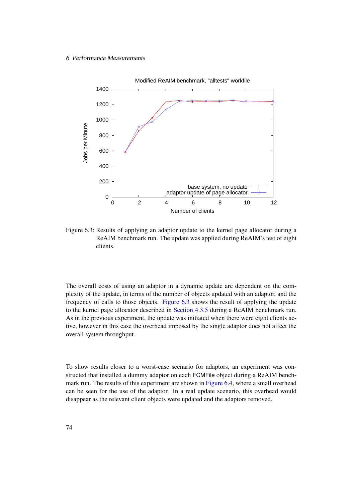### 6 Performance Measurements



<span id="page-81-0"></span>Figure 6.3: Results of applying an adaptor update to the kernel page allocator during a ReAIM benchmark run. The update was applied during ReAIM's test of eight clients.

The overall costs of using an adaptor in a dynamic update are dependent on the complexity of the update, in terms of the number of objects updated with an adaptor, and the frequency of calls to those objects. [Figure 6.3](#page-81-0) shows the result of applying the update to the kernel page allocator described in [Section 4.3.5](#page-65-1) during a ReAIM benchmark run. As in the previous experiment, the update was initiated when there were eight clients active, however in this case the overhead imposed by the single adaptor does not affect the overall system throughput.

To show results closer to a worst-case scenario for adaptors, an experiment was constructed that installed a dummy adaptor on each FCMFile object during a ReAIM benchmark run. The results of this experiment are shown in [Figure 6.4,](#page-82-1) where a small overhead can be seen for the use of the adaptor. In a real update scenario, this overhead would disappear as the relevant client objects were updated and the adaptors removed.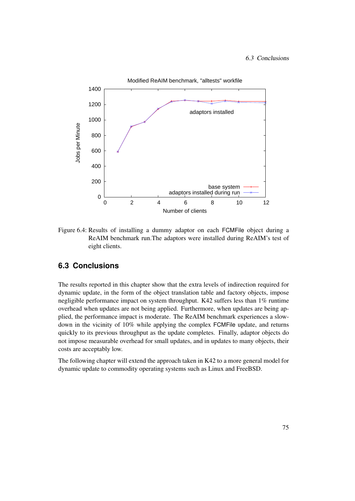### 6.3 Conclusions



<span id="page-82-1"></span>Figure 6.4: Results of installing a dummy adaptor on each FCMFile object during a ReAIM benchmark run.The adaptors were installed during ReAIM's test of eight clients.

# <span id="page-82-0"></span>**6.3 Conclusions**

The results reported in this chapter show that the extra levels of indirection required for dynamic update, in the form of the object translation table and factory objects, impose negligible performance impact on system throughput. K42 suffers less than 1% runtime overhead when updates are not being applied. Furthermore, when updates are being applied, the performance impact is moderate. The ReAIM benchmark experiences a slowdown in the vicinity of 10% while applying the complex FCMFile update, and returns quickly to its previous throughput as the update completes. Finally, adaptor objects do not impose measurable overhead for small updates, and in updates to many objects, their costs are acceptably low.

The following chapter will extend the approach taken in K42 to a more general model for dynamic update to commodity operating systems such as Linux and FreeBSD.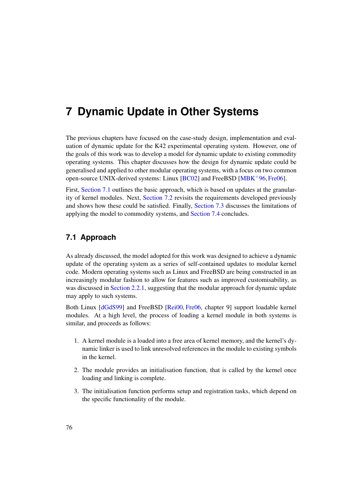# <span id="page-83-1"></span>**7 Dynamic Update in Other Systems**

The previous chapters have focused on the case-study design, implementation and evaluation of dynamic update for the K42 experimental operating system. However, one of the goals of this work was to develop a model for dynamic update to existing commodity operating systems. This chapter discusses how the design for dynamic update could be generalised and applied to other modular operating systems, with a focus on two common open-source UNIX-derived systems: Linux  $[BC02]$  and FreeBSD  $[MBK^+96, Fre06]$  $[MBK^+96, Fre06]$  $[MBK^+96, Fre06]$ .

First, [Section 7.1](#page-83-0) outlines the basic approach, which is based on updates at the granularity of kernel modules. Next, [Section 7.2](#page-84-0) revisits the requirements developed previously and shows how these could be satisfied. Finally, [Section 7.3](#page-87-0) discusses the limitations of applying the model to commodity systems, and [Section 7.4](#page-88-0) concludes.

# <span id="page-83-0"></span>**7.1 Approach**

As already discussed, the model adopted for this work was designed to achieve a dynamic update of the operating system as a series of self-contained updates to modular kernel code. Modern operating systems such as Linux and FreeBSD are being constructed in an increasingly modular fashion to allow for features such as improved customisability, as was discussed in [Section 2.2.1,](#page-23-0) suggesting that the modular approach for dynamic update may apply to such systems.

Both Linux [\[dGdS99\]](#page-103-0) and FreeBSD [\[Rei00,](#page-109-0) [Fre06,](#page-104-2) chapter 9] support loadable kernel modules. At a high level, the process of loading a kernel module in both systems is similar, and proceeds as follows:

- 1. A kernel module is a loaded into a free area of kernel memory, and the kernel's dynamic linker is used to link unresolved references in the module to existing symbols in the kernel.
- 2. The module provides an initialisation function, that is called by the kernel once loading and linking is complete.
- 3. The initialisation function performs setup and registration tasks, which depend on the specific functionality of the module.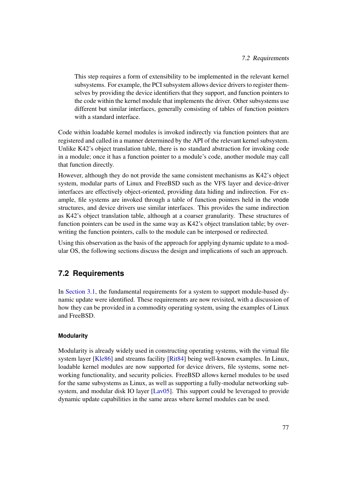This step requires a form of extensibility to be implemented in the relevant kernel subsystems. For example, the PCI subsystem allows device drivers to register themselves by providing the device identifiers that they support, and function pointers to the code within the kernel module that implements the driver. Other subsystems use different but similar interfaces, generally consisting of tables of function pointers with a standard interface.

Code within loadable kernel modules is invoked indirectly via function pointers that are registered and called in a manner determined by the API of the relevant kernel subsystem. Unlike K42's object translation table, there is no standard abstraction for invoking code in a module; once it has a function pointer to a module's code, another module may call that function directly.

However, although they do not provide the same consistent mechanisms as K42's object system, modular parts of Linux and FreeBSD such as the VFS layer and device-driver interfaces are effectively object-oriented, providing data hiding and indirection. For example, file systems are invoked through a table of function pointers held in the vnode structures, and device drivers use similar interfaces. This provides the same indirection as K42's object translation table, although at a coarser granularity. These structures of function pointers can be used in the same way as K42's object translation table; by overwriting the function pointers, calls to the module can be interposed or redirected.

Using this observation as the basis of the approach for applying dynamic update to a modular OS, the following sections discuss the design and implications of such an approach.

# <span id="page-84-0"></span>**7.2 Requirements**

In [Section 3.1,](#page-35-0) the fundamental requirements for a system to support module-based dynamic update were identified. These requirements are now revisited, with a discussion of how they can be provided in a commodity operating system, using the examples of Linux and FreeBSD.

## **Modularity**

Modularity is already widely used in constructing operating systems, with the virtual file system layer [\[Kle86\]](#page-107-1) and streams facility [\[Rit84\]](#page-109-1) being well-known examples. In Linux, loadable kernel modules are now supported for device drivers, file systems, some networking functionality, and security policies. FreeBSD allows kernel modules to be used for the same subsystems as Linux, as well as supporting a fully-modular networking subsystem, and modular disk IO layer [\[Lav05\]](#page-107-2). This support could be leveraged to provide dynamic update capabilities in the same areas where kernel modules can be used.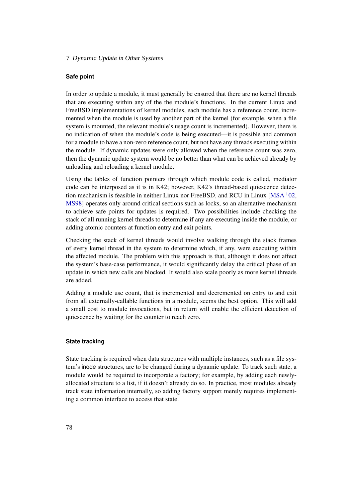### 7 Dynamic Update in Other Systems

## **Safe point**

In order to update a module, it must generally be ensured that there are no kernel threads that are executing within any of the the module's functions. In the current Linux and FreeBSD implementations of kernel modules, each module has a reference count, incremented when the module is used by another part of the kernel (for example, when a file system is mounted, the relevant module's usage count is incremented). However, there is no indication of when the module's code is being executed—it is possible and common for a module to have a non-zero reference count, but not have any threads executing within the module. If dynamic updates were only allowed when the reference count was zero, then the dynamic update system would be no better than what can be achieved already by unloading and reloading a kernel module.

Using the tables of function pointers through which module code is called, mediator code can be interposed as it is in K42; however, K42's thread-based quiescence detection mechanism is feasible in neither Linux nor FreeBSD, and RCU in Linux  $[MSA<sup>+</sup>02$  $[MSA<sup>+</sup>02$ , [MS98\]](#page-108-1) operates only around critical sections such as locks, so an alternative mechanism to achieve safe points for updates is required. Two possibilities include checking the stack of all running kernel threads to determine if any are executing inside the module, or adding atomic counters at function entry and exit points.

Checking the stack of kernel threads would involve walking through the stack frames of every kernel thread in the system to determine which, if any, were executing within the affected module. The problem with this approach is that, although it does not affect the system's base-case performance, it would significantly delay the critical phase of an update in which new calls are blocked. It would also scale poorly as more kernel threads are added.

Adding a module use count, that is incremented and decremented on entry to and exit from all externally-callable functions in a module, seems the best option. This will add a small cost to module invocations, but in return will enable the efficient detection of quiescence by waiting for the counter to reach zero.

## **State tracking**

State tracking is required when data structures with multiple instances, such as a file system's inode structures, are to be changed during a dynamic update. To track such state, a module would be required to incorporate a factory; for example, by adding each newlyallocated structure to a list, if it doesn't already do so. In practice, most modules already track state information internally, so adding factory support merely requires implementing a common interface to access that state.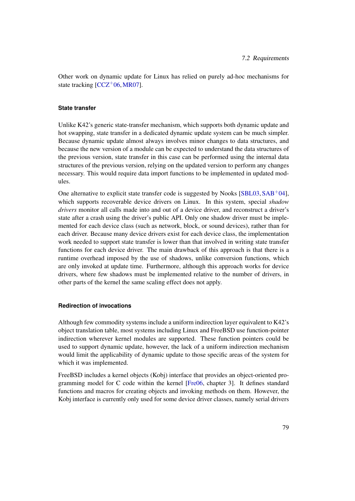Other work on dynamic update for Linux has relied on purely ad-hoc mechanisms for state tracking  $[CCZ^{+}06, MR07]$  $[CCZ^{+}06, MR07]$  $[CCZ^{+}06, MR07]$ .

## **State transfer**

Unlike K42's generic state-transfer mechanism, which supports both dynamic update and hot swapping, state transfer in a dedicated dynamic update system can be much simpler. Because dynamic update almost always involves minor changes to data structures, and because the new version of a module can be expected to understand the data structures of the previous version, state transfer in this case can be performed using the internal data structures of the previous version, relying on the updated version to perform any changes necessary. This would require data import functions to be implemented in updated modules.

One alternative to explicit state transfer code is suggested by Nooks [\[SBL03,](#page-110-0) [SAB](#page-109-2)+04], which supports recoverable device drivers on Linux. In this system, special *shadow drivers* monitor all calls made into and out of a device driver, and reconstruct a driver's state after a crash using the driver's public API. Only one shadow driver must be implemented for each device class (such as network, block, or sound devices), rather than for each driver. Because many device drivers exist for each device class, the implementation work needed to support state transfer is lower than that involved in writing state transfer functions for each device driver. The main drawback of this approach is that there is a runtime overhead imposed by the use of shadows, unlike conversion functions, which are only invoked at update time. Furthermore, although this approach works for device drivers, where few shadows must be implemented relative to the number of drivers, in other parts of the kernel the same scaling effect does not apply.

### **Redirection of invocations**

Although few commodity systems include a uniform indirection layer equivalent to K42's object translation table, most systems including Linux and FreeBSD use function-pointer indirection wherever kernel modules are supported. These function pointers could be used to support dynamic update, however, the lack of a uniform indirection mechanism would limit the applicability of dynamic update to those specific areas of the system for which it was implemented.

FreeBSD includes a kernel objects (Kobj) interface that provides an object-oriented programming model for C code within the kernel [\[Fre06,](#page-104-2) chapter 3]. It defines standard functions and macros for creating objects and invoking methods on them. However, the Kobj interface is currently only used for some device driver classes, namely serial drivers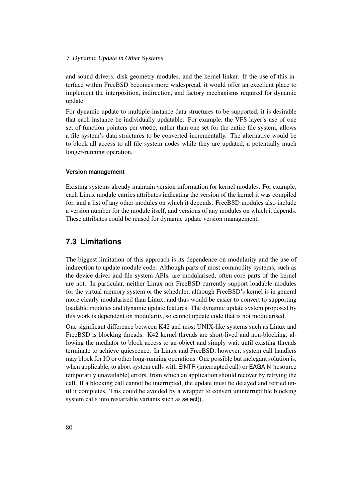### 7 Dynamic Update in Other Systems

and sound drivers, disk geometry modules, and the kernel linker. If the use of this interface within FreeBSD becomes more widespread, it would offer an excellent place to implement the interposition, indirection, and factory mechanisms required for dynamic update.

For dynamic update to multiple-instance data structures to be supported, it is desirable that each instance be individually updatable. For example, the VFS layer's use of one set of function pointers per vnode, rather than one set for the entire file system, allows a file system's data structures to be converted incrementally. The alternative would be to block all access to all file system nodes while they are updated, a potentially much longer-running operation.

### **Version management**

Existing systems already maintain version information for kernel modules. For example, each Linux module carries attributes indicating the version of the kernel it was compiled for, and a list of any other modules on which it depends. FreeBSD modules also include a version number for the module itself, and versions of any modules on which it depends. These attributes could be reused for dynamic update version management.

## <span id="page-87-0"></span>**7.3 Limitations**

The biggest limitation of this approach is its dependence on modularity and the use of indirection to update module code. Although parts of most commodity systems, such as the device driver and file system APIs, are modularised, often core parts of the kernel are not. In particular, neither Linux nor FreeBSD currently support loadable modules for the virtual memory system or the scheduler, although FreeBSD's kernel is in general more clearly modularised than Linux, and thus would be easier to convert to supporting loadable modules and dynamic update features. The dynamic update system proposed by this work is dependent on modularity, so cannot update code that is not modularised.

One significant difference between K42 and most UNIX-like systems such as Linux and FreeBSD is blocking threads. K42 kernel threads are short-lived and non-blocking, allowing the mediator to block access to an object and simply wait until existing threads terminate to achieve quiescence. In Linux and FreeBSD, however, system call handlers may block for IO or other long-running operations. One possible but inelegant solution is, when applicable, to abort system calls with EINTR (interrupted call) or EAGAIN (resource temporarily unavailable) errors, from which an application should recover by retrying the call. If a blocking call cannot be interrupted, the update must be delayed and retried until it completes. This could be avoided by a wrapper to convert uninterruptible blocking system calls into restartable variants such as select().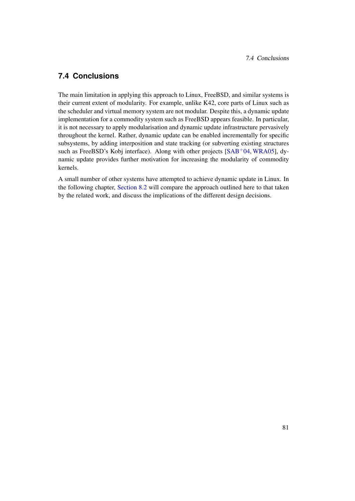# <span id="page-88-0"></span>**7.4 Conclusions**

The main limitation in applying this approach to Linux, FreeBSD, and similar systems is their current extent of modularity. For example, unlike K42, core parts of Linux such as the scheduler and virtual memory system are not modular. Despite this, a dynamic update implementation for a commodity system such as FreeBSD appears feasible. In particular, it is not necessary to apply modularisation and dynamic update infrastructure pervasively throughout the kernel. Rather, dynamic update can be enabled incrementally for specific subsystems, by adding interposition and state tracking (or subverting existing structures such as FreeBSD's Kobj interface). Along with other projects [\[SAB](#page-109-2)+04, [WRA05\]](#page-111-0), dynamic update provides further motivation for increasing the modularity of commodity kernels.

A small number of other systems have attempted to achieve dynamic update in Linux. In the following chapter, [Section 8.2](#page-92-0) will compare the approach outlined here to that taken by the related work, and discuss the implications of the different design decisions.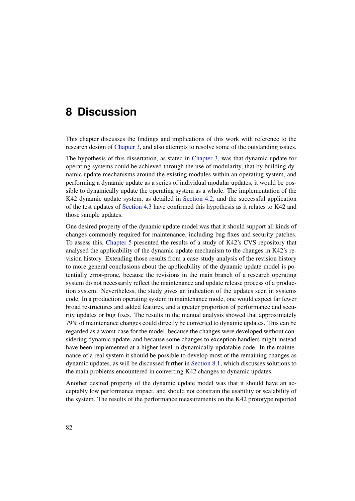# <span id="page-89-0"></span>**8 Discussion**

This chapter discusses the findings and implications of this work with reference to the research design of [Chapter 3,](#page-35-1) and also attempts to resolve some of the outstanding issues.

The hypothesis of this dissertation, as stated in [Chapter 3,](#page-35-1) was that dynamic update for operating systems could be achieved through the use of modularity, that by building dynamic update mechanisms around the existing modules within an operating system, and performing a dynamic update as a series of individual modular updates, it would be possible to dynamically update the operating system as a whole. The implementation of the K42 dynamic update system, as detailed in [Section 4.2,](#page-50-0) and the successful application of the test updates of [Section 4.3](#page-61-0) have confirmed this hypothesis as it relates to K42 and those sample updates.

One desired property of the dynamic update model was that it should support all kinds of changes commonly required for maintenance, including bug fixes and security patches. To assess this, [Chapter 5](#page-68-0) presented the results of a study of K42's CVS repository that analysed the applicability of the dynamic update mechanism to the changes in K42's revision history. Extending those results from a case-study analysis of the revision history to more general conclusions about the applicability of the dynamic update model is potentially error-prone, because the revisions in the main branch of a research operating system do not necessarily reflect the maintenance and update release process of a production system. Nevertheless, the study gives an indication of the updates seen in systems code. In a production operating system in maintenance mode, one would expect far fewer broad restructures and added features, and a greater proportion of performance and security updates or bug fixes. The results in the manual analysis showed that approximately 79% of maintenance changes could directly be converted to dynamic updates. This can be regarded as a worst-case for the model, because the changes were developed without considering dynamic update, and because some changes to exception handlers might instead have been implemented at a higher level in dynamically-updatable code. In the maintenance of a real system it should be possible to develop most of the remaining changes as dynamic updates, as will be discussed further in [Section 8.1,](#page-90-0) which discusses solutions to the main problems encountered in converting K42 changes to dynamic updates.

Another desired property of the dynamic update model was that it should have an acceptably low performance impact, and should not constrain the usability or scalability of the system. The results of the performance measurements on the K42 prototype reported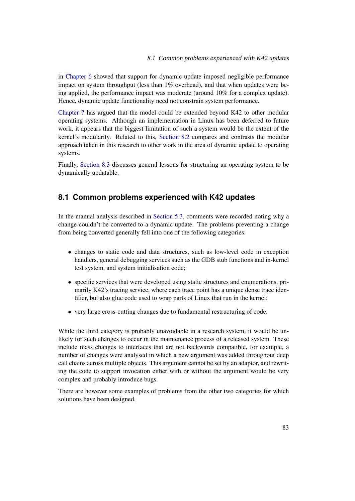in [Chapter 6](#page-76-1) showed that support for dynamic update imposed negligible performance impact on system throughput (less than 1% overhead), and that when updates were being applied, the performance impact was moderate (around 10% for a complex update). Hence, dynamic update functionality need not constrain system performance.

[Chapter 7](#page-83-1) has argued that the model could be extended beyond K42 to other modular operating systems. Although an implementation in Linux has been deferred to future work, it appears that the biggest limitation of such a system would be the extent of the kernel's modularity. Related to this, [Section 8.2](#page-92-0) compares and contrasts the modular approach taken in this research to other work in the area of dynamic update to operating systems.

Finally, [Section 8.3](#page-94-0) discusses general lessons for structuring an operating system to be dynamically updatable.

## <span id="page-90-0"></span>**8.1 Common problems experienced with K42 updates**

In the manual analysis described in [Section 5.3,](#page-72-0) comments were recorded noting why a change couldn't be converted to a dynamic update. The problems preventing a change from being converted generally fell into one of the following categories:

- changes to static code and data structures, such as low-level code in exception handlers, general debugging services such as the GDB stub functions and in-kernel test system, and system initialisation code;
- specific services that were developed using static structures and enumerations, primarily K42's tracing service, where each trace point has a unique dense trace identifier, but also glue code used to wrap parts of Linux that run in the kernel;
- very large cross-cutting changes due to fundamental restructuring of code.

While the third category is probably unavoidable in a research system, it would be unlikely for such changes to occur in the maintenance process of a released system. These include mass changes to interfaces that are not backwards compatible, for example, a number of changes were analysed in which a new argument was added throughout deep call chains across multiple objects. This argument cannot be set by an adaptor, and rewriting the code to support invocation either with or without the argument would be very complex and probably introduce bugs.

There are however some examples of problems from the other two categories for which solutions have been designed.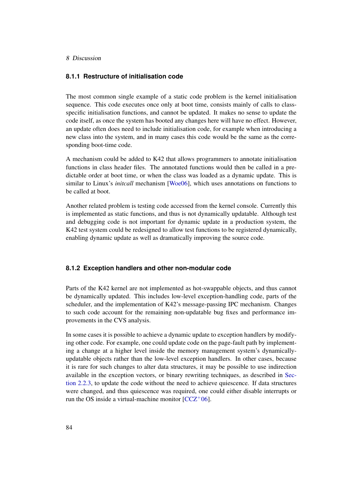### 8 Discussion

### **8.1.1 Restructure of initialisation code**

The most common single example of a static code problem is the kernel initialisation sequence. This code executes once only at boot time, consists mainly of calls to classspecific initialisation functions, and cannot be updated. It makes no sense to update the code itself, as once the system has booted any changes here will have no effect. However, an update often does need to include initialisation code, for example when introducing a new class into the system, and in many cases this code would be the same as the corresponding boot-time code.

A mechanism could be added to K42 that allows programmers to annotate initialisation functions in class header files. The annotated functions would then be called in a predictable order at boot time, or when the class was loaded as a dynamic update. This is similar to Linux's *initcall* mechanism [\[Woe06\]](#page-111-1), which uses annotations on functions to be called at boot.

Another related problem is testing code accessed from the kernel console. Currently this is implemented as static functions, and thus is not dynamically updatable. Although test and debugging code is not important for dynamic update in a production system, the K42 test system could be redesigned to allow test functions to be registered dynamically, enabling dynamic update as well as dramatically improving the source code.

## **8.1.2 Exception handlers and other non-modular code**

Parts of the K42 kernel are not implemented as hot-swappable objects, and thus cannot be dynamically updated. This includes low-level exception-handling code, parts of the scheduler, and the implementation of K42's message-passing IPC mechanism. Changes to such code account for the remaining non-updatable bug fixes and performance improvements in the CVS analysis.

In some cases it is possible to achieve a dynamic update to exception handlers by modifying other code. For example, one could update code on the page-fault path by implementing a change at a higher level inside the memory management system's dynamicallyupdatable objects rather than the low-level exception handlers. In other cases, because it is rare for such changes to alter data structures, it may be possible to use indirection available in the exception vectors, or binary rewriting techniques, as described in [Sec](#page-27-0)[tion 2.2.3,](#page-27-0) to update the code without the need to achieve quiescence. If data structures were changed, and thus quiescence was required, one could either disable interrupts or run the OS inside a virtual-machine monitor  $[CCZ^+06]$  $[CCZ^+06]$ .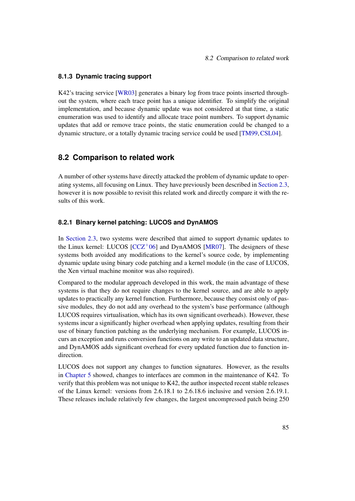## **8.1.3 Dynamic tracing support**

K42's tracing service [\[WR03\]](#page-111-2) generates a binary log from trace points inserted throughout the system, where each trace point has a unique identifier. To simplify the original implementation, and because dynamic update was not considered at that time, a static enumeration was used to identify and allocate trace point numbers. To support dynamic updates that add or remove trace points, the static enumeration could be changed to a dynamic structure, or a totally dynamic tracing service could be used [\[TM99,](#page-110-1)[CSL04\]](#page-103-1).

## <span id="page-92-0"></span>**8.2 Comparison to related work**

A number of other systems have directly attacked the problem of dynamic update to operating systems, all focusing on Linux. They have previously been described in [Section 2.3,](#page-29-0) however it is now possible to revisit this related work and directly compare it with the results of this work.

### **8.2.1 Binary kernel patching: LUCOS and DynAMOS**

In [Section 2.3,](#page-29-0) two systems were described that aimed to support dynamic updates to the Linux kernel: LUCOS  $[CCZ^+06]$  $[CCZ^+06]$  and DynAMOS  $[MR07]$ . The designers of these systems both avoided any modifications to the kernel's source code, by implementing dynamic update using binary code patching and a kernel module (in the case of LUCOS, the Xen virtual machine monitor was also required).

Compared to the modular approach developed in this work, the main advantage of these systems is that they do not require changes to the kernel source, and are able to apply updates to practically any kernel function. Furthermore, because they consist only of passive modules, they do not add any overhead to the system's base performance (although LUCOS requires virtualisation, which has its own significant overheads). However, these systems incur a significantly higher overhead when applying updates, resulting from their use of binary function patching as the underlying mechanism. For example, LUCOS incurs an exception and runs conversion functions on any write to an updated data structure, and DynAMOS adds significant overhead for every updated function due to function indirection.

LUCOS does not support any changes to function signatures. However, as the results in [Chapter 5](#page-68-0) showed, changes to interfaces are common in the maintenance of K42. To verify that this problem was not unique to K42, the author inspected recent stable releases of the Linux kernel: versions from 2.6.18.1 to 2.6.18.6 inclusive and version 2.6.19.1. These releases include relatively few changes, the largest uncompressed patch being 250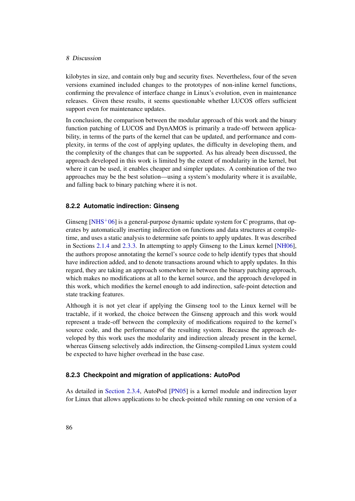### 8 Discussion

kilobytes in size, and contain only bug and security fixes. Nevertheless, four of the seven versions examined included changes to the prototypes of non-inline kernel functions, confirming the prevalence of interface change in Linux's evolution, even in maintenance releases. Given these results, it seems questionable whether LUCOS offers sufficient support even for maintenance updates.

In conclusion, the comparison between the modular approach of this work and the binary function patching of LUCOS and DynAMOS is primarily a trade-off between applicability, in terms of the parts of the kernel that can be updated, and performance and complexity, in terms of the cost of applying updates, the difficulty in developing them, and the complexity of the changes that can be supported. As has already been discussed, the approach developed in this work is limited by the extent of modularity in the kernel, but where it can be used, it enables cheaper and simpler updates. A combination of the two approaches may be the best solution—using a system's modularity where it is available, and falling back to binary patching where it is not.

## **8.2.2 Automatic indirection: Ginseng**

Ginseng [\[NHS](#page-108-3)<sup>+</sup>06] is a general-purpose dynamic update system for C programs, that operates by automatically inserting indirection on functions and data structures at compiletime, and uses a static analysis to determine safe points to apply updates. It was described in Sections [2.1.4](#page-20-0) and [2.3.3.](#page-32-0) In attempting to apply Ginseng to the Linux kernel [\[NH06\]](#page-108-4), the authors propose annotating the kernel's source code to help identify types that should have indirection added, and to denote transactions around which to apply updates. In this regard, they are taking an approach somewhere in between the binary patching approach, which makes no modifications at all to the kernel source, and the approach developed in this work, which modifies the kernel enough to add indirection, safe-point detection and state tracking features.

Although it is not yet clear if applying the Ginseng tool to the Linux kernel will be tractable, if it worked, the choice between the Ginseng approach and this work would represent a trade-off between the complexity of modifications required to the kernel's source code, and the performance of the resulting system. Because the approach developed by this work uses the modularity and indirection already present in the kernel, whereas Ginseng selectively adds indirection, the Ginseng-compiled Linux system could be expected to have higher overhead in the base case.

## **8.2.3 Checkpoint and migration of applications: AutoPod**

As detailed in [Section 2.3.4,](#page-32-1) AutoPod [\[PN05\]](#page-109-3) is a kernel module and indirection layer for Linux that allows applications to be check-pointed while running on one version of a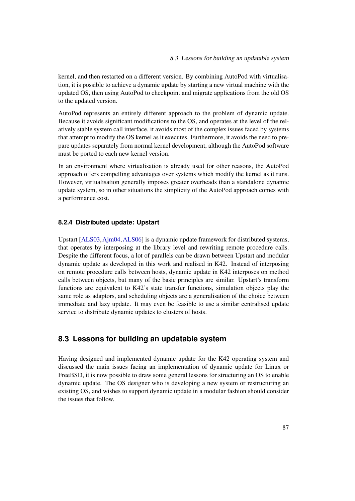kernel, and then restarted on a different version. By combining AutoPod with virtualisation, it is possible to achieve a dynamic update by starting a new virtual machine with the updated OS, then using AutoPod to checkpoint and migrate applications from the old OS to the updated version.

AutoPod represents an entirely different approach to the problem of dynamic update. Because it avoids significant modifications to the OS, and operates at the level of the relatively stable system call interface, it avoids most of the complex issues faced by systems that attempt to modify the OS kernel as it executes. Furthermore, it avoids the need to prepare updates separately from normal kernel development, although the AutoPod software must be ported to each new kernel version.

In an environment where virtualisation is already used for other reasons, the AutoPod approach offers compelling advantages over systems which modify the kernel as it runs. However, virtualisation generally imposes greater overheads than a standalone dynamic update system, so in other situations the simplicity of the AutoPod approach comes with a performance cost.

## **8.2.4 Distributed update: Upstart**

Upstart [\[ALS03,](#page-101-1)[Ajm04,](#page-101-2)[ALS06\]](#page-101-3) is a dynamic update framework for distributed systems, that operates by interposing at the library level and rewriting remote procedure calls. Despite the different focus, a lot of parallels can be drawn between Upstart and modular dynamic update as developed in this work and realised in K42. Instead of interposing on remote procedure calls between hosts, dynamic update in K42 interposes on method calls between objects, but many of the basic principles are similar. Upstart's transform functions are equivalent to K42's state transfer functions, simulation objects play the same role as adaptors, and scheduling objects are a generalisation of the choice between immediate and lazy update. It may even be feasible to use a similar centralised update service to distribute dynamic updates to clusters of hosts.

## <span id="page-94-0"></span>**8.3 Lessons for building an updatable system**

Having designed and implemented dynamic update for the K42 operating system and discussed the main issues facing an implementation of dynamic update for Linux or FreeBSD, it is now possible to draw some general lessons for structuring an OS to enable dynamic update. The OS designer who is developing a new system or restructuring an existing OS, and wishes to support dynamic update in a modular fashion should consider the issues that follow.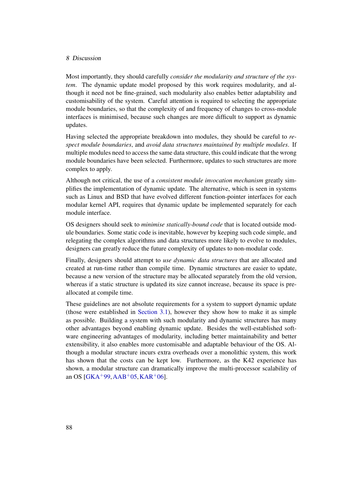### 8 Discussion

Most importantly, they should carefully *consider the modularity and structure of the system*. The dynamic update model proposed by this work requires modularity, and although it need not be fine-grained, such modularity also enables better adaptability and customisability of the system. Careful attention is required to selecting the appropriate module boundaries, so that the complexity of and frequency of changes to cross-module interfaces is minimised, because such changes are more difficult to support as dynamic updates.

Having selected the appropriate breakdown into modules, they should be careful to *respect module boundaries*, and *avoid data structures maintained by multiple modules*. If multiple modules need to access the same data structure, this could indicate that the wrong module boundaries have been selected. Furthermore, updates to such structures are more complex to apply.

Although not critical, the use of a *consistent module invocation mechanism* greatly simplifies the implementation of dynamic update. The alternative, which is seen in systems such as Linux and BSD that have evolved different function-pointer interfaces for each modular kernel API, requires that dynamic update be implemented separately for each module interface.

OS designers should seek to *minimise statically-bound code* that is located outside module boundaries. Some static code is inevitable, however by keeping such code simple, and relegating the complex algorithms and data structures more likely to evolve to modules, designers can greatly reduce the future complexity of updates to non-modular code.

Finally, designers should attempt to *use dynamic data structures* that are allocated and created at run-time rather than compile time. Dynamic structures are easier to update, because a new version of the structure may be allocated separately from the old version, whereas if a static structure is updated its size cannot increase, because its space is preallocated at compile time.

These guidelines are not absolute requirements for a system to support dynamic update (those were established in [Section 3.1\)](#page-35-0), however they show how to make it as simple as possible. Building a system with such modularity and dynamic structures has many other advantages beyond enabling dynamic update. Besides the well-established software engineering advantages of modularity, including better maintainability and better extensibility, it also enables more customisable and adaptable behaviour of the OS. Although a modular structure incurs extra overheads over a monolithic system, this work has shown that the costs can be kept low. Furthermore, as the K42 experience has shown, a modular structure can dramatically improve the multi-processor scalability of an OS [\[GKA](#page-105-0)+99, [AAB](#page-100-1)+05, [KAR](#page-107-3)+06].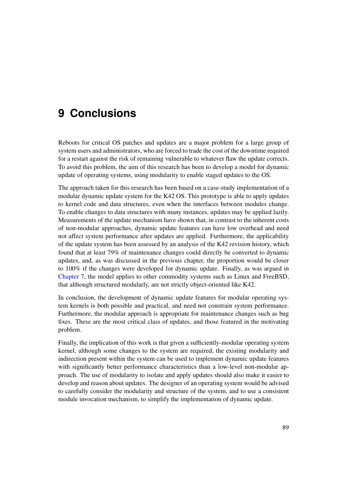# **9 Conclusions**

Reboots for critical OS patches and updates are a major problem for a large group of system users and administrators, who are forced to trade the cost of the downtime required for a restart against the risk of remaining vulnerable to whatever flaw the update corrects. To avoid this problem, the aim of this research has been to develop a model for dynamic update of operating systems, using modularity to enable staged updates to the OS.

The approach taken for this research has been based on a case-study implementation of a modular dynamic update system for the K42 OS. This prototype is able to apply updates to kernel code and data structures, even when the interfaces between modules change. To enable changes to data structures with many instances, updates may be applied lazily. Measurements of the update mechanism have shown that, in contrast to the inherent costs of non-modular approaches, dynamic update features can have low overhead and need not affect system performance after updates are applied. Furthermore, the applicability of the update system has been assessed by an analysis of the K42 revision history, which found that at least 79% of maintenance changes could directly be converted to dynamic updates, and, as was discussed in the previous chapter, the proportion would be closer to 100% if the changes were developed for dynamic update. Finally, as was argued in [Chapter 7,](#page-83-1) the model applies to other commodity systems such as Linux and FreeBSD, that although structured modularly, are not strictly object-oriented like K42.

In conclusion, the development of dynamic update features for modular operating system kernels is both possible and practical, and need not constrain system performance. Furthermore, the modular approach is appropriate for maintenance changes such as bug fixes. These are the most critical class of updates, and those featured in the motivating problem.

Finally, the implication of this work is that given a sufficiently-modular operating system kernel, although some changes to the system are required, the existing modularity and indirection present within the system can be used to implement dynamic update features with significantly better performance characteristics than a low-level non-modular approach. The use of modularity to isolate and apply updates should also make it easier to develop and reason about updates. The designer of an operating system would be advised to carefully consider the modularity and structure of the system, and to use a consistent module invocation mechanism, to simplify the implementation of dynamic update.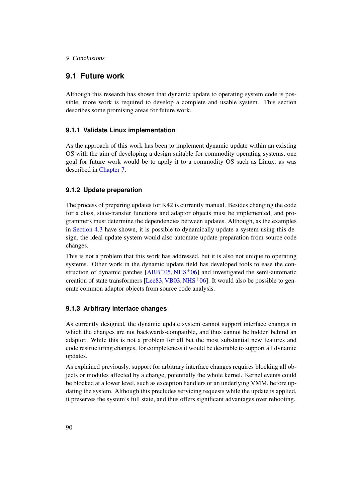## 9 Conclusions

## **9.1 Future work**

Although this research has shown that dynamic update to operating system code is possible, more work is required to develop a complete and usable system. This section describes some promising areas for future work.

## **9.1.1 Validate Linux implementation**

As the approach of this work has been to implement dynamic update within an existing OS with the aim of developing a design suitable for commodity operating systems, one goal for future work would be to apply it to a commodity OS such as Linux, as was described in [Chapter 7.](#page-83-1)

## **9.1.2 Update preparation**

The process of preparing updates for K42 is currently manual. Besides changing the code for a class, state-transfer functions and adaptor objects must be implemented, and programmers must determine the dependencies between updates. Although, as the examples in [Section 4.3](#page-61-0) have shown, it is possible to dynamically update a system using this design, the ideal update system would also automate update preparation from source code changes.

This is not a problem that this work has addressed, but it is also not unique to operating systems. Other work in the dynamic update field has developed tools to ease the construction of dynamic patches  $[ABB<sup>+</sup>05, NHS<sup>+</sup>06]$  $[ABB<sup>+</sup>05, NHS<sup>+</sup>06]$  $[ABB<sup>+</sup>05, NHS<sup>+</sup>06]$  $[ABB<sup>+</sup>05, NHS<sup>+</sup>06]$  and investigated the semi-automatic creation of state transformers  $[Lee83,VB03,NHS^+06]$  $[Lee83,VB03,NHS^+06]$  $[Lee83,VB03,NHS^+06]$  $[Lee83,VB03,NHS^+06]$ . It would also be possible to generate common adaptor objects from source code analysis.

## **9.1.3 Arbitrary interface changes**

As currently designed, the dynamic update system cannot support interface changes in which the changes are not backwards-compatible, and thus cannot be hidden behind an adaptor. While this is not a problem for all but the most substantial new features and code restructuring changes, for completeness it would be desirable to support all dynamic updates.

As explained previously, support for arbitrary interface changes requires blocking all objects or modules affected by a change, potentially the whole kernel. Kernel events could be blocked at a lower level, such as exception handlers or an underlying VMM, before updating the system. Although this precludes servicing requests while the update is applied, it preserves the system's full state, and thus offers significant advantages over rebooting.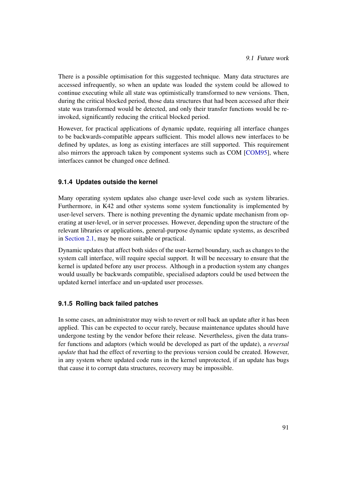There is a possible optimisation for this suggested technique. Many data structures are accessed infrequently, so when an update was loaded the system could be allowed to continue executing while all state was optimistically transformed to new versions. Then, during the critical blocked period, those data structures that had been accessed after their state was transformed would be detected, and only their transfer functions would be reinvoked, significantly reducing the critical blocked period.

However, for practical applications of dynamic update, requiring all interface changes to be backwards-compatible appears sufficient. This model allows new interfaces to be defined by updates, as long as existing interfaces are still supported. This requirement also mirrors the approach taken by component systems such as COM [\[COM95\]](#page-103-2), where interfaces cannot be changed once defined.

## **9.1.4 Updates outside the kernel**

Many operating system updates also change user-level code such as system libraries. Furthermore, in K42 and other systems some system functionality is implemented by user-level servers. There is nothing preventing the dynamic update mechanism from operating at user-level, or in server processes. However, depending upon the structure of the relevant libraries or applications, general-purpose dynamic update systems, as described in [Section 2.1,](#page-11-0) may be more suitable or practical.

Dynamic updates that affect both sides of the user-kernel boundary, such as changes to the system call interface, will require special support. It will be necessary to ensure that the kernel is updated before any user process. Although in a production system any changes would usually be backwards compatible, specialised adaptors could be used between the updated kernel interface and un-updated user processes.

## **9.1.5 Rolling back failed patches**

In some cases, an administrator may wish to revert or roll back an update after it has been applied. This can be expected to occur rarely, because maintenance updates should have undergone testing by the vendor before their release. Nevertheless, given the data transfer functions and adaptors (which would be developed as part of the update), a *reversal update* that had the effect of reverting to the previous version could be created. However, in any system where updated code runs in the kernel unprotected, if an update has bugs that cause it to corrupt data structures, recovery may be impossible.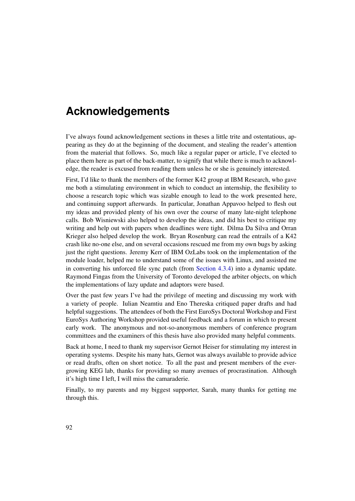# **Acknowledgements**

I've always found acknowledgement sections in theses a little trite and ostentatious, appearing as they do at the beginning of the document, and stealing the reader's attention from the material that follows. So, much like a regular paper or article, I've elected to place them here as part of the back-matter, to signify that while there is much to acknowledge, the reader is excused from reading them unless he or she is genuinely interested.

First, I'd like to thank the members of the former K42 group at IBM Research, who gave me both a stimulating environment in which to conduct an internship, the flexibility to choose a research topic which was sizable enough to lead to the work presented here, and continuing support afterwards. In particular, Jonathan Appavoo helped to flesh out my ideas and provided plenty of his own over the course of many late-night telephone calls. Bob Wisniewski also helped to develop the ideas, and did his best to critique my writing and help out with papers when deadlines were tight. Dilma Da Silva and Orran Krieger also helped develop the work. Bryan Rosenburg can read the entrails of a K42 crash like no-one else, and on several occasions rescued me from my own bugs by asking just the right questions. Jeremy Kerr of IBM OzLabs took on the implementation of the module loader, helped me to understand some of the issues with Linux, and assisted me in converting his unforced file sync patch (from [Section 4.3.4\)](#page-65-0) into a dynamic update. Raymond Fingas from the University of Toronto developed the arbiter objects, on which the implementations of lazy update and adaptors were based.

Over the past few years I've had the privilege of meeting and discussing my work with a variety of people. Iulian Neamtiu and Eno Thereska critiqued paper drafts and had helpful suggestions. The attendees of both the First EuroSys Doctoral Workshop and First EuroSys Authoring Workshop provided useful feedback and a forum in which to present early work. The anonymous and not-so-anonymous members of conference program committees and the examiners of this thesis have also provided many helpful comments.

Back at home, I need to thank my supervisor Gernot Heiser for stimulating my interest in operating systems. Despite his many hats, Gernot was always available to provide advice or read drafts, often on short notice. To all the past and present members of the evergrowing KEG lab, thanks for providing so many avenues of procrastination. Although it's high time I left, I will miss the camaraderie.

Finally, to my parents and my biggest supporter, Sarah, many thanks for getting me through this.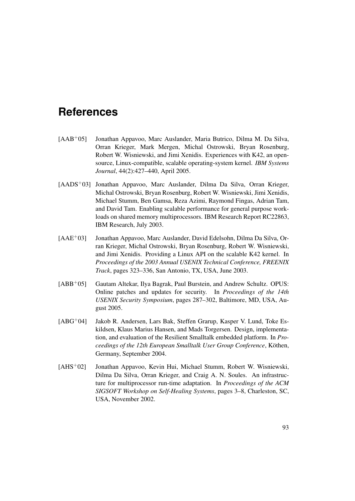- <span id="page-100-1"></span>[AAB+05] Jonathan Appavoo, Marc Auslander, Maria Butrico, Dilma M. Da Silva, Orran Krieger, Mark Mergen, Michal Ostrowski, Bryan Rosenburg, Robert W. Wisniewski, and Jimi Xenidis. Experiences with K42, an opensource, Linux-compatible, scalable operating-system kernel. *IBM Systems Journal*, 44(2):427–440, April 2005.
- [AADS+03] Jonathan Appavoo, Marc Auslander, Dilma Da Silva, Orran Krieger, Michal Ostrowski, Bryan Rosenburg, Robert W. Wisniewski, Jimi Xenidis, Michael Stumm, Ben Gamsa, Reza Azimi, Raymond Fingas, Adrian Tam, and David Tam. Enabling scalable performance for general purpose workloads on shared memory multiprocessors. IBM Research Report RC22863, IBM Research, July 2003.
- [AAE+03] Jonathan Appavoo, Marc Auslander, David Edelsohn, Dilma Da Silva, Orran Krieger, Michal Ostrowski, Bryan Rosenburg, Robert W. Wisniewski, and Jimi Xenidis. Providing a Linux API on the scalable K42 kernel. In *Proceedings of the 2003 Annual USENIX Technical Conference, FREENIX Track*, pages 323–336, San Antonio, TX, USA, June 2003.
- <span id="page-100-0"></span>[ABB+05] Gautam Altekar, Ilya Bagrak, Paul Burstein, and Andrew Schultz. OPUS: Online patches and updates for security. In *Proceedings of the 14th USENIX Security Symposium*, pages 287–302, Baltimore, MD, USA, August 2005.
- [ABG+04] Jakob R. Andersen, Lars Bak, Steffen Grarup, Kasper V. Lund, Toke Eskildsen, Klaus Marius Hansen, and Mads Torgersen. Design, implementation, and evaluation of the Resilient Smalltalk embedded platform. In *Proceedings of the 12th European Smalltalk User Group Conference*, Köthen, Germany, September 2004.
- [AHS+02] Jonathan Appavoo, Kevin Hui, Michael Stumm, Robert W. Wisniewski, Dilma Da Silva, Orran Krieger, and Craig A. N. Soules. An infrastructure for multiprocessor run-time adaptation. In *Proceedings of the ACM SIGSOFT Workshop on Self-Healing Systems*, pages 3–8, Charleston, SC, USA, November 2002.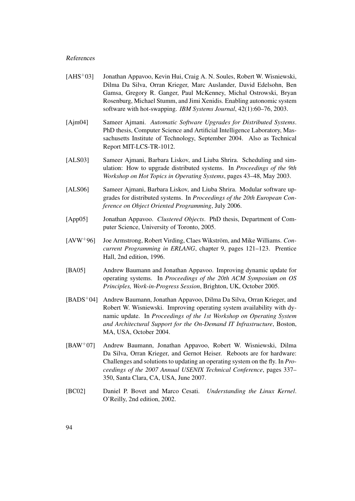- [AHS+03] Jonathan Appavoo, Kevin Hui, Craig A. N. Soules, Robert W. Wisniewski, Dilma Da Silva, Orran Krieger, Marc Auslander, David Edelsohn, Ben Gamsa, Gregory R. Ganger, Paul McKenney, Michal Ostrowski, Bryan Rosenburg, Michael Stumm, and Jimi Xenidis. Enabling autonomic system software with hot-swapping. *IBM Systems Journal*, 42(1):60–76, 2003.
- <span id="page-101-2"></span>[Ajm04] Sameer Ajmani. *Automatic Software Upgrades for Distributed Systems*. PhD thesis, Computer Science and Artificial Intelligence Laboratory, Massachusetts Institute of Technology, September 2004. Also as Technical Report MIT-LCS-TR-1012.
- <span id="page-101-1"></span>[ALS03] Sameer Ajmani, Barbara Liskov, and Liuba Shrira. Scheduling and simulation: How to upgrade distributed systems. In *Proceedings of the 9th Workshop on Hot Topics in Operating Systems*, pages 43–48, May 2003.
- <span id="page-101-3"></span>[ALS06] Sameer Ajmani, Barbara Liskov, and Liuba Shrira. Modular software upgrades for distributed systems. In *Proceedings of the 20th European Conference on Object Oriented Programming*, July 2006.
- [App05] Jonathan Appavoo. *Clustered Objects*. PhD thesis, Department of Computer Science, University of Toronto, 2005.
- [AVW+96] Joe Armstrong, Robert Virding, Claes Wikström, and Mike Williams. *Concurrent Programming in ERLANG*, chapter 9, pages 121–123. Prentice Hall, 2nd edition, 1996.
- [BA05] Andrew Baumann and Jonathan Appavoo. Improving dynamic update for operating systems. In *Proceedings of the 20th ACM Symposium on OS Principles, Work-in-Progress Session*, Brighton, UK, October 2005.
- [BADS+04] Andrew Baumann, Jonathan Appavoo, Dilma Da Silva, Orran Krieger, and Robert W. Wisniewski. Improving operating system availability with dynamic update. In *Proceedings of the 1st Workshop on Operating System and Architectural Support for the On-Demand IT Infrastructure*, Boston, MA, USA, October 2004.
- [BAW+07] Andrew Baumann, Jonathan Appavoo, Robert W. Wisniewski, Dilma Da Silva, Orran Krieger, and Gernot Heiser. Reboots are for hardware: Challenges and solutions to updating an operating system on the fly. In *Proceedings of the 2007 Annual USENIX Technical Conference*, pages 337– 350, Santa Clara, CA, USA, June 2007.
- <span id="page-101-0"></span>[BC02] Daniel P. Bovet and Marco Cesati. *Understanding the Linux Kernel*. O'Reilly, 2nd edition, 2002.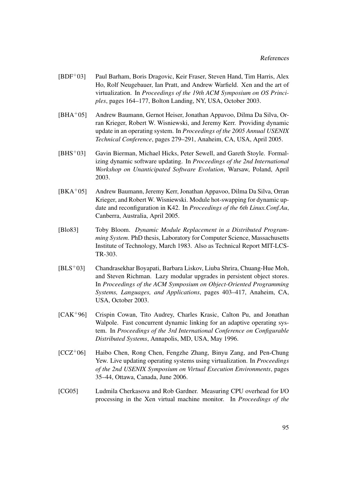- [BDF+03] Paul Barham, Boris Dragovic, Keir Fraser, Steven Hand, Tim Harris, Alex Ho, Rolf Neugebauer, Ian Pratt, and Andrew Warfield. Xen and the art of virtualization. In *Proceedings of the 19th ACM Symposium on OS Principles*, pages 164–177, Bolton Landing, NY, USA, October 2003.
- [BHA+05] Andrew Baumann, Gernot Heiser, Jonathan Appavoo, Dilma Da Silva, Orran Krieger, Robert W. Wisniewski, and Jeremy Kerr. Providing dynamic update in an operating system. In *Proceedings of the 2005 Annual USENIX Technical Conference*, pages 279–291, Anaheim, CA, USA, April 2005.
- [BHS+03] Gavin Bierman, Michael Hicks, Peter Sewell, and Gareth Stoyle. Formalizing dynamic software updating. In *Proceedings of the 2nd International Workshop on Unanticipated Software Evolution*, Warsaw, Poland, April 2003.
- [BKA+05] Andrew Baumann, Jeremy Kerr, Jonathan Appavoo, Dilma Da Silva, Orran Krieger, and Robert W. Wisniewski. Module hot-swapping for dynamic update and reconfiguration in K42. In *Proceedings of the 6th Linux.Conf.Au*, Canberra, Australia, April 2005.
- [Blo83] Toby Bloom. *Dynamic Module Replacement in a Distributed Programming System*. PhD thesis, Laboratory for Computer Science, Massachusetts Institute of Technology, March 1983. Also as Technical Report MIT-LCS-TR-303.
- [BLS+03] Chandrasekhar Boyapati, Barbara Liskov, Liuba Shrira, Chuang-Hue Moh, and Steven Richman. Lazy modular upgrades in persistent object stores. In *Proceedings of the ACM Symposium on Object-Oriented Programming Systems, Languages, and Applications*, pages 403–417, Anaheim, CA, USA, October 2003.
- [CAK+96] Crispin Cowan, Tito Audrey, Charles Krasic, Calton Pu, and Jonathan Walpole. Fast concurrent dynamic linking for an adaptive operating system. In *Proceedings of the 3rd International Conference on Configurable Distributed Systems*, Annapolis, MD, USA, May 1996.
- <span id="page-102-0"></span>[CCZ+06] Haibo Chen, Rong Chen, Fengzhe Zhang, Binyu Zang, and Pen-Chung Yew. Live updating operating systems using virtualization. In *Proceedings of the 2nd USENIX Symposium on Virtual Execution Environments*, pages 35–44, Ottawa, Canada, June 2006.
- [CG05] Ludmila Cherkasova and Rob Gardner. Measuring CPU overhead for I/O processing in the Xen virtual machine monitor. In *Proceedings of the*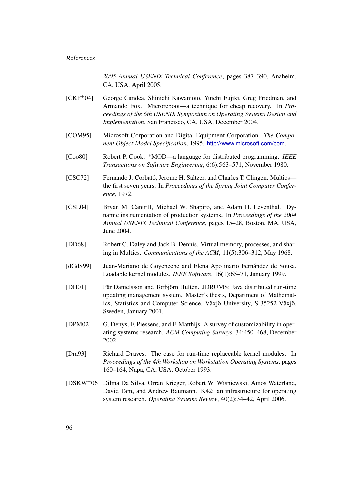*2005 Annual USENIX Technical Conference*, pages 387–390, Anaheim, CA, USA, April 2005.

- [CKF+04] George Candea, Shinichi Kawamoto, Yuichi Fujiki, Greg Friedman, and Armando Fox. Microreboot—a technique for cheap recovery. In *Proceedings of the 6th USENIX Symposium on Operating Systems Design and Implementation*, San Francisco, CA, USA, December 2004.
- <span id="page-103-2"></span>[COM95] Microsoft Corporation and Digital Equipment Corporation. *The Component Object Model Specification*, 1995. <http://www.microsoft.com/com>.
- [Coo80] Robert P. Cook. \*MOD—a language for distributed programming. *IEEE Transactions on Software Engineering*, 6(6):563–571, November 1980.
- [CSC72] Fernando J. Corbató, Jerome H. Saltzer, and Charles T. Clingen. Multics the first seven years. In *Proceedings of the Spring Joint Computer Conference*, 1972.
- <span id="page-103-1"></span>[CSL04] Bryan M. Cantrill, Michael W. Shapiro, and Adam H. Leventhal. Dynamic instrumentation of production systems. In *Proceedings of the 2004 Annual USENIX Technical Conference*, pages 15–28, Boston, MA, USA, June 2004.
- [DD68] Robert C. Daley and Jack B. Dennis. Virtual memory, processes, and sharing in Multics. *Communications of the ACM*, 11(5):306–312, May 1968.
- <span id="page-103-0"></span>[dGdS99] Juan-Mariano de Goyeneche and Elena Apolinario Fernández de Sousa. Loadable kernel modules. *IEEE Software*, 16(1):65–71, January 1999.
- [DH01] Pär Danielsson and Torbjörn Hultén. JDRUMS: Java distributed run-time updating management system. Master's thesis, Department of Mathematics, Statistics and Computer Science, Växjö University, S-35252 Växjö, Sweden, January 2001.
- [DPM02] G. Denys, F. Piessens, and F. Matthijs. A survey of customizability in operating systems research. *ACM Computing Surveys*, 34:450–468, December 2002.
- [Dra93] Richard Draves. The case for run-time replaceable kernel modules. In *Proceedings of the 4th Workshop on Workstation Operating Systems*, pages 160–164, Napa, CA, USA, October 1993.
- [DSKW+06] Dilma Da Silva, Orran Krieger, Robert W. Wisniewski, Amos Waterland, David Tam, and Andrew Baumann. K42: an infrastructure for operating system research. *Operating Systems Review*, 40(2):34–42, April 2006.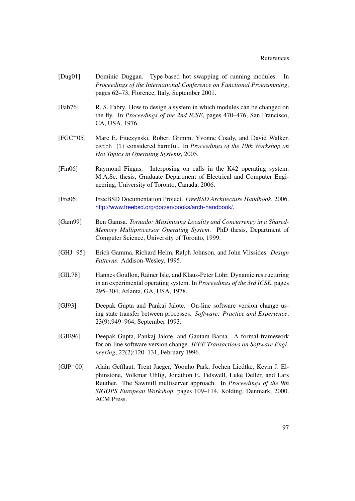- [Dug01] Dominic Duggan. Type-based hot swapping of running modules. In *Proceedings of the International Conference on Functional Programming*, pages 62–73, Florence, Italy, September 2001.
- [Fab76] R. S. Fabry. How to design a system in which modules can be changed on the fly. In *Proceedings of the 2nd ICSE*, pages 470–476, San Francisco, CA, USA, 1976.
- [FGC+05] Marc E. Fiuczynski, Robert Grimm, Yvonne Coady, and David Walker. patch (1) considered harmful. In *Proceedings of the 10th Workshop on Hot Topics in Operating Systems*, 2005.
- <span id="page-104-1"></span>[Fin06] Raymond Fingas. Interposing on calls in the K42 operating system. M.A.Sc. thesis, Graduate Department of Electrical and Computer Engineering, University of Toronto, Canada, 2006.
- <span id="page-104-2"></span>[Fre06] FreeBSD Documentation Project. *FreeBSD Architecture Handbook*, 2006. <http://www.freebsd.org/doc/en/books/arch-handbook/>.
- <span id="page-104-0"></span>[Gam99] Ben Gamsa. *Tornado: Maximizing Locality and Concurrency in a Shared-Memory Multiprocessor Operating System*. PhD thesis, Department of Computer Science, University of Toronto, 1999.
- [GHJ+95] Erich Gamma, Richard Helm, Ralph Johnson, and John Vlissides. *Design Patterns*. Addison-Wesley, 1995.
- [GIL78] Hannes Goullon, Rainer Isle, and Klaus-Peter Löhr. Dynamic restructuring in an experimental operating system. In *Proceedings of the 3rd ICSE*, pages 295–304, Atlanta, GA, USA, 1978.
- [GJ93] Deepak Gupta and Pankaj Jalote. On-line software version change using state transfer between processes. *Software: Practice and Experience*, 23(9):949–964, September 1993.
- [GJB96] Deepak Gupta, Pankaj Jalote, and Gautam Barua. A formal framework for on-line software version change. *IEEE Transactions on Software Engineering*, 22(2):120–131, February 1996.
- [GJP+00] Alain Gefflaut, Trent Jaeger, Yoonho Park, Jochen Liedtke, Kevin J. Elphinstone, Volkmar Uhlig, Jonathon E. Tidswell, Luke Deller, and Lars Reuther. The Sawmill multiserver approach. In *Proceedings of the 9th SIGOPS European Workshop*, pages 109–114, Kolding, Denmark, 2000. ACM Press.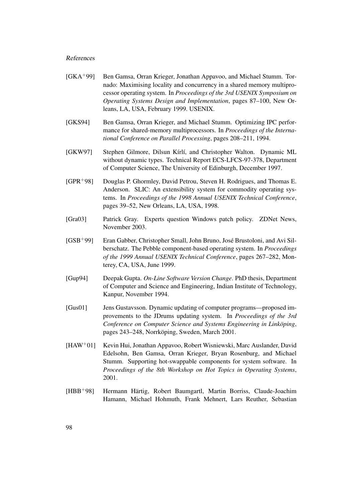- <span id="page-105-0"></span>[GKA+99] Ben Gamsa, Orran Krieger, Jonathan Appavoo, and Michael Stumm. Tornado: Maximising locality and concurrency in a shared memory multiprocessor operating system. In *Proceedings of the 3rd USENIX Symposium on Operating Systems Design and Implementation*, pages 87–100, New Orleans, LA, USA, February 1999. USENIX.
- [GKS94] Ben Gamsa, Orran Krieger, and Michael Stumm. Optimizing IPC performance for shared-memory multiprocessors. In *Proceedings of the International Conference on Parallel Processing*, pages 208–211, 1994.
- [GKW97] Stephen Gilmore, Dilsun Kírlí, and Christopher Walton. Dynamic ML without dynamic types. Technical Report ECS-LFCS-97-378, Department of Computer Science, The University of Edinburgh, December 1997.
- [GPR+98] Douglas P. Ghormley, David Petrou, Steven H. Rodrigues, and Thomas E. Anderson. SLIC: An extensibility system for commodity operating systems. In *Proceedings of the 1998 Annual USENIX Technical Conference*, pages 39–52, New Orleans, LA, USA, 1998.
- [Gra03] Patrick Gray. Experts question Windows patch policy. ZDNet News, November 2003.
- [GSB+99] Eran Gabber, Christopher Small, John Bruno, José Brustoloni, and Avi Silberschatz. The Pebble component-based operating system. In *Proceedings of the 1999 Annual USENIX Technical Conference*, pages 267–282, Monterey, CA, USA, June 1999.
- [Gup94] Deepak Gupta. *On-Line Software Version Change*. PhD thesis, Department of Computer and Science and Engineering, Indian Institute of Technology, Kanpur, November 1994.
- [Gus01] Jens Gustavsson. Dynamic updating of computer programs—proposed improvements to the JDrums updating system. In *Proceedings of the 3rd Conference on Computer Science and Systems Engineering in Linköping*, pages 243–248, Norrköping, Sweden, March 2001.
- [HAW+01] Kevin Hui, Jonathan Appavoo, Robert Wisniewski, Marc Auslander, David Edelsohn, Ben Gamsa, Orran Krieger, Bryan Rosenburg, and Michael Stumm. Supporting hot-swappable components for system software. In *Proceedings of the 8th Workshop on Hot Topics in Operating Systems*, 2001.
- [HBB+98] Hermann Härtig, Robert Baumgartl, Martin Borriss, Claude-Joachim Hamann, Michael Hohmuth, Frank Mehnert, Lars Reuther, Sebastian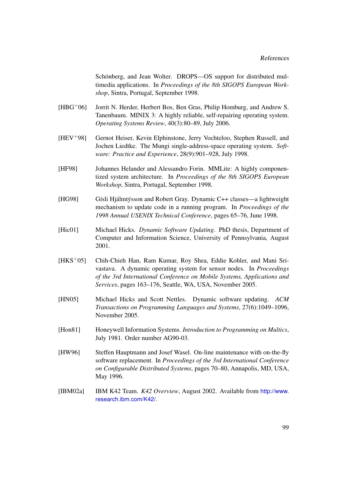Schönberg, and Jean Wolter. DROPS—OS support for distributed multimedia applications. In *Proceedings of the 8th SIGOPS European Workshop*, Sintra, Portugal, September 1998.

- [HBG+06] Jorrit N. Herder, Herbert Bos, Ben Gras, Philip Homburg, and Andrew S. Tanenbaum. MINIX 3: A highly reliable, self-repairing operating system. *Operating Systems Review*, 40(3):80–89, July 2006.
- [HEV+98] Gernot Heiser, Kevin Elphinstone, Jerry Vochteloo, Stephen Russell, and Jochen Liedtke. The Mungi single-address-space operating system. *Software: Practice and Experience*, 28(9):901–928, July 1998.
- [HF98] Johannes Helander and Alessandro Forin. MMLite: A highly componentized system architecture. In *Proceedings of the 8th SIGOPS European Workshop*, Sintra, Portugal, September 1998.
- [HG98] Gísli Hjálmtýsson and Robert Gray. Dynamic C++ classes—a lightweight mechanism to update code in a running program. In *Proceedings of the 1998 Annual USENIX Technical Conference*, pages 65–76, June 1998.
- [Hic01] Michael Hicks. *Dynamic Software Updating*. PhD thesis, Department of Computer and Information Science, University of Pennsylvania, August 2001.
- [HKS<sup>+</sup>05] Chih-Chieh Han, Ram Kumar, Roy Shea, Eddie Kohler, and Mani Srivastava. A dynamic operating system for sensor nodes. In *Proceedings of the 3rd International Conference on Mobile Systems, Applications and Services*, pages 163–176, Seattle, WA, USA, November 2005.
- [HN05] Michael Hicks and Scott Nettles. Dynamic software updating. *ACM Transactions on Programming Languages and Systems*, 27(6):1049–1096, November 2005.
- [Hon81] Honeywell Information Systems. *Introduction to Programming on Multics*, July 1981. Order number AG90-03.
- [HW96] Steffen Hauptmann and Josef Wasel. On-line maintenance with on-the-fly software replacement. In *Proceedings of the 3rd International Conference on Configurable Distributed Systems*, pages 70–80, Annapolis, MD, USA, May 1996.
- [IBM02a] IBM K42 Team. *K42 Overview*, August 2002. Available from [http://www.](http://www.research.ibm.com/K42/) [research.ibm.com/K42/](http://www.research.ibm.com/K42/).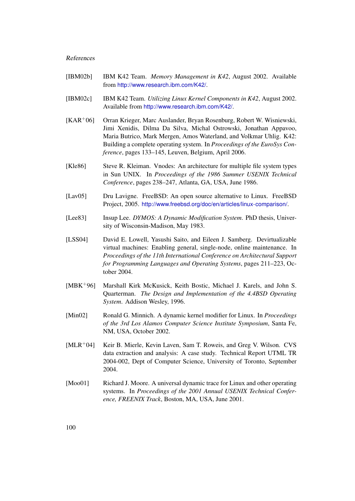- [IBM02b] IBM K42 Team. *Memory Management in K42*, August 2002. Available from <http://www.research.ibm.com/K42/>.
- [IBM02c] IBM K42 Team. *Utilizing Linux Kernel Components in K42*, August 2002. Available from <http://www.research.ibm.com/K42/>.
- <span id="page-107-3"></span>[KAR+06] Orran Krieger, Marc Auslander, Bryan Rosenburg, Robert W. Wisniewski, Jimi Xenidis, Dilma Da Silva, Michal Ostrowski, Jonathan Appavoo, Maria Butrico, Mark Mergen, Amos Waterland, and Volkmar Uhlig. K42: Building a complete operating system. In *Proceedings of the EuroSys Conference*, pages 133–145, Leuven, Belgium, April 2006.
- <span id="page-107-1"></span>[Kle86] Steve R. Kleiman. Vnodes: An architecture for multiple file system types in Sun UNIX. In *Proceedings of the 1986 Summer USENIX Technical Conference*, pages 238–247, Atlanta, GA, USA, June 1986.
- <span id="page-107-2"></span>[Lav05] Dru Lavigne. FreeBSD: An open source alternative to Linux. FreeBSD Project, 2005. <http://www.freebsd.org/doc/en/articles/linux-comparison/>.
- <span id="page-107-4"></span>[Lee83] Insup Lee. *DYMOS: A Dynamic Modification System*. PhD thesis, University of Wisconsin-Madison, May 1983.
- [LSS04] David E. Lowell, Yasushi Saito, and Eileen J. Samberg. Devirtualizable virtual machines: Enabling general, single-node, online maintenance. In *Proceedings of the 11th International Conference on Architectural Support for Programming Languages and Operating Systems*, pages 211–223, October 2004.
- <span id="page-107-0"></span>[MBK+96] Marshall Kirk McKusick, Keith Bostic, Michael J. Karels, and John S. Quarterman. *The Design and Implementation of the 4.4BSD Operating System*. Addison Wesley, 1996.
- [Min02] Ronald G. Minnich. A dynamic kernel modifier for Linux. In *Proceedings of the 3rd Los Alamos Computer Science Institute Symposium*, Santa Fe, NM, USA, October 2002.
- [MLR+04] Keir B. Mierle, Kevin Laven, Sam T. Roweis, and Greg V. Wilson. CVS data extraction and analysis: A case study. Technical Report UTML TR 2004-002, Dept of Computer Science, University of Toronto, September 2004.
- [Moo01] Richard J. Moore. A universal dynamic trace for Linux and other operating systems. In *Proceedings of the 2001 Annual USENIX Technical Conference, FREENIX Track*, Boston, MA, USA, June 2001.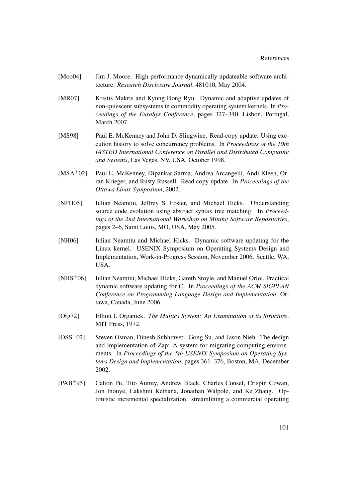- [Moo04] Jim J. Moore. High performance dynamically updateable software architecture. *Research Disclosure Journal*, 481010, May 2004.
- [MR07] Kristis Makris and Kyung Dong Ryu. Dynamic and adaptive updates of non-quiescent subsystems in commodity operating system kernels. In *Proceedings of the EuroSys Conference*, pages 327–340, Lisbon, Portugal, March 2007.
- [MS98] Paul E. McKenney and John D. Slingwine. Read-copy update: Using execution history to solve concurrency problems. In *Proceedings of the 10th IASTED International Conference on Parallel and Distributed Computing and Systems*, Las Vegas, NV, USA, October 1998.
- [MSA+02] Paul E. McKenney, Dipankar Sarma, Andrea Arcangelli, Andi Kleen, Orran Krieger, and Rusty Russell. Read copy update. In *Proceedings of the Ottawa Linux Symposium*, 2002.
- [NFH05] Iulian Neamtiu, Jeffrey S. Foster, and Michael Hicks. Understanding source code evolution using abstract syntax tree matching. In *Proceedings of the 2nd International Workshop on Mining Software Repositories*, pages 2–6, Saint Louis, MO, USA, May 2005.
- [NH06] Iulian Neamtiu and Michael Hicks. Dynamic software updating for the Linux kernel. USENIX Symposium on Operating Systems Design and Implementation, Work-in-Progress Session, November 2006. Seattle, WA, USA.
- [NHS+06] Iulian Neamtiu, Michael Hicks, Gareth Stoyle, and Manuel Oriol. Practical dynamic software updating for C. In *Proceedings of the ACM SIGPLAN Conference on Programming Language Design and Implementation*, Ottawa, Canada, June 2006.
- [Org72] Elliott I. Organick. *The Multics System: An Examination of its Structure*. MIT Press, 1972.
- [OSS+02] Steven Osman, Dinesh Subhraveti, Gong Su, and Jason Nieh. The design and implementation of Zap: A system for migrating computing environments. In *Proceedings of the 5th USENIX Symposium on Operating Systems Design and Implementation*, pages 361–376, Boston, MA, December 2002.
- [PAB+95] Calton Pu, Tito Autrey, Andrew Black, Charles Consel, Crispin Cowan, Jon Inouye, Lakshmi Kethana, Jonathan Walpole, and Ke Zhang. Optimistic incremental specialization: streamlining a commercial operating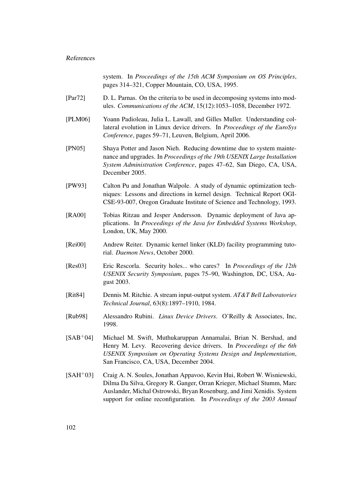## References

system. In *Proceedings of the 15th ACM Symposium on OS Principles*, pages 314–321, Copper Mountain, CO, USA, 1995.

- [Par72] D. L. Parnas. On the criteria to be used in decomposing systems into modules. *Communications of the ACM*, 15(12):1053–1058, December 1972.
- [PLM06] Yoann Padioleau, Julia L. Lawall, and Gilles Muller. Understanding collateral evolution in Linux device drivers. In *Proceedings of the EuroSys Conference*, pages 59–71, Leuven, Belgium, April 2006.
- [PN05] Shaya Potter and Jason Nieh. Reducing downtime due to system maintenance and upgrades. In *Proceedings of the 19th USENIX Large Installation System Administration Conference*, pages 47–62, San Diego, CA, USA, December 2005.
- [PW93] Calton Pu and Jonathan Walpole. A study of dynamic optimization techniques: Lessons and directions in kernel design. Technical Report OGI-CSE-93-007, Oregon Graduate Institute of Science and Technology, 1993.
- [RA00] Tobias Ritzau and Jesper Andersson. Dynamic deployment of Java applications. In *Proceedings of the Java for Embedded Systems Workshop*, London, UK, May 2000.
- [Rei00] Andrew Reiter. Dynamic kernel linker (KLD) facility programming tutorial. *Daemon News*, October 2000.
- [Res03] Eric Rescorla. Security holes... who cares? In *Proceedings of the 12th USENIX Security Symposium*, pages 75–90, Washington, DC, USA, August 2003.
- [Rit84] Dennis M. Ritchie. A stream input-output system. *AT&T Bell Laboratories Technical Journal*, 63(8):1897–1910, 1984.
- [Rub98] Alessandro Rubini. *Linux Device Drivers*. O'Reilly & Associates, Inc, 1998.
- [SAB+04] Michael M. Swift, Muthukaruppan Annamalai, Brian N. Bershad, and Henry M. Levy. Recovering device drivers. In *Proceedings of the 6th USENIX Symposium on Operating Systems Design and Implementation*, San Francisco, CA, USA, December 2004.
- [SAH+03] Craig A. N. Soules, Jonathan Appavoo, Kevin Hui, Robert W. Wisniewski, Dilma Da Silva, Gregory R. Ganger, Orran Krieger, Michael Stumm, Marc Auslander, Michal Ostrowski, Bryan Rosenburg, and Jimi Xenidis. System support for online reconfiguration. In *Proceedings of the 2003 Annual*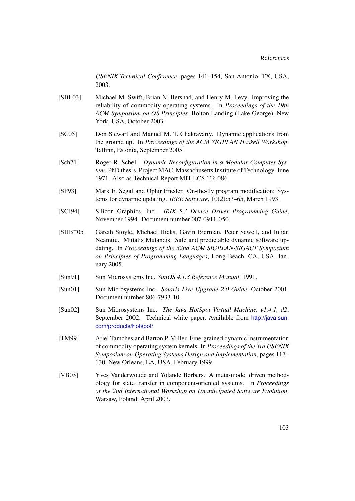*USENIX Technical Conference*, pages 141–154, San Antonio, TX, USA, 2003.

- [SBL03] Michael M. Swift, Brian N. Bershad, and Henry M. Levy. Improving the reliability of commodity operating systems. In *Proceedings of the 19th ACM Symposium on OS Principles*, Bolton Landing (Lake George), New York, USA, October 2003.
- [SC05] Don Stewart and Manuel M. T. Chakravarty. Dynamic applications from the ground up. In *Proceedings of the ACM SIGPLAN Haskell Workshop*, Tallinn, Estonia, September 2005.
- [Sch71] Roger R. Schell. *Dynamic Reconfiguration in a Modular Computer System*. PhD thesis, Project MAC, Massachusetts Institute of Technology, June 1971. Also as Technical Report MIT-LCS-TR-086.
- [SF93] Mark E. Segal and Ophir Frieder. On-the-fly program modification: Systems for dynamic updating. *IEEE Software*, 10(2):53–65, March 1993.
- [SGI94] Silicon Graphics, Inc. *IRIX 5.3 Device Driver Programming Guide*, November 1994. Document number 007-0911-050.
- [SHB+05] Gareth Stoyle, Michael Hicks, Gavin Bierman, Peter Sewell, and Iulian Neamtiu. Mutatis Mutandis: Safe and predictable dynamic software updating. In *Proceedings of the 32nd ACM SIGPLAN-SIGACT Symposium on Principles of Programming Languages*, Long Beach, CA, USA, January 2005.
- [Sun91] Sun Microsystems Inc. *SunOS 4.1.3 Reference Manual*, 1991.
- [Sun01] Sun Microsystems Inc. *Solaris Live Upgrade 2.0 Guide*, October 2001. Document number 806-7933-10.
- [Sun02] Sun Microsystems Inc. *The Java HotSpot Virtual Machine, v1.4.1, d2*, September 2002. Technical white paper. Available from [http://java.sun.](http://java.sun.com/products/hotspot/) [com/products/hotspot/](http://java.sun.com/products/hotspot/).
- [TM99] Ariel Tamches and Barton P. Miller. Fine-grained dynamic instrumentation of commodity operating system kernels. In *Proceedings of the 3rd USENIX Symposium on Operating Systems Design and Implementation*, pages 117– 130, New Orleans, LA, USA, February 1999.
- [VB03] Yves Vanderwoude and Yolande Berbers. A meta-model driven methodology for state transfer in component-oriented systems. In *Proceedings of the 2nd International Workshop on Unanticipated Software Evolution*, Warsaw, Poland, April 2003.